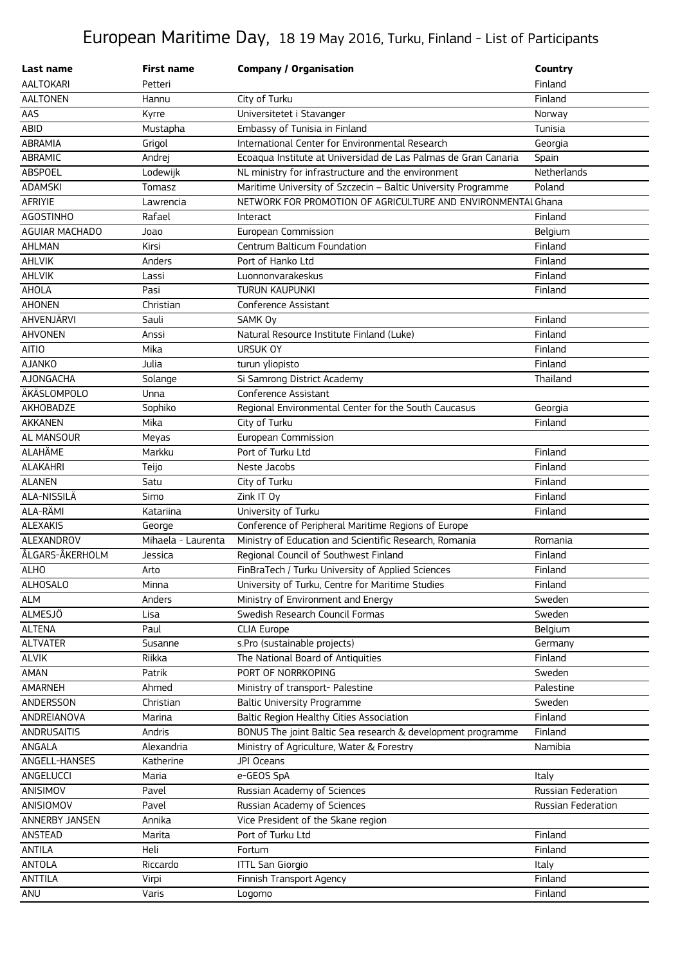## European Maritime Day, 18 19 May 2016, Turku, Finland - List of Participants

| Last name             | <b>First name</b>  | <b>Company / Organisation</b>                                  | <b>Country</b>     |
|-----------------------|--------------------|----------------------------------------------------------------|--------------------|
| <b>AALTOKARI</b>      | Petteri            |                                                                | Finland            |
| <b>AALTONEN</b>       | Hannu              | City of Turku                                                  | Finland            |
| AAS                   | Kyrre              | Universitetet i Stavanger                                      | Norway             |
| ABID                  | Mustapha           | Embassy of Tunisia in Finland                                  | Tunisia            |
| ABRAMIA               | Grigol             | International Center for Environmental Research                | Georgia            |
| ABRAMIC               | Andrej             | Ecoaqua Institute at Universidad de Las Palmas de Gran Canaria | Spain              |
| <b>ABSPOEL</b>        | Lodewijk           | NL ministry for infrastructure and the environment             | Netherlands        |
| <b>ADAMSKI</b>        | Tomasz             | Maritime University of Szczecin - Baltic University Programme  | Poland             |
| AFRIYIE               | Lawrencia          | NETWORK FOR PROMOTION OF AGRICULTURE AND ENVIRONMENTAI Ghana   |                    |
| <b>AGOSTINHO</b>      | Rafael             | Interact                                                       | Finland            |
| <b>AGUIAR MACHADO</b> | Joao               | European Commission                                            | Belgium            |
| AHLMAN                | Kirsi              | Centrum Balticum Foundation                                    | Finland            |
| AHLVIK                | Anders             | Port of Hanko Ltd                                              | Finland            |
| AHLVIK                | Lassi              | Luonnonvarakeskus                                              | Finland            |
| AHOLA                 | Pasi               | <b>TURUN KAUPUNKI</b>                                          | Finland            |
| <b>AHONEN</b>         | Christian          | Conference Assistant                                           |                    |
| AHVENJÄRVI            | Sauli              | SAMK Oy                                                        | Finland            |
| <b>AHVONEN</b>        | Anssi              | Natural Resource Institute Finland (Luke)                      | Finland            |
| AITIO                 | Mika               | <b>URSUK OY</b>                                                | Finland            |
| <b>AJANKO</b>         | Julia              | turun yliopisto                                                | Finland            |
| AJONGACHA             | Solange            | Si Samrong District Academy                                    | Thailand           |
| ÄKÄSLOMPOLO           | Unna               | Conference Assistant                                           |                    |
| AKHOBADZE             | Sophiko            | Regional Environmental Center for the South Caucasus           | Georgia            |
| <b>AKKANEN</b>        | Mika               | City of Turku                                                  | Finland            |
| AL MANSOUR            | Meyas              | European Commission                                            |                    |
| ALAHÄME               | Markku             | Port of Turku Ltd                                              | Finland            |
| <b>ALAKAHRI</b>       | Teijo              | Neste Jacobs                                                   | Finland            |
| <b>ALANEN</b>         | Satu               | City of Turku                                                  | Finland            |
| ALA-NISSILÄ           | Simo               | Zink IT Oy                                                     | Finland            |
| ALA-RÄMI              | Katariina          | University of Turku                                            | Finland            |
| <b>ALEXAKIS</b>       | George             | Conference of Peripheral Maritime Regions of Europe            |                    |
| ALEXANDROV            | Mihaela - Laurenta | Ministry of Education and Scientific Research, Romania         | Romania            |
| ÅLGARS-ÅKERHOLM       | Jessica            | Regional Council of Southwest Finland                          | Finland            |
| <b>ALHO</b>           | Arto               | FinBraTech / Turku University of Applied Sciences              | Finland            |
| <b>ALHOSALO</b>       | Minna              | University of Turku, Centre for Maritime Studies               | Finland            |
| ALM                   | Anders             | Ministry of Environment and Energy                             | Sweden             |
| ALMESJÖ               | Lisa               | Swedish Research Council Formas                                | Sweden             |
| <b>ALTENA</b>         | Paul               | <b>CLIA Europe</b>                                             | Belgium            |
| <b>ALTVATER</b>       | Susanne            | s.Pro (sustainable projects)                                   | Germany            |
| <b>ALVIK</b>          | Riikka             | The National Board of Antiquities                              | Finland            |
| AMAN                  | Patrik             | PORT OF NORRKOPING                                             | Sweden             |
| AMARNEH               | Ahmed              | Ministry of transport- Palestine                               | Palestine          |
| ANDERSSON             | Christian          | <b>Baltic University Programme</b>                             | Sweden             |
| ANDREIANOVA           | Marina             | Baltic Region Healthy Cities Association                       | Finland            |
| <b>ANDRUSAITIS</b>    | Andris             | BONUS The joint Baltic Sea research & development programme    | Finland            |
| ANGALA                | Alexandria         | Ministry of Agriculture, Water & Forestry                      | Namibia            |
| ANGELL-HANSES         | Katherine          | JPI Oceans                                                     |                    |
| ANGELUCCI             | Maria              | e-GEOS SpA                                                     | Italy              |
| ANISIMOV              | Pavel              | Russian Academy of Sciences                                    | Russian Federation |
| ANISIOMOV             | Pavel              | Russian Academy of Sciences                                    | Russian Federation |
| ANNERBY JANSEN        | Annika             | Vice President of the Skane region                             |                    |
| ANSTEAD               | Marita             | Port of Turku Ltd                                              | Finland            |
| <b>ANTILA</b>         | Heli               | Fortum                                                         | Finland            |
| ANTOLA                | Riccardo           | <b>ITTL San Giorgio</b>                                        | Italy              |
| <b>ANTTILA</b>        | Virpi              | Finnish Transport Agency                                       | Finland            |
| ANU                   | Varis              | Logomo                                                         | Finland            |
|                       |                    |                                                                |                    |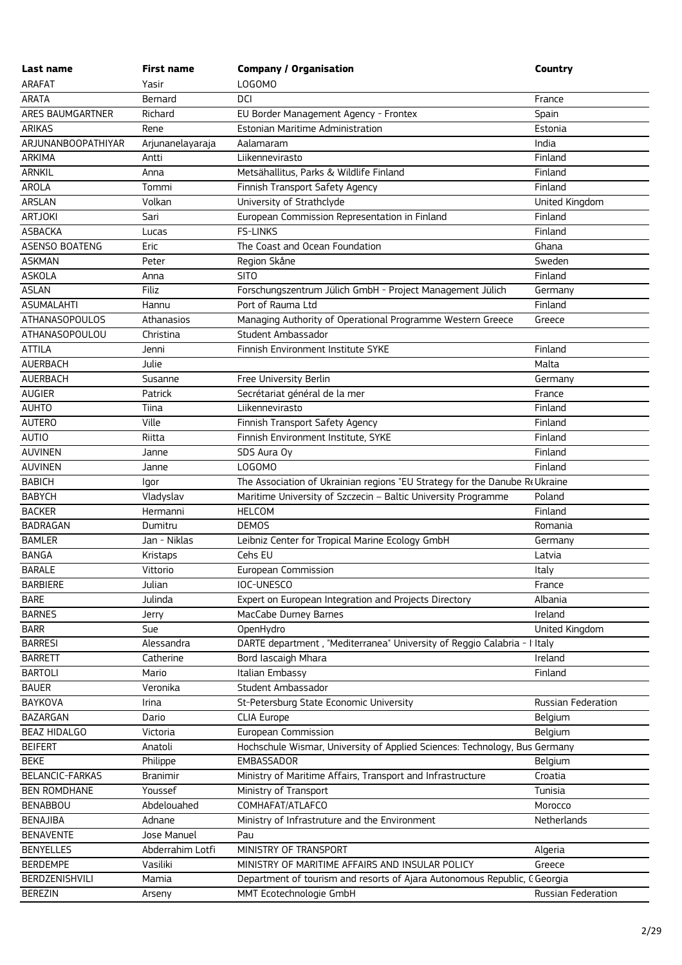| Last name                        | <b>First name</b>  | <b>Company / Organisation</b>                                               | <b>Country</b>     |
|----------------------------------|--------------------|-----------------------------------------------------------------------------|--------------------|
| <b>ARAFAT</b>                    | Yasir              | LOGOMO                                                                      |                    |
| <b>ARATA</b>                     | Bernard            | DCI                                                                         | France             |
| ARES BAUMGARTNER                 | Richard            | EU Border Management Agency - Frontex                                       | Spain              |
| <b>ARIKAS</b>                    | Rene               | Estonian Maritime Administration                                            | Estonia            |
| ARJUNANBOOPATHIYAR               | Arjunanelayaraja   | Aalamaram                                                                   | India              |
| <b>ARKIMA</b>                    | Antti              | Liikennevirasto                                                             | Finland            |
| <b>ARNKIL</b>                    | Anna               | Metsähallitus, Parks & Wildlife Finland                                     | Finland            |
| AROLA                            | Tommi              | Finnish Transport Safety Agency                                             | Finland            |
| ARSLAN                           | Volkan             | University of Strathclyde                                                   | United Kingdom     |
| <b>ARTJOKI</b>                   | Sari               | European Commission Representation in Finland                               | Finland            |
| <b>ASBACKA</b>                   | Lucas              | <b>FS-LINKS</b>                                                             | Finland            |
| ASENSO BOATENG                   | Eric               | The Coast and Ocean Foundation                                              | Ghana              |
| <b>ASKMAN</b>                    | Peter              | Region Skåne                                                                | Sweden             |
| <b>ASKOLA</b>                    | Anna               | <b>SITO</b>                                                                 | Finland            |
| <b>ASLAN</b>                     | Filiz              | Forschungszentrum Jülich GmbH - Project Management Jülich                   | Germany            |
| <b>ASUMALAHTI</b>                | Hannu              | Port of Rauma Ltd                                                           | Finland            |
| <b>ATHANASOPOULOS</b>            | Athanasios         | Managing Authority of Operational Programme Western Greece                  | Greece             |
| ATHANASOPOULOU                   | Christina          | Student Ambassador                                                          |                    |
| <b>ATTILA</b>                    | Jenni              | Finnish Environment Institute SYKE                                          | Finland            |
| <b>AUERBACH</b>                  | Julie              |                                                                             | Malta              |
| AUERBACH                         | Susanne            | Free University Berlin                                                      | Germany            |
| AUGIER                           | Patrick            | Secrétariat général de la mer                                               | France             |
| <b>AUHTO</b>                     | Tiina              | Liikennevirasto                                                             | Finland            |
| <b>AUTERO</b>                    | Ville              | Finnish Transport Safety Agency                                             | Finland            |
| <b>AUTIO</b>                     | Riitta             | Finnish Environment Institute, SYKE                                         | Finland            |
| <b>AUVINEN</b>                   | Janne              | SDS Aura Oy                                                                 | Finland            |
| <b>AUVINEN</b>                   | Janne              | LOGOMO                                                                      | Finland            |
| <b>BABICH</b>                    | lgor               | The Association of Ukrainian regions "EU Strategy for the Danube Re Ukraine |                    |
| <b>BABYCH</b>                    | Vladyslav          | Maritime University of Szczecin - Baltic University Programme               | Poland             |
| <b>BACKER</b>                    | Hermanni           | <b>HELCOM</b>                                                               | Finland            |
| <b>BADRAGAN</b>                  | Dumitru            | <b>DEMOS</b>                                                                | Romania            |
| <b>BAMLER</b>                    | Jan - Niklas       | Leibniz Center for Tropical Marine Ecology GmbH                             | Germany            |
| <b>BANGA</b>                     | Kristaps           | Cehs EU<br>European Commission                                              | Latvia             |
| <b>BARALE</b><br><b>BARBIERE</b> | Vittorio<br>Julian | IOC-UNESCO                                                                  | Italy<br>France    |
| <b>BARE</b>                      | Julinda            | Expert on European Integration and Projects Directory                       | Albania            |
| <b>BARNES</b>                    |                    | MacCabe Durney Barnes                                                       | Ireland            |
| <b>BARR</b>                      | Jerry<br>Sue       | OpenHydro                                                                   | United Kingdom     |
| <b>BARRESI</b>                   | Alessandra         | DARTE department, "Mediterranea" University of Reggio Calabria - I Italy    |                    |
| <b>BARRETT</b>                   | Catherine          | Bord lascaigh Mhara                                                         | Ireland            |
| <b>BARTOLI</b>                   | Mario              | Italian Embassy                                                             | Finland            |
| <b>BAUER</b>                     | Veronika           | Student Ambassador                                                          |                    |
| BAYKOVA                          | Irina              | St-Petersburg State Economic University                                     | Russian Federation |
| BAZARGAN                         | Dario              | <b>CLIA Europe</b>                                                          | Belgium            |
| <b>BEAZ HIDALGO</b>              | Victoria           | European Commission                                                         | Belgium            |
| <b>BEIFERT</b>                   | Anatoli            | Hochschule Wismar, University of Applied Sciences: Technology, Bus Germany  |                    |
| <b>BEKE</b>                      | Philippe           | EMBASSADOR                                                                  | Belgium            |
| BELANCIC-FARKAS                  | <b>Branimir</b>    | Ministry of Maritime Affairs, Transport and Infrastructure                  | Croatia            |
| <b>BEN ROMDHANE</b>              | Youssef            | Ministry of Transport                                                       | Tunisia            |
| <b>BENABBOU</b>                  | Abdelouahed        | COMHAFAT/ATLAFCO                                                            | Morocco            |
| <b>BENAJIBA</b>                  | Adnane             | Ministry of Infrastruture and the Environment                               | Netherlands        |
| <b>BENAVENTE</b>                 | Jose Manuel        | Pau                                                                         |                    |
| <b>BENYELLES</b>                 | Abderrahim Lotfi   | MINISTRY OF TRANSPORT                                                       | Algeria            |
| <b>BERDEMPE</b>                  | Vasiliki           | MINISTRY OF MARITIME AFFAIRS AND INSULAR POLICY                             | Greece             |
| BERDZENISHVILI                   | Mamia              | Department of tourism and resorts of Ajara Autonomous Republic, C Georgia   |                    |
| <b>BEREZIN</b>                   | Arseny             | MMT Ecotechnologie GmbH                                                     | Russian Federation |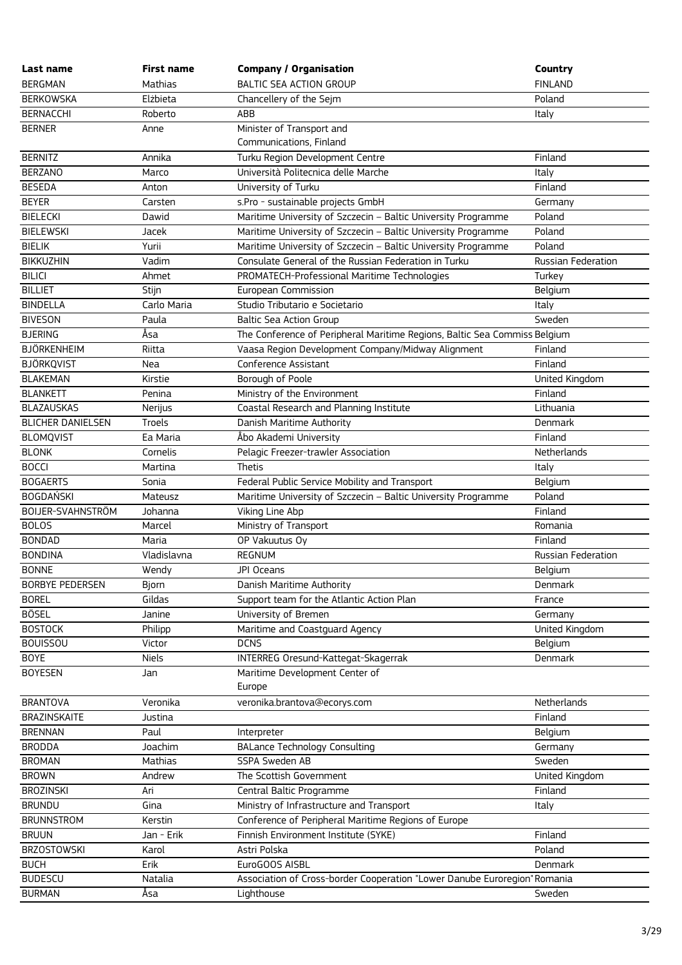| Last name                | <b>First name</b> | <b>Company / Organisation</b>                                             | Country                   |
|--------------------------|-------------------|---------------------------------------------------------------------------|---------------------------|
| <b>BERGMAN</b>           | <b>Mathias</b>    | <b>BALTIC SEA ACTION GROUP</b>                                            | <b>FINLAND</b>            |
| <b>BERKOWSKA</b>         | Elżbieta          | Chancellery of the Sejm                                                   | Poland                    |
| <b>BERNACCHI</b>         | Roberto           | ABB                                                                       | Italy                     |
| <b>BERNER</b>            | Anne              | Minister of Transport and                                                 |                           |
|                          |                   | Communications, Finland                                                   |                           |
| <b>BERNITZ</b>           | Annika            | Turku Region Development Centre                                           | Finland                   |
| <b>BERZANO</b>           | Marco             | Università Politecnica delle Marche                                       | Italy                     |
| <b>BESEDA</b>            | Anton             | University of Turku                                                       | Finland                   |
| <b>BEYER</b>             | Carsten           | s.Pro - sustainable projects GmbH                                         | Germany                   |
| <b>BIELECKI</b>          | Dawid             | Maritime University of Szczecin - Baltic University Programme             | Poland                    |
| <b>BIELEWSKI</b>         | Jacek             | Maritime University of Szczecin - Baltic University Programme             | Poland                    |
| <b>BIELIK</b>            | Yurii             | Maritime University of Szczecin - Baltic University Programme             | Poland                    |
| <b>BIKKUZHIN</b>         | Vadim             | Consulate General of the Russian Federation in Turku                      | Russian Federation        |
| <b>BILICI</b>            | Ahmet             | PROMATECH-Professional Maritime Technologies                              | Turkey                    |
| <b>BILLIET</b>           | Stijn             | European Commission                                                       | Belgium                   |
| <b>BINDELLA</b>          | Carlo Maria       | Studio Tributario e Societario                                            | Italy                     |
| <b>BIVESON</b>           | Paula             | <b>Baltic Sea Action Group</b>                                            | Sweden                    |
| <b>BJERING</b>           | Åsa               | The Conference of Peripheral Maritime Regions, Baltic Sea Commiss Belgium |                           |
| <b>BJÖRKENHEIM</b>       | Riitta            | Vaasa Region Development Company/Midway Alignment                         | Finland                   |
| <b>BJÖRKQVIST</b>        | Nea               | Conference Assistant                                                      | Finland                   |
| <b>BLAKEMAN</b>          | Kirstie           | Borough of Poole                                                          | United Kingdom            |
| <b>BLANKETT</b>          | Penina            | Ministry of the Environment                                               | Finland                   |
| <b>BLAZAUSKAS</b>        | Nerijus           | Coastal Research and Planning Institute                                   | Lithuania                 |
| <b>BLICHER DANIELSEN</b> | Troels            | Danish Maritime Authority                                                 | Denmark                   |
| <b>BLOMQVIST</b>         | Ea Maria          | Åbo Akademi University                                                    | Finland                   |
| <b>BLONK</b>             | Cornelis          | Pelagic Freezer-trawler Association                                       | Netherlands               |
| <b>BOCCI</b>             | Martina           | Thetis                                                                    | Italy                     |
| <b>BOGAERTS</b>          | Sonia             | Federal Public Service Mobility and Transport                             | Belgium                   |
| <b>BOGDAŃSKI</b>         | Mateusz           | Maritime University of Szczecin - Baltic University Programme             | Poland                    |
| BOIJER-SVAHNSTRÖM        | Johanna           | Viking Line Abp                                                           | Finland                   |
| <b>BOLOS</b>             | Marcel            | Ministry of Transport                                                     | Romania                   |
| <b>BONDAD</b>            | Maria             | OP Vakuutus Oy                                                            | Finland                   |
| <b>BONDINA</b>           | Vladislavna       | <b>REGNUM</b>                                                             | <b>Russian Federation</b> |
| <b>BONNE</b>             | Wendy             | JPI Oceans                                                                | Belgium                   |
| <b>BORBYE PEDERSEN</b>   | Bjorn             | Danish Maritime Authority                                                 | Denmark                   |
| <b>BOREL</b>             | Gildas            | Support team for the Atlantic Action Plan                                 | France                    |
| <b>BÖSEL</b>             | Janine            | University of Bremen                                                      | Germany                   |
| <b>BOSTOCK</b>           | Philipp           | Maritime and Coastguard Agency                                            | United Kingdom            |
| <b>BOUISSOU</b>          | Victor            | <b>DCNS</b>                                                               | Belgium                   |
| <b>BOYE</b>              | <b>Niels</b>      | INTERREG Oresund-Kattegat-Skagerrak                                       | Denmark                   |
| <b>BOYESEN</b>           | Jan               | Maritime Development Center of                                            |                           |
|                          |                   | Europe                                                                    |                           |
| <b>BRANTOVA</b>          | Veronika          | veronika.brantova@ecorys.com                                              | Netherlands               |
| <b>BRAZINSKAITE</b>      | Justina           |                                                                           | Finland                   |
| <b>BRENNAN</b>           | Paul              | Interpreter                                                               | Belgium                   |
| <b>BRODDA</b>            | Joachim           | <b>BALance Technology Consulting</b>                                      | Germany                   |
| <b>BROMAN</b>            | <b>Mathias</b>    | <b>SSPA Sweden AB</b>                                                     | Sweden                    |
| <b>BROWN</b>             | Andrew            | The Scottish Government                                                   | United Kingdom            |
| <b>BROZINSKI</b>         | Ari               | Central Baltic Programme                                                  | Finland                   |
| <b>BRUNDU</b>            | Gina              | Ministry of Infrastructure and Transport                                  | Italy                     |
| <b>BRUNNSTROM</b>        | Kerstin           | Conference of Peripheral Maritime Regions of Europe                       |                           |
| <b>BRUUN</b>             | Jan - Erik        | Finnish Environment Institute (SYKE)                                      | Finland                   |
| <b>BRZOSTOWSKI</b>       | Karol             | Astri Polska                                                              | Poland                    |
| <b>BUCH</b>              | Erik              | EuroGOOS AISBL                                                            | Denmark                   |
| <b>BUDESCU</b>           | Natalia           | Association of Cross-border Cooperation "Lower Danube Euroregion" Romania |                           |
| <b>BURMAN</b>            | Åsa               | Lighthouse                                                                | Sweden                    |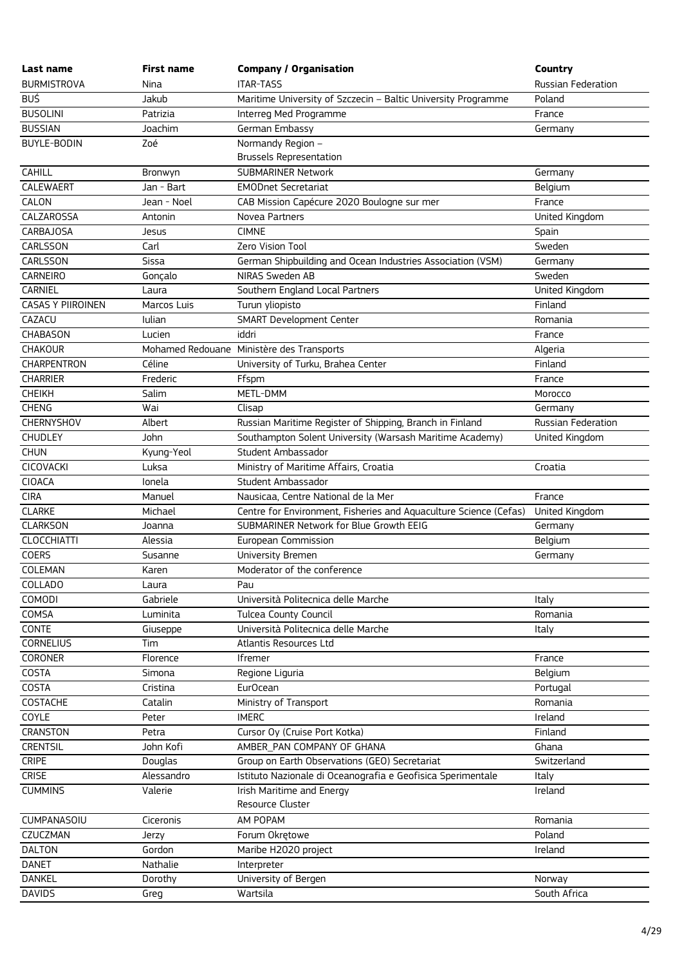| Last name                | <b>First name</b> | <b>Company / Organisation</b>                                     | Country                   |
|--------------------------|-------------------|-------------------------------------------------------------------|---------------------------|
| <b>BURMISTROVA</b>       | Nina              | <b>ITAR-TASS</b>                                                  | <b>Russian Federation</b> |
| <b>BUŚ</b>               | Jakub             | Maritime University of Szczecin - Baltic University Programme     | Poland                    |
| <b>BUSOLINI</b>          | Patrizia          | Interreg Med Programme                                            | France                    |
| <b>BUSSIAN</b>           | Joachim           | German Embassy                                                    | Germany                   |
| <b>BUYLE-BODIN</b>       | Zoé               | Normandy Region -                                                 |                           |
|                          |                   | <b>Brussels Representation</b>                                    |                           |
| <b>CAHILL</b>            | Bronwyn           | <b>SUBMARINER Network</b>                                         | Germany                   |
| CALEWAERT                | Jan - Bart        | <b>EMODnet Secretariat</b>                                        | Belgium                   |
| CALON                    | Jean - Noel       | CAB Mission Capécure 2020 Boulogne sur mer                        | France                    |
| CALZAROSSA               | Antonin           | Novea Partners                                                    | United Kingdom            |
| <b>CARBAJOSA</b>         | Jesus             | <b>CIMNE</b>                                                      | Spain                     |
| CARLSSON                 | Carl              | Zero Vision Tool                                                  | Sweden                    |
| CARLSSON                 | Sissa             | German Shipbuilding and Ocean Industries Association (VSM)        | Germany                   |
| <b>CARNEIRO</b>          | Gonçalo           | NIRAS Sweden AB                                                   | Sweden                    |
| CARNIEL                  | Laura             | Southern England Local Partners                                   | United Kingdom            |
| <b>CASAS Y PIIROINEN</b> | Marcos Luis       | Turun yliopisto                                                   | Finland                   |
| CAZACU                   | <b>Iulian</b>     | <b>SMART Development Center</b>                                   | Romania                   |
| <b>CHABASON</b>          | Lucien            | iddri                                                             | France                    |
| CHAKOUR                  |                   | Mohamed Redouane Ministère des Transports                         | Algeria                   |
| <b>CHARPENTRON</b>       | Céline            | University of Turku, Brahea Center                                | Finland                   |
| <b>CHARRIER</b>          | Frederic          | Ffspm                                                             | France                    |
| <b>CHEIKH</b>            | Salim             | METL-DMM                                                          | Morocco                   |
| <b>CHENG</b>             | Wai               | Clisap                                                            | Germany                   |
| <b>CHERNYSHOV</b>        | Albert            | Russian Maritime Register of Shipping, Branch in Finland          | Russian Federation        |
| <b>CHUDLEY</b>           | John              | Southampton Solent University (Warsash Maritime Academy)          | United Kingdom            |
| <b>CHUN</b>              | Kyung-Yeol        | Student Ambassador                                                |                           |
| CICOVACKI                | Luksa             | Ministry of Maritime Affairs, Croatia                             | Croatia                   |
| <b>CIOACA</b>            | Ionela            | Student Ambassador                                                |                           |
| <b>CIRA</b>              | Manuel            | Nausicaa, Centre National de la Mer                               | France                    |
| <b>CLARKE</b>            | Michael           | Centre for Environment, Fisheries and Aquaculture Science (Cefas) | United Kingdom            |
| <b>CLARKSON</b>          | Joanna            | SUBMARINER Network for Blue Growth EEIG                           | Germany                   |
| <b>CLOCCHIATTI</b>       | Alessia           | European Commission                                               | Belgium                   |
| <b>COERS</b>             | Susanne           | University Bremen                                                 | Germany                   |
| COLEMAN                  | Karen             | Moderator of the conference                                       |                           |
| COLLADO                  | Laura             | Pau                                                               |                           |
| <b>COMODI</b>            | Gabriele          | Università Politecnica delle Marche                               | Italy                     |
| COMSA                    | Luminita          | <b>Tulcea County Council</b>                                      | Romania                   |
| CONTE                    | Giuseppe          | Università Politecnica delle Marche                               | Italy                     |
| <b>CORNELIUS</b>         | Tim               | Atlantis Resources Ltd                                            |                           |
| CORONER                  | Florence          | Ifremer                                                           | France                    |
| COSTA                    | Simona            | Regione Liguria                                                   | Belgium                   |
| COSTA                    | Cristina          | Eur <sub>Ocean</sub>                                              | Portugal                  |
| COSTACHE                 | Catalin           | Ministry of Transport                                             | Romania                   |
| COYLE                    | Peter             | <b>IMERC</b>                                                      | Ireland                   |
| CRANSTON                 | Petra             | Cursor Oy (Cruise Port Kotka)                                     | Finland                   |
| <b>CRENTSIL</b>          | John Kofi         | AMBER PAN COMPANY OF GHANA                                        | Ghana                     |
| <b>CRIPE</b>             | Douglas           | Group on Earth Observations (GEO) Secretariat                     | Switzerland               |
| <b>CRISE</b>             | Alessandro        | Istituto Nazionale di Oceanografia e Geofisica Sperimentale       | Italy                     |
| <b>CUMMINS</b>           | Valerie           | Irish Maritime and Energy                                         | Ireland                   |
|                          |                   | Resource Cluster                                                  |                           |
| <b>CUMPANASOIU</b>       | Ciceronis         | AM POPAM                                                          | Romania                   |
| CZUCZMAN                 | Jerzy             | Forum Okrętowe                                                    | Poland                    |
| <b>DALTON</b>            | Gordon            | Maribe H2020 project                                              | Ireland                   |
| <b>DANET</b>             | Nathalie          | Interpreter                                                       |                           |
| <b>DANKEL</b>            | Dorothy           | University of Bergen                                              | Norway                    |
| <b>DAVIDS</b>            | Greg              | Wartsila                                                          | South Africa              |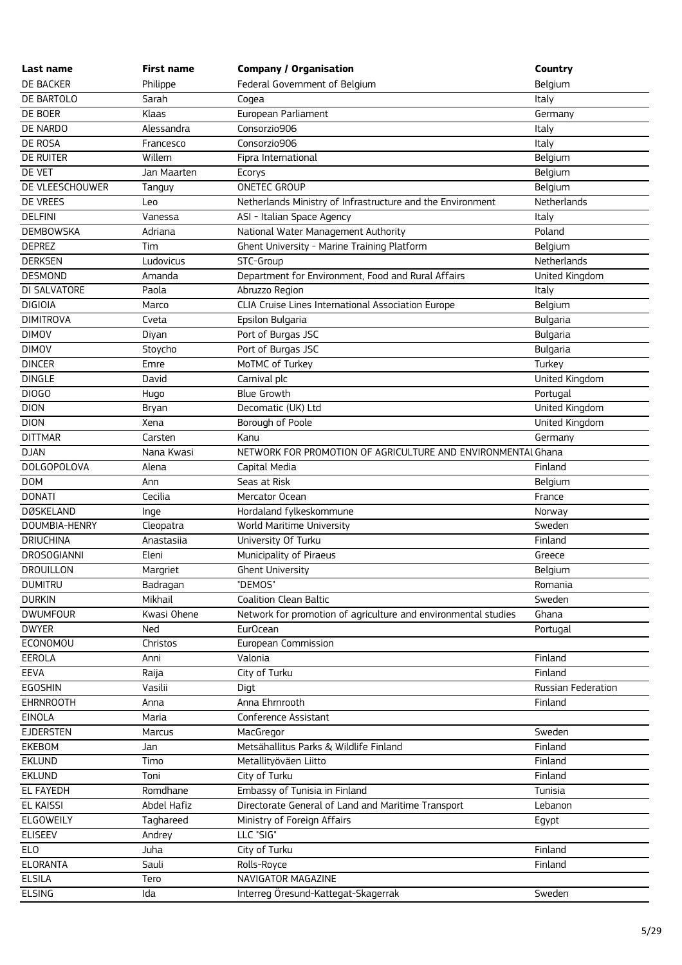| Last name          | <b>First name</b> | <b>Company / Organisation</b>                                  | Country            |
|--------------------|-------------------|----------------------------------------------------------------|--------------------|
| DE BACKER          | Philippe          | Federal Government of Belgium                                  | Belgium            |
| DE BARTOLO         | Sarah             | Cogea                                                          | Italy              |
| DE BOER            | Klaas             | European Parliament                                            | Germany            |
| DE NARDO           | Alessandra        | Consorzio906                                                   | Italy              |
| DE ROSA            | Francesco         | Consorzio906                                                   | Italy              |
| <b>DE RUITER</b>   | Willem            | Fipra International                                            | Belgium            |
| DE VET             | Jan Maarten       | Ecorys                                                         | Belgium            |
| DE VLEESCHOUWER    | Tanguy            | <b>ONETEC GROUP</b>                                            | Belgium            |
| DE VREES           | Leo               | Netherlands Ministry of Infrastructure and the Environment     | Netherlands        |
| <b>DELFINI</b>     | Vanessa           | ASI - Italian Space Agency                                     | Italy              |
| <b>DEMBOWSKA</b>   | Adriana           | National Water Management Authority                            | Poland             |
| <b>DEPREZ</b>      | Tim               | Ghent University - Marine Training Platform                    | Belgium            |
| <b>DERKSEN</b>     | Ludovicus         | STC-Group                                                      | Netherlands        |
| <b>DESMOND</b>     | Amanda            | Department for Environment, Food and Rural Affairs             | United Kingdom     |
| DI SALVATORE       | Paola             | Abruzzo Region                                                 | Italy              |
| <b>DIGIOIA</b>     | Marco             | CLIA Cruise Lines International Association Europe             | Belgium            |
| <b>DIMITROVA</b>   | Cveta             | Epsilon Bulgaria                                               | <b>Bulgaria</b>    |
| <b>DIMOV</b>       | Diyan             | Port of Burgas JSC                                             | <b>Bulgaria</b>    |
| <b>DIMOV</b>       | Stoycho           | Port of Burgas JSC                                             | <b>Bulgaria</b>    |
| <b>DINCER</b>      | Emre              | MoTMC of Turkey                                                | Turkey             |
| <b>DINGLE</b>      | David             | Carnival plc                                                   | United Kingdom     |
| DIOGO              | Hugo              | <b>Blue Growth</b>                                             | Portugal           |
| <b>DION</b>        | Bryan             | Decomatic (UK) Ltd                                             | United Kingdom     |
| <b>DION</b>        | Xena              | Borough of Poole                                               | United Kingdom     |
| <b>DITTMAR</b>     | Carsten           | Kanu                                                           | Germany            |
| <b>DJAN</b>        | Nana Kwasi        | NETWORK FOR PROMOTION OF AGRICULTURE AND ENVIRONMENTAL Ghana   |                    |
| <b>DOLGOPOLOVA</b> | Alena             | Capital Media                                                  | Finland            |
| <b>DOM</b>         | Ann               | Seas at Risk                                                   | Belgium            |
| <b>DONATI</b>      | Cecilia           | Mercator Ocean                                                 | France             |
| <b>DØSKELAND</b>   | Inge              | Hordaland fylkeskommune                                        | Norway             |
| DOUMBIA-HENRY      | Cleopatra         | World Maritime University                                      | Sweden             |
| <b>DRIUCHINA</b>   | Anastasija        | University Of Turku                                            | Finland            |
| <b>DROSOGIANNI</b> | Eleni             | Municipality of Piraeus                                        | Greece             |
| <b>DROUILLON</b>   | Margriet          | <b>Ghent University</b>                                        | Belgium            |
| <b>DUMITRU</b>     | Badragan          | "DEMOS"                                                        | Romania            |
| <b>DURKIN</b>      | Mikhail           | <b>Coalition Clean Baltic</b>                                  | Sweden             |
| <b>DWUMFOUR</b>    | Kwasi Ohene       | Network for promotion of agriculture and environmental studies | Ghana              |
| <b>DWYER</b>       | Ned               | Eur <sub>Ocean</sub>                                           | Portugal           |
| ECONOMOU           | Christos          | European Commission                                            |                    |
| <b>EEROLA</b>      | Anni              | Valonia                                                        | Finland            |
| EEVA               | Raija             | City of Turku                                                  | Finland            |
| <b>EGOSHIN</b>     | Vasilii           | Digt                                                           | Russian Federation |
| <b>EHRNROOTH</b>   | Anna              | Anna Ehrnrooth                                                 | Finland            |
| <b>EINOLA</b>      | Maria             | Conference Assistant                                           |                    |
| <b>EJDERSTEN</b>   | Marcus            | MacGregor                                                      | Sweden             |
| <b>EKEBOM</b>      | Jan               | Metsähallitus Parks & Wildlife Finland                         | Finland            |
| <b>EKLUND</b>      | Timo              | Metallityöväen Liitto                                          | Finland            |
| <b>EKLUND</b>      | Toni              | City of Turku                                                  | Finland            |
| EL FAYEDH          | Romdhane          | Embassy of Tunisia in Finland                                  | Tunisia            |
| <b>EL KAISSI</b>   | Abdel Hafiz       | Directorate General of Land and Maritime Transport             | Lebanon            |
| ELGOWEILY          | Taghareed         | Ministry of Foreign Affairs                                    | Egypt              |
| <b>ELISEEV</b>     | Andrey            | LLC "SIG"                                                      |                    |
| <b>ELO</b>         | Juha              | City of Turku                                                  | Finland            |
| <b>ELORANTA</b>    | Sauli             | Rolls-Royce                                                    | Finland            |
| <b>ELSILA</b>      | Tero              | NAVIGATOR MAGAZINE                                             |                    |
| <b>ELSING</b>      | Ida               | Interreg Öresund-Kattegat-Skagerrak                            | Sweden             |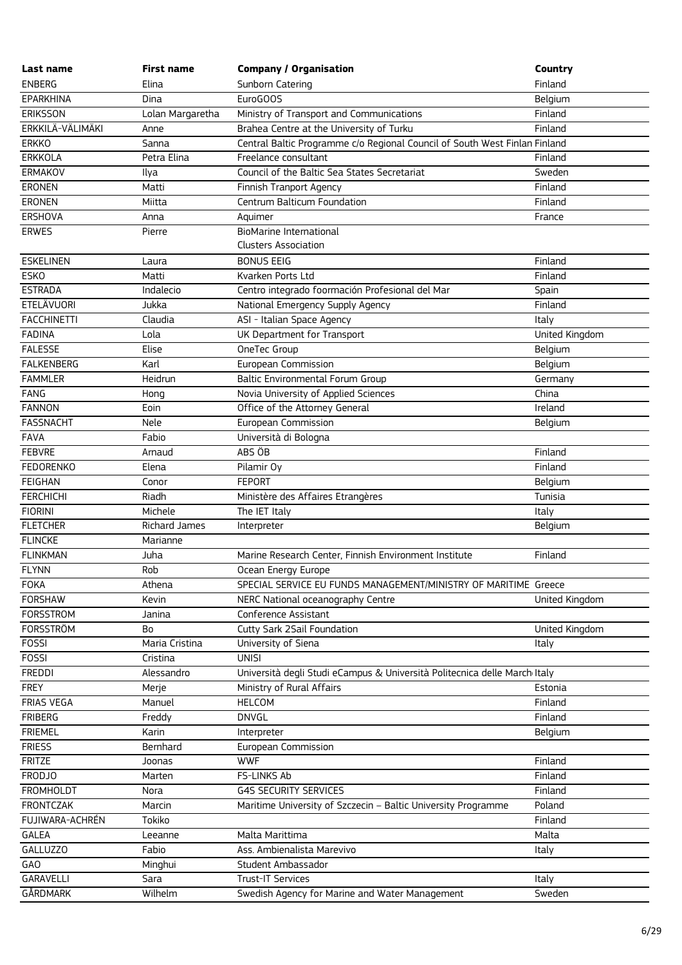| Last name          | <b>First name</b> | <b>Company / Organisation</b>                                              | Country        |
|--------------------|-------------------|----------------------------------------------------------------------------|----------------|
| <b>ENBERG</b>      | Elina             | Sunborn Catering                                                           | Finland        |
| <b>EPARKHINA</b>   | Dina              | EuroGOOS                                                                   | Belgium        |
| <b>ERIKSSON</b>    | Lolan Margaretha  | Ministry of Transport and Communications                                   | Finland        |
| ERKKILÄ-VÄLIMÄKI   | Anne              | Brahea Centre at the University of Turku                                   | Finland        |
| <b>ERKKO</b>       | Sanna             | Central Baltic Programme c/o Regional Council of South West Finlan Finland |                |
| <b>ERKKOLA</b>     | Petra Elina       | Freelance consultant                                                       | Finland        |
| ERMAKOV            | Ilya              | Council of the Baltic Sea States Secretariat                               | Sweden         |
| ERONEN             | Matti             | Finnish Tranport Agency                                                    | Finland        |
| <b>ERONEN</b>      | Miitta            | Centrum Balticum Foundation                                                | Finland        |
| ERSHOVA            | Anna              | Aquimer                                                                    | France         |
| <b>ERWES</b>       | Pierre            | <b>BioMarine International</b>                                             |                |
|                    |                   | <b>Clusters Association</b>                                                |                |
| <b>ESKELINEN</b>   | Laura             | <b>BONUS EEIG</b>                                                          | Finland        |
| <b>ESKO</b>        | Matti             | Kvarken Ports Ltd                                                          | Finland        |
| <b>ESTRADA</b>     | Indalecio         | Centro integrado foormación Profesional del Mar                            | Spain          |
| <b>ETELÄVUORI</b>  | Jukka             | National Emergency Supply Agency                                           | Finland        |
| <b>FACCHINETTI</b> | Claudia           | ASI - Italian Space Agency                                                 | Italy          |
| <b>FADINA</b>      | Lola              | UK Department for Transport                                                | United Kingdom |
| <b>FALESSE</b>     | Elise             | OneTec Group                                                               | Belgium        |
| <b>FALKENBERG</b>  | Karl              | European Commission                                                        | Belgium        |
| <b>FAMMLER</b>     | Heidrun           | Baltic Environmental Forum Group                                           | Germany        |
| <b>FANG</b>        | Hong              | Novia University of Applied Sciences                                       | China          |
| <b>FANNON</b>      | Eoin              | Office of the Attorney General                                             | Ireland        |
| <b>FASSNACHT</b>   | Nele              | European Commission                                                        | Belgium        |
| <b>FAVA</b>        | Fabio             | Università di Bologna                                                      |                |
| <b>FEBVRE</b>      | Arnaud            | ABS ÖB                                                                     | Finland        |
| <b>FEDORENKO</b>   | Elena             | Pilamir Oy                                                                 | Finland        |
| <b>FEIGHAN</b>     | Conor             | <b>FEPORT</b>                                                              | Belgium        |
| <b>FERCHICHI</b>   | Riadh             | Ministère des Affaires Etrangères                                          | Tunisia        |
| <b>FIORINI</b>     | Michele           | The IET Italy                                                              | Italy          |
| <b>FLETCHER</b>    | Richard James     | Interpreter                                                                | Belgium        |
| <b>FLINCKE</b>     | Marianne          |                                                                            |                |
| <b>FLINKMAN</b>    | Juha              | Marine Research Center, Finnish Environment Institute                      | Finland        |
| <b>FLYNN</b>       | Rob               | Ocean Energy Europe                                                        |                |
| <b>FOKA</b>        | Athena            | SPECIAL SERVICE EU FUNDS MANAGEMENT/MINISTRY OF MARITIME Greece            |                |
| <b>FORSHAW</b>     | Kevin             | NERC National oceanography Centre                                          | United Kingdom |
| <b>FORSSTROM</b>   | Janina            | Conference Assistant                                                       |                |
| <b>FORSSTRÖM</b>   | Bo                | Cutty Sark 2Sail Foundation                                                | United Kingdom |
| <b>FOSSI</b>       | Maria Cristina    | University of Siena                                                        | Italy          |
| <b>FOSSI</b>       | Cristina          | <b>UNISI</b>                                                               |                |
| <b>FREDDI</b>      | Alessandro        | Università degli Studi eCampus & Università Politecnica delle March Italy  |                |
| <b>FREY</b>        | Merje             | Ministry of Rural Affairs                                                  | Estonia        |
| <b>FRIAS VEGA</b>  | Manuel            | <b>HELCOM</b>                                                              | Finland        |
| <b>FRIBERG</b>     | Freddy            | <b>DNVGL</b>                                                               | Finland        |
| <b>FRIEMEL</b>     | Karin             | Interpreter                                                                | Belgium        |
| <b>FRIESS</b>      | Bernhard          | European Commission                                                        |                |
| <b>FRITZE</b>      | Joonas            | <b>WWF</b>                                                                 | Finland        |
| <b>FRODJO</b>      | Marten            | FS-LINKS Ab                                                                | Finland        |
| <b>FROMHOLDT</b>   | Nora              | <b>G4S SECURITY SERVICES</b>                                               | Finland        |
| <b>FRONTCZAK</b>   | Marcin            | Maritime University of Szczecin - Baltic University Programme              | Poland         |
| FUJIWARA-ACHRÉN    | Tokiko            |                                                                            | Finland        |
| <b>GALEA</b>       | Leeanne           | Malta Marittima                                                            | Malta          |
| <b>GALLUZZO</b>    | Fabio             | Ass. Ambienalista Marevivo                                                 | Italy          |
| <b>GAO</b>         | Minghui           | Student Ambassador                                                         |                |
| <b>GARAVELLI</b>   | Sara              | Trust-IT Services                                                          | Italy          |
| GÅRDMARK           | Wilhelm           | Swedish Agency for Marine and Water Management                             | Sweden         |
|                    |                   |                                                                            |                |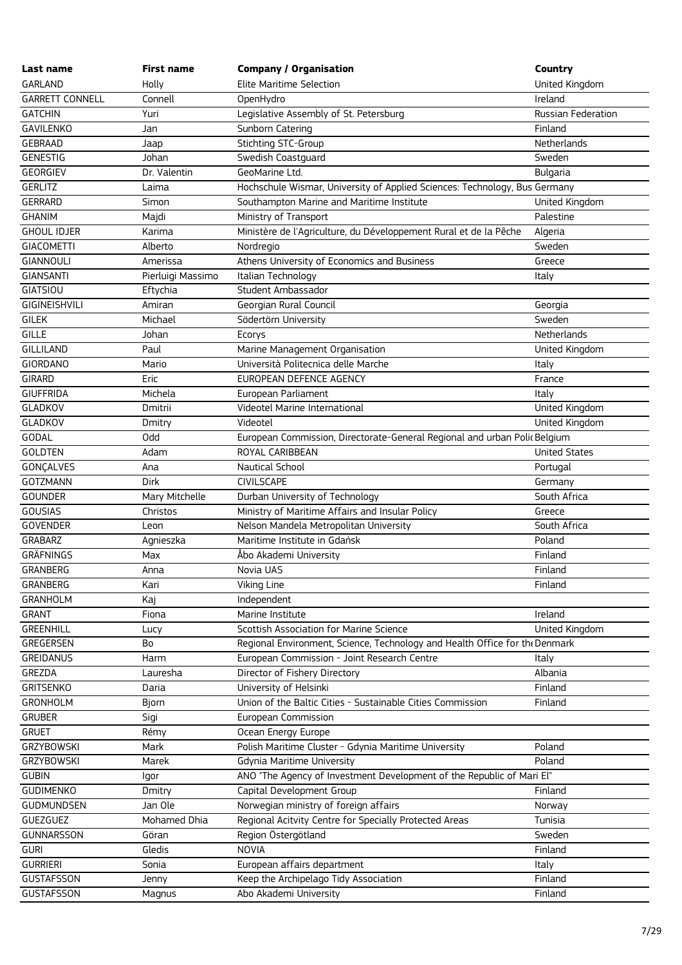| Last name                   | First name        | <b>Company / Organisation</b>                                               | Country                |
|-----------------------------|-------------------|-----------------------------------------------------------------------------|------------------------|
| <b>GARLAND</b>              | Holly             | Elite Maritime Selection                                                    | United Kingdom         |
| <b>GARRETT CONNELL</b>      | Connell           | OpenHydro                                                                   | Ireland                |
| <b>GATCHIN</b>              | Yuri              | Legislative Assembly of St. Petersburg                                      | Russian Federation     |
| <b>GAVILENKO</b>            | Jan               | Sunborn Catering                                                            | Finland                |
| <b>GEBRAAD</b>              | Jaap              | Stichting STC-Group                                                         | Netherlands            |
| <b>GENESTIG</b>             | Johan             | Swedish Coastguard                                                          | Sweden                 |
| <b>GEORGIEV</b>             | Dr. Valentin      | GeoMarine Ltd.                                                              | <b>Bulgaria</b>        |
| <b>GERLITZ</b>              | Laima             | Hochschule Wismar, University of Applied Sciences: Technology, Bus Germany  |                        |
| <b>GERRARD</b>              | Simon             | Southampton Marine and Maritime Institute                                   | United Kingdom         |
| <b>GHANIM</b>               | Majdi             | Ministry of Transport                                                       | Palestine              |
| <b>GHOUL IDJER</b>          | Karima            | Ministère de l'Agriculture, du Développement Rural et de la Pêche           | Algeria                |
| <b>GIACOMETTI</b>           | Alberto           | Nordregio                                                                   | Sweden                 |
| <b>GIANNOULI</b>            | Amerissa          | Athens University of Economics and Business                                 | Greece                 |
| <b>GIANSANTI</b>            | Pierluigi Massimo | Italian Technology                                                          | Italy                  |
| <b>GIATSIOU</b>             | Eftychia          | Student Ambassador                                                          |                        |
| GIGINEISHVILI               | Amiran            | Georgian Rural Council                                                      | Georgia                |
| <b>GILEK</b>                | Michael           | Södertörn University                                                        | Sweden                 |
| <b>GILLE</b>                | Johan             | Ecorys                                                                      | Netherlands            |
| <b>GILLILAND</b>            | Paul              | Marine Management Organisation                                              | United Kingdom         |
| <b>GIORDANO</b>             | Mario             | Università Politecnica delle Marche                                         | Italy                  |
| <b>GIRARD</b>               | Eric              | EUROPEAN DEFENCE AGENCY                                                     | France                 |
| <b>GIUFFRIDA</b>            | Michela           | European Parliament                                                         | Italy                  |
| <b>GLADKOV</b>              | Dmitrii           | Videotel Marine International                                               | United Kingdom         |
| <b>GLADKOV</b>              | Dmitry            | Videotel                                                                    | United Kingdom         |
| <b>GODAL</b>                | Odd               | European Commission, Directorate-General Regional and urban Polic Belgium   |                        |
| <b>GOLDTEN</b>              | Adam              | ROYAL CARIBBEAN                                                             | <b>United States</b>   |
| GONÇALVES                   | Ana               | Nautical School                                                             | Portugal               |
| <b>GOTZMANN</b>             | <b>Dirk</b>       | <b>CIVILSCAPE</b>                                                           | Germany                |
| <b>GOUNDER</b>              | Mary Mitchelle    | Durban University of Technology                                             | South Africa           |
| <b>GOUSIAS</b>              |                   | Ministry of Maritime Affairs and Insular Policy                             |                        |
| <b>GOVENDER</b>             | Christos          | Nelson Mandela Metropolitan University                                      | Greece<br>South Africa |
| <b>GRABARZ</b>              | Leon<br>Agnieszka | Maritime Institute in Gdańsk                                                | Poland                 |
|                             |                   |                                                                             |                        |
| GRÄFNINGS                   | Max               | Åbo Akademi University                                                      | Finland                |
| GRANBERG<br><b>GRANBERG</b> | Anna              | Novia UAS                                                                   | Finland                |
|                             | Kari              | Viking Line                                                                 | Finland                |
| <b>GRANHOLM</b>             | Kaj               | Independent                                                                 |                        |
| <b>GRANT</b>                | Fiona             | Marine Institute                                                            | Ireland                |
| <b>GREENHILL</b>            | Lucy              | Scottish Association for Marine Science                                     | United Kingdom         |
| GREGERSEN                   | Bo                | Regional Environment, Science, Technology and Health Office for the Denmark |                        |
| <b>GREIDANUS</b>            | Harm              | European Commission - Joint Research Centre                                 | Italy                  |
| GREZDA                      | Lauresha          | Director of Fishery Directory                                               | Albania                |
| <b>GRITSENKO</b>            | Daria             | University of Helsinki                                                      | Finland                |
| <b>GRONHOLM</b>             | <b>Bjorn</b>      | Union of the Baltic Cities - Sustainable Cities Commission                  | Finland                |
| <b>GRUBER</b>               | Sigi              | European Commission                                                         |                        |
| <b>GRUET</b>                | Rémy              | Ocean Energy Europe                                                         |                        |
| <b>GRZYBOWSKI</b>           | Mark              | Polish Maritime Cluster - Gdynia Maritime University                        | Poland                 |
| <b>GRZYBOWSKI</b>           | Marek             | <b>Gdynia Maritime University</b>                                           | Poland                 |
| <b>GUBIN</b>                | lgor              | ANO "The Agency of Investment Development of the Republic of Mari El"       |                        |
| <b>GUDIMENKO</b>            | Dmitry            | Capital Development Group                                                   | Finland                |
| <b>GUDMUNDSEN</b>           | Jan Ole           | Norwegian ministry of foreign affairs                                       | Norway                 |
| GUEZGUEZ                    | Mohamed Dhia      | Regional Acitvity Centre for Specially Protected Areas                      | Tunisia                |
| <b>GUNNARSSON</b>           | Göran             | Region Östergötland                                                         | Sweden                 |
| <b>GURI</b>                 | Gledis            | <b>NOVIA</b>                                                                | Finland                |
| <b>GURRIERI</b>             | Sonia             | European affairs department                                                 | Italy                  |
| <b>GUSTAFSSON</b>           | Jenny             | Keep the Archipelago Tidy Association                                       | Finland                |
| <b>GUSTAFSSON</b>           | Magnus            | Abo Akademi University                                                      | Finland                |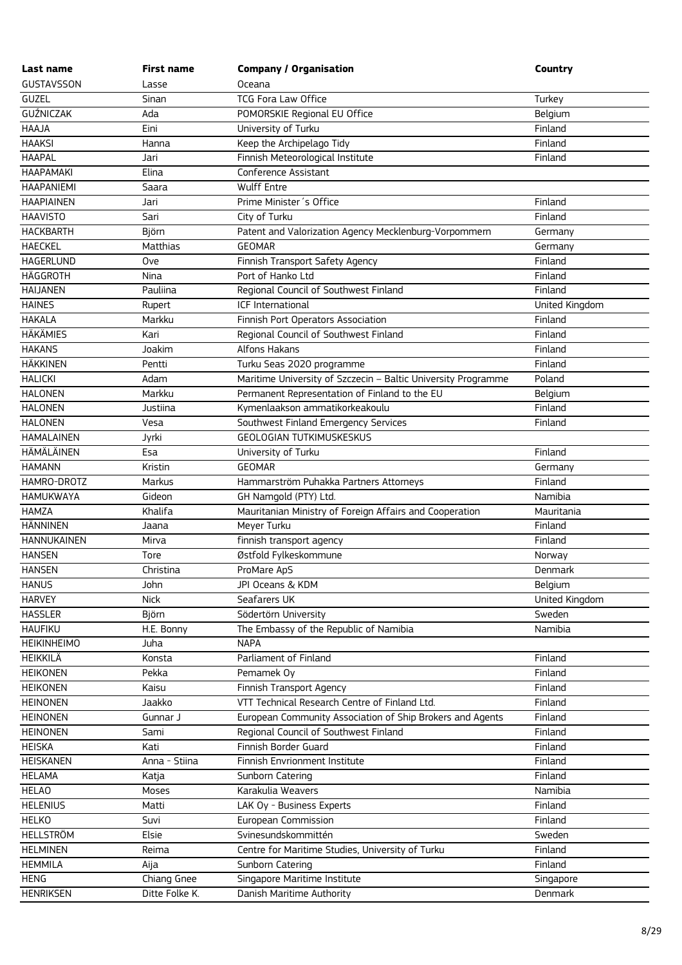| Last name          | <b>First name</b> | <b>Company / Organisation</b>                                 | Country        |
|--------------------|-------------------|---------------------------------------------------------------|----------------|
| <b>GUSTAVSSON</b>  | Lasse             | Oceana                                                        |                |
| <b>GUZEL</b>       | Sinan             | <b>TCG Fora Law Office</b>                                    | Turkey         |
| <b>GUŹNICZAK</b>   | Ada               | POMORSKIE Regional EU Office                                  | Belgium        |
| HAAJA              | Eini              | University of Turku                                           | Finland        |
| <b>HAAKSI</b>      | Hanna             | Keep the Archipelago Tidy                                     | Finland        |
| <b>HAAPAL</b>      | Jari              | Finnish Meteorological Institute                              | Finland        |
| <b>HAAPAMAKI</b>   | Elina             | Conference Assistant                                          |                |
| <b>HAAPANIEMI</b>  | Saara             | Wulff Entre                                                   |                |
| <b>HAAPIAINEN</b>  | Jari              | Prime Minister's Office                                       | Finland        |
| <b>HAAVISTO</b>    | Sari              | City of Turku                                                 | Finland        |
| <b>HACKBARTH</b>   | Björn             | Patent and Valorization Agency Mecklenburg-Vorpommern         | Germany        |
| <b>HAECKEL</b>     | <b>Matthias</b>   | <b>GEOMAR</b>                                                 | Germany        |
| HAGERLUND          | Ove               | Finnish Transport Safety Agency                               | Finland        |
| HÄGGROTH           | Nina              | Port of Hanko Ltd                                             | Finland        |
| <b>HAIJANEN</b>    | Pauliina          | Regional Council of Southwest Finland                         | Finland        |
| <b>HAINES</b>      | Rupert            | ICF International                                             | United Kingdom |
| <b>HAKALA</b>      | Markku            | Finnish Port Operators Association                            | Finland        |
| <b>HÄKÄMIES</b>    | Kari              | Regional Council of Southwest Finland                         | Finland        |
| <b>HAKANS</b>      | Joakim            | Alfons Hakans                                                 | Finland        |
| <b>HÄKKINEN</b>    | Pentti            | Turku Seas 2020 programme                                     | Finland        |
| <b>HALICKI</b>     | Adam              | Maritime University of Szczecin - Baltic University Programme | Poland         |
| <b>HALONEN</b>     | Markku            | Permanent Representation of Finland to the EU                 | Belgium        |
| <b>HALONEN</b>     | Justiina          | Kymenlaakson ammatikorkeakoulu                                | Finland        |
| <b>HALONEN</b>     | Vesa              | Southwest Finland Emergency Services                          | Finland        |
| <b>HAMALAINEN</b>  | Jyrki             | <b>GEOLOGIAN TUTKIMUSKESKUS</b>                               |                |
| HÄMÄLÄINEN         | Esa               | University of Turku                                           | Finland        |
| <b>HAMANN</b>      | Kristin           | <b>GEOMAR</b>                                                 | Germany        |
| HAMRO-DROTZ        | Markus            | Hammarström Puhakka Partners Attorneys                        | Finland        |
| <b>HAMUKWAYA</b>   | Gideon            | GH Namgold (PTY) Ltd.                                         | Namibia        |
| <b>HAMZA</b>       | Khalifa           | Mauritanian Ministry of Foreign Affairs and Cooperation       | Mauritania     |
| <b>HÄNNINEN</b>    | Jaana             | Meyer Turku                                                   | Finland        |
| <b>HANNUKAINEN</b> | Mirva             | finnish transport agency                                      | Finland        |
| <b>HANSEN</b>      | Tore              | Østfold Fylkeskommune                                         | Norway         |
| <b>HANSEN</b>      | Christina         | ProMare ApS                                                   | Denmark        |
| <b>HANUS</b>       | John              | JPI Oceans & KDM                                              | Belgium        |
| <b>HARVEY</b>      | <b>Nick</b>       | Seafarers UK                                                  | United Kingdom |
| <b>HASSLER</b>     | Björn             | Södertörn University                                          | Sweden         |
| <b>HAUFIKU</b>     | H.E. Bonny        | The Embassy of the Republic of Namibia                        | Namibia        |
| <b>HEIKINHEIMO</b> | Juha              | <b>NAPA</b>                                                   |                |
| HEIKKILÄ           | Konsta            | Parliament of Finland                                         | Finland        |
| <b>HEIKONEN</b>    | Pekka             | Pemamek Oy                                                    | Finland        |
| <b>HEIKONEN</b>    | Kaisu             | Finnish Transport Agency                                      | Finland        |
| <b>HEINONEN</b>    | Jaakko            | VTT Technical Research Centre of Finland Ltd.                 | Finland        |
| <b>HEINONEN</b>    | Gunnar J          | European Community Association of Ship Brokers and Agents     | Finland        |
| <b>HEINONEN</b>    | Sami              | Regional Council of Southwest Finland                         | Finland        |
| <b>HEISKA</b>      | Kati              | Finnish Border Guard                                          | Finland        |
| HEISKANEN          | Anna - Stiina     | Finnish Envrionment Institute                                 | Finland        |
| <b>HELAMA</b>      | Katja             | Sunborn Catering                                              | Finland        |
| <b>HELAO</b>       | Moses             | Karakulia Weavers                                             | Namibia        |
| <b>HELENIUS</b>    | Matti             | LAK Oy - Business Experts                                     | Finland        |
| <b>HELKO</b>       | Suvi              | European Commission                                           | Finland        |
| <b>HELLSTRÖM</b>   | Elsie             | Svinesundskommittén                                           | Sweden         |
| <b>HELMINEN</b>    | Reima             | Centre for Maritime Studies, University of Turku              | Finland        |
| <b>HEMMILA</b>     | Aija              | Sunborn Catering                                              | Finland        |
| <b>HENG</b>        | Chiang Gnee       | Singapore Maritime Institute                                  | Singapore      |
| <b>HENRIKSEN</b>   | Ditte Folke K.    | Danish Maritime Authority                                     | Denmark        |
|                    |                   |                                                               |                |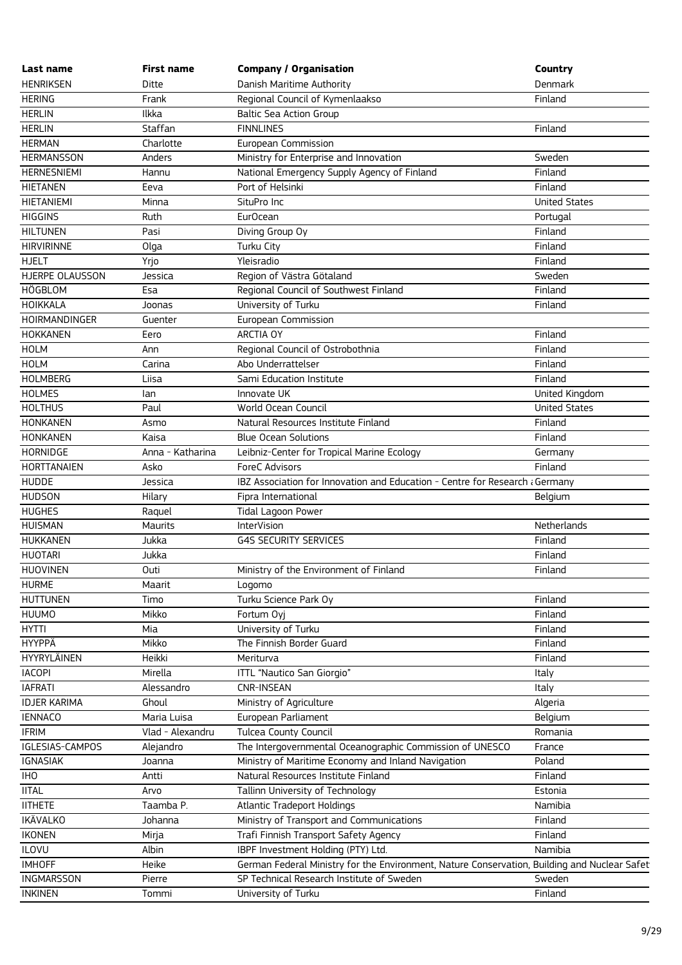| Last name           | <b>First name</b> | <b>Company / Organisation</b>                                                                | Country              |
|---------------------|-------------------|----------------------------------------------------------------------------------------------|----------------------|
| <b>HENRIKSEN</b>    | Ditte             | Danish Maritime Authority                                                                    | Denmark              |
| <b>HERING</b>       | Frank             | Regional Council of Kymenlaakso                                                              | Finland              |
| <b>HERLIN</b>       | Ilkka             | Baltic Sea Action Group                                                                      |                      |
| <b>HERLIN</b>       | Staffan           | <b>FINNLINES</b>                                                                             | Finland              |
| <b>HERMAN</b>       | Charlotte         | European Commission                                                                          |                      |
| <b>HERMANSSON</b>   | Anders            | Ministry for Enterprise and Innovation                                                       | Sweden               |
| <b>HERNESNIEMI</b>  | Hannu             | National Emergency Supply Agency of Finland                                                  | Finland              |
| <b>HIETANEN</b>     | Eeva              | Port of Helsinki                                                                             | Finland              |
| <b>HIETANIEMI</b>   | Minna             | SituPro Inc                                                                                  | <b>United States</b> |
| <b>HIGGINS</b>      | Ruth              | Eur <sub>Ocean</sub>                                                                         | Portugal             |
| <b>HILTUNEN</b>     | Pasi              | Diving Group Oy                                                                              | Finland              |
| <b>HIRVIRINNE</b>   | Olga              | Turku City                                                                                   | Finland              |
| <b>HJELT</b>        | Yrjo              | Yleisradio                                                                                   | Finland              |
| HJERPE OLAUSSON     | Jessica           | Region of Västra Götaland                                                                    | Sweden               |
| HÖGBLOM             | Esa               | Regional Council of Southwest Finland                                                        | Finland              |
| <b>HOIKKALA</b>     | Joonas            | University of Turku                                                                          | Finland              |
| HOIRMANDINGER       | Guenter           | European Commission                                                                          |                      |
| <b>HOKKANEN</b>     | Eero              | ARCTIA OY                                                                                    | Finland              |
| <b>HOLM</b>         | Ann               | Regional Council of Ostrobothnia                                                             | Finland              |
| <b>HOLM</b>         | Carina            | Abo Underrattelser                                                                           | Finland              |
| <b>HOLMBERG</b>     | Liisa             | Sami Education Institute                                                                     | Finland              |
| <b>HOLMES</b>       | lan               | Innovate UK                                                                                  | United Kingdom       |
| <b>HOLTHUS</b>      | Paul              | World Ocean Council                                                                          | <b>United States</b> |
| <b>HONKANEN</b>     | Asmo              | Natural Resources Institute Finland                                                          | Finland              |
| <b>HONKANEN</b>     | Kaisa             | <b>Blue Ocean Solutions</b>                                                                  | Finland              |
| <b>HORNIDGE</b>     | Anna - Katharina  | Leibniz-Center for Tropical Marine Ecology                                                   | Germany              |
| <b>HORTTANAIEN</b>  | Asko              | ForeC Advisors                                                                               | Finland              |
| <b>HUDDE</b>        | Jessica           | IBZ Association for Innovation and Education - Centre for Research a Germany                 |                      |
| <b>HUDSON</b>       | Hilary            | Fipra International                                                                          | Belgium              |
| <b>HUGHES</b>       | Raquel            | Tidal Lagoon Power                                                                           |                      |
| <b>HUISMAN</b>      | <b>Maurits</b>    | InterVision                                                                                  | Netherlands          |
| <b>HUKKANEN</b>     | Jukka             | <b>G4S SECURITY SERVICES</b>                                                                 | Finland              |
| <b>HUOTARI</b>      | Jukka             |                                                                                              | Finland              |
| <b>HUOVINEN</b>     | Outi              | Ministry of the Environment of Finland                                                       | Finland              |
| <b>HURME</b>        | Maarit            | Logomo                                                                                       |                      |
| <b>HUTTUNEN</b>     | Timo              | Turku Science Park Oy                                                                        | Finland              |
| <b>HUUMO</b>        | Mikko             | Fortum Oyj                                                                                   | Finland              |
| <b>HYTTI</b>        | Mia               | University of Turku                                                                          | Finland              |
| <b>HYYPPÄ</b>       | Mikko             | The Finnish Border Guard                                                                     | Finland              |
| <b>HYYRYLÄINEN</b>  | Heikki            | Meriturva                                                                                    | Finland              |
| <b>IACOPI</b>       | Mirella           | ITTL "Nautico San Giorgio"                                                                   | Italy                |
| <b>IAFRATI</b>      | Alessandro        | <b>CNR-INSEAN</b>                                                                            | Italy                |
| <b>IDJER KARIMA</b> | Ghoul             | Ministry of Agriculture                                                                      | Algeria              |
| <b>IENNACO</b>      | Maria Luisa       | European Parliament                                                                          | Belgium              |
| <b>IFRIM</b>        | Vlad - Alexandru  | <b>Tulcea County Council</b>                                                                 | Romania              |
| IGLESIAS-CAMPOS     | Alejandro         | The Intergovernmental Oceanographic Commission of UNESCO                                     | France               |
| <b>IGNASIAK</b>     | Joanna            | Ministry of Maritime Economy and Inland Navigation                                           | Poland               |
| <b>IHO</b>          | Antti             | Natural Resources Institute Finland                                                          | Finland              |
| <b>IITAL</b>        | Arvo              | Tallinn University of Technology                                                             | Estonia              |
| <b>IITHETE</b>      | Taamba P.         | <b>Atlantic Tradeport Holdings</b>                                                           | Namibia              |
| <b>IKÄVALKO</b>     | Johanna           | Ministry of Transport and Communications                                                     | Finland              |
| <b>IKONEN</b>       | Mirja             | Trafi Finnish Transport Safety Agency                                                        | Finland              |
| <b>ILOVU</b>        | Albin             | IBPF Investment Holding (PTY) Ltd.                                                           | Namibia              |
| <b>IMHOFF</b>       | Heike             | German Federal Ministry for the Environment, Nature Conservation, Building and Nuclear Safet |                      |
| <b>INGMARSSON</b>   | Pierre            | SP Technical Research Institute of Sweden                                                    | Sweden               |
| <b>INKINEN</b>      | Tommi             | University of Turku                                                                          | Finland              |
|                     |                   |                                                                                              |                      |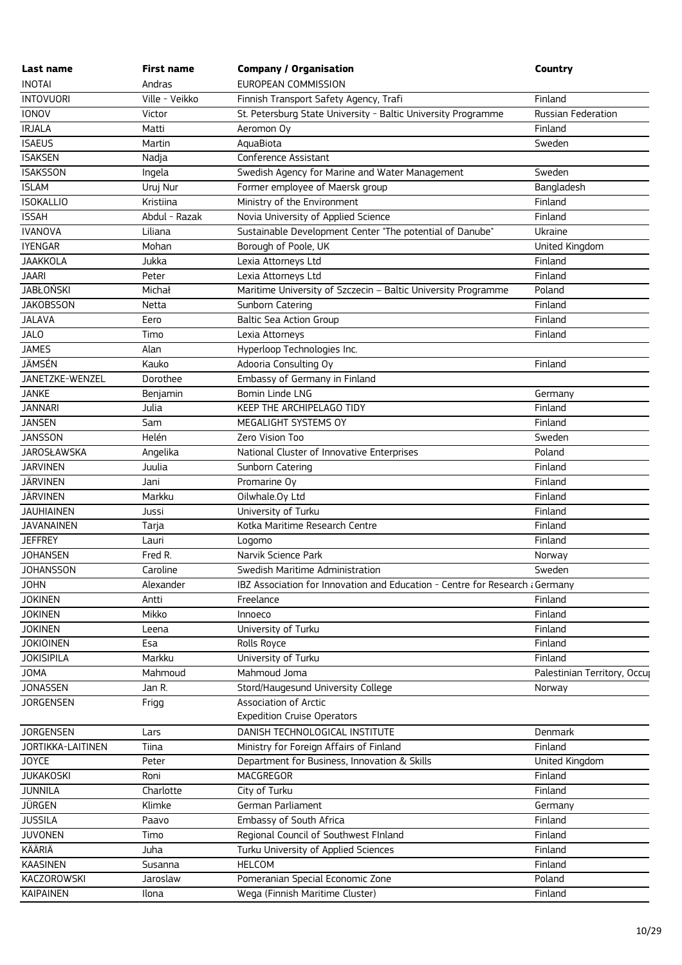| Last name                             | First name     | <b>Company / Organisation</b>                                                | Country                      |
|---------------------------------------|----------------|------------------------------------------------------------------------------|------------------------------|
| <b>INOTAI</b>                         | Andras         | EUROPEAN COMMISSION                                                          |                              |
| <b>INTOVUORI</b>                      | Ville - Veikko | Finnish Transport Safety Agency, Trafi                                       | Finland                      |
| <b>IONOV</b>                          | Victor         | St. Petersburg State University - Baltic University Programme                | Russian Federation           |
| <b>IRJALA</b>                         | Matti          | Aeromon Oy                                                                   | Finland                      |
| <b>ISAEUS</b>                         | Martin         | AquaBiota                                                                    | Sweden                       |
| <b>ISAKSEN</b>                        | Nadja          | Conference Assistant                                                         |                              |
| <b>ISAKSSON</b>                       | Ingela         | Swedish Agency for Marine and Water Management                               | Sweden                       |
| <b>ISLAM</b>                          | Uruj Nur       | Former employee of Maersk group                                              | Bangladesh                   |
| <b>ISOKALLIO</b>                      | Kristiina      | Ministry of the Environment                                                  | Finland                      |
| <b>ISSAH</b>                          | Abdul - Razak  | Novia University of Applied Science                                          | Finland                      |
| <b>IVANOVA</b>                        | Liliana        | Sustainable Development Center "The potential of Danube"                     | Ukraine                      |
| <b>IYENGAR</b>                        | Mohan          | Borough of Poole, UK                                                         | United Kingdom               |
| <b>JAAKKOLA</b>                       | Jukka          | Lexia Attorneys Ltd                                                          | Finland                      |
| <b>JAARI</b>                          | Peter          | Lexia Attorneys Ltd                                                          | Finland                      |
| <b>JABŁOŃSKI</b>                      | Michał         | Maritime University of Szczecin - Baltic University Programme                | Poland                       |
| <b>JAKOBSSON</b>                      | Netta          | Sunborn Catering                                                             | Finland                      |
| <b>JALAVA</b>                         | Eero           | <b>Baltic Sea Action Group</b>                                               | Finland                      |
| <b>JALO</b>                           | Timo           | Lexia Attorneys                                                              | Finland                      |
| <b>JAMES</b>                          | Alan           | Hyperloop Technologies Inc.                                                  |                              |
| JÄMSÉN                                | Kauko          | Adooria Consulting Oy                                                        | Finland                      |
| JANETZKE-WENZEL                       | Dorothee       | Embassy of Germany in Finland                                                |                              |
| <b>JANKE</b>                          | Benjamin       | Bomin Linde LNG                                                              | Germany                      |
| <b>JANNARI</b>                        | Julia          | KEEP THE ARCHIPELAGO TIDY                                                    | Finland                      |
| <b>JANSEN</b>                         | Sam            | MEGALIGHT SYSTEMS OY                                                         | Finland                      |
| <b>JANSSON</b>                        | Helén          | Zero Vision Too                                                              | Sweden                       |
| <b>JAROSŁAWSKA</b>                    | Angelika       | National Cluster of Innovative Enterprises                                   | Poland                       |
| <b>JARVINEN</b>                       | Juulia         | Sunborn Catering                                                             | Finland                      |
| <b>JÄRVINEN</b>                       | Jani           | Promarine Oy                                                                 | Finland                      |
| <b>JÄRVINEN</b>                       | Markku         | Oilwhale.Oy Ltd                                                              | Finland                      |
| <b>JAUHIAINEN</b>                     | Jussi          | University of Turku                                                          | Finland                      |
| <b>JAVANAINEN</b>                     | Tarja          | Kotka Maritime Research Centre                                               | Finland                      |
| <b>JEFFREY</b>                        | Lauri          | Logomo                                                                       | Finland                      |
| <b>JOHANSEN</b>                       | Fred R.        | Narvik Science Park                                                          |                              |
| <b>JOHANSSON</b>                      | Caroline       | Swedish Maritime Administration                                              | Norway<br>Sweden             |
| <b>JOHN</b>                           | Alexander      | IBZ Association for Innovation and Education - Centre for Research a Germany |                              |
| <b>JOKINEN</b>                        |                |                                                                              |                              |
| <b>JOKINEN</b>                        | Antti<br>Mikko | Freelance                                                                    | Finland<br>Finland           |
|                                       |                | Innoeco                                                                      |                              |
| <b>JOKINEN</b>                        | Leena          | University of Turku                                                          | Finland                      |
| <b>JOKIOINEN</b><br><b>JOKISIPILA</b> | Esa<br>Markku  | Rolls Royce                                                                  | Finland<br>Finland           |
|                                       |                | University of Turku<br>Mahmoud Joma                                          |                              |
| <b>JOMA</b>                           | Mahmoud        |                                                                              | Palestinian Territory, Occup |
| <b>JONASSEN</b>                       | Jan R.         | Stord/Haugesund University College                                           | Norway                       |
| <b>JORGENSEN</b>                      | Frigg          | <b>Association of Arctic</b><br><b>Expedition Cruise Operators</b>           |                              |
|                                       |                |                                                                              |                              |
| <b>JORGENSEN</b>                      | Lars           | DANISH TECHNOLOGICAL INSTITUTE                                               | Denmark                      |
| <b>JORTIKKA-LAITINEN</b>              | Tiina          | Ministry for Foreign Affairs of Finland                                      | Finland                      |
| <b>JOYCE</b>                          | Peter          | Department for Business, Innovation & Skills                                 | United Kingdom               |
| <b>JUKAKOSKI</b>                      | Roni           | MACGREGOR                                                                    | Finland                      |
| <b>JUNNILA</b>                        | Charlotte      | City of Turku                                                                | Finland                      |
| JÜRGEN                                | Klimke         | German Parliament                                                            | Germany                      |
| <b>JUSSILA</b>                        | Paavo          | Embassy of South Africa                                                      | Finland                      |
| <b>JUVONEN</b>                        | Timo           | Regional Council of Southwest FInland                                        | Finland                      |
| KÄÄRIÄ                                | Juha           | Turku University of Applied Sciences                                         | Finland                      |
| <b>KAASINEN</b>                       | Susanna        | <b>HELCOM</b>                                                                | Finland                      |
| <b>KACZOROWSKI</b>                    | Jaroslaw       | Pomeranian Special Economic Zone                                             | Poland                       |
| <b>KAIPAINEN</b>                      | Ilona          | Wega (Finnish Maritime Cluster)                                              | Finland                      |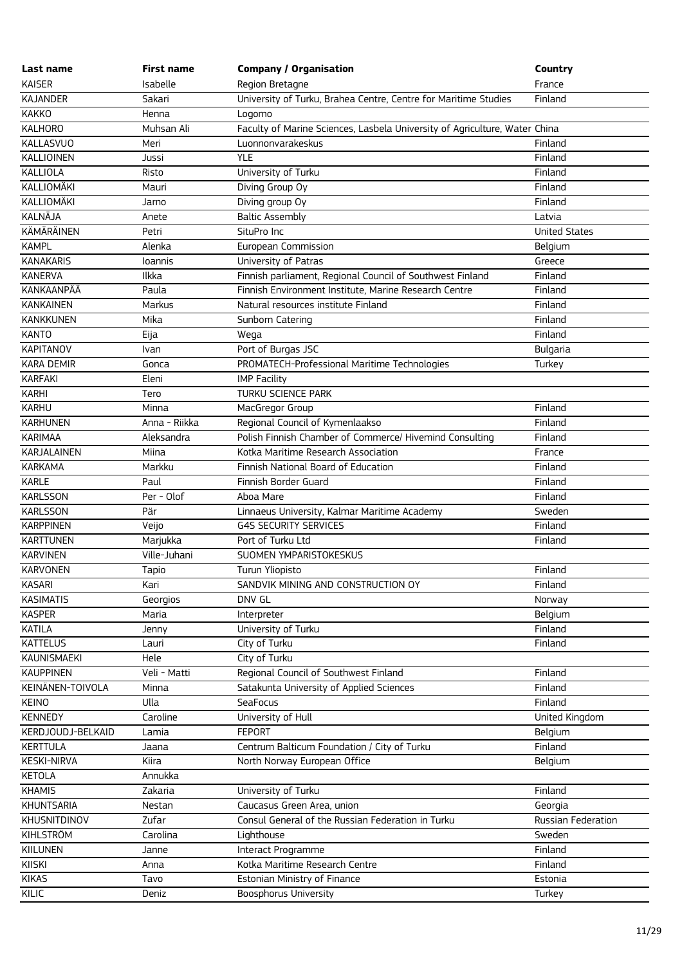| Last name          | <b>First name</b> | <b>Company / Organisation</b>                                              | Country              |
|--------------------|-------------------|----------------------------------------------------------------------------|----------------------|
| <b>KAISER</b>      | Isabelle          | Region Bretagne                                                            | France               |
| <b>KAJANDER</b>    | Sakari            | University of Turku, Brahea Centre, Centre for Maritime Studies            | Finland              |
| <b>KAKKO</b>       | Henna             | Logomo                                                                     |                      |
| <b>KALHORO</b>     | Muhsan Ali        | Faculty of Marine Sciences, Lasbela University of Agriculture, Water China |                      |
| <b>KALLASVUO</b>   | Meri              | Luonnonvarakeskus                                                          | Finland              |
| KALLIOINEN         | Jussi             | <b>YLE</b>                                                                 | Finland              |
| KALLIOLA           | Risto             | University of Turku                                                        | Finland              |
| KALLIOMÄKI         | Mauri             | Diving Group Oy                                                            | Finland              |
| KALLIOMÄKI         | Jarno             | Diving group Oy                                                            | Finland              |
| KALNĀJA            | Anete             | <b>Baltic Assembly</b>                                                     | Latvia               |
| KÄMÄRÄINEN         | Petri             | SituPro Inc                                                                | <b>United States</b> |
| <b>KAMPL</b>       | Alenka            | European Commission                                                        | Belgium              |
| <b>KANAKARIS</b>   | loannis           | University of Patras                                                       | Greece               |
| <b>KANERVA</b>     | Ilkka             | Finnish parliament, Regional Council of Southwest Finland                  | Finland              |
| KANKAANPÄÄ         | Paula             | Finnish Environment Institute, Marine Research Centre                      | Finland              |
| <b>KANKAINEN</b>   | Markus            | Natural resources institute Finland                                        | Finland              |
| KANKKUNEN          | Mika              | Sunborn Catering                                                           | Finland              |
| <b>KANTO</b>       | Eija              | Wega                                                                       | Finland              |
| <b>KAPITANOV</b>   | Ivan              | Port of Burgas JSC                                                         | <b>Bulgaria</b>      |
| <b>KARA DEMIR</b>  | Gonca             | PROMATECH-Professional Maritime Technologies                               | Turkey               |
| KARFAKI            | Eleni             | <b>IMP Facility</b>                                                        |                      |
| KARHI              | Tero              | <b>TURKU SCIENCE PARK</b>                                                  |                      |
| <b>KARHU</b>       | Minna             | MacGregor Group                                                            | Finland              |
| <b>KARHUNEN</b>    | Anna - Riikka     | Regional Council of Kymenlaakso                                            | Finland              |
| <b>KARIMAA</b>     | Aleksandra        | Polish Finnish Chamber of Commerce/ Hivemind Consulting                    | Finland              |
| <b>KARJALAINEN</b> | Miina             | Kotka Maritime Research Association                                        | France               |
| <b>KARKAMA</b>     | Markku            | Finnish National Board of Education                                        | Finland              |
| KARLE              | Paul              | Finnish Border Guard                                                       | Finland              |
| <b>KARLSSON</b>    | Per - Olof        | Ahoa Mare                                                                  | Finland              |
| <b>KARLSSON</b>    | Pär               | Linnaeus University, Kalmar Maritime Academy                               | Sweden               |
| <b>KARPPINEN</b>   | Veijo             | <b>G4S SECURITY SERVICES</b>                                               | Finland              |
| <b>KARTTUNEN</b>   | Marjukka          | Port of Turku Ltd                                                          | Finland              |
| <b>KARVINEN</b>    | Ville-Juhani      | SUOMEN YMPARISTOKESKUS                                                     |                      |
| <b>KARVONEN</b>    | Tapio             | Turun Yliopisto                                                            | Finland              |
| <b>KASARI</b>      | Kari              | SANDVIK MINING AND CONSTRUCTION OY                                         | Finland              |
| <b>KASIMATIS</b>   | Georgios          | DNV GL                                                                     | Norway               |
| <b>KASPER</b>      | Maria             | Interpreter                                                                | Belgium              |
| KATILA             | Jenny             | University of Turku                                                        | Finland              |
| <b>KATTELUS</b>    | Lauri             | City of Turku                                                              | Finland              |
| <b>KAUNISMAEKI</b> | Hele              | City of Turku                                                              |                      |
| <b>KAUPPINEN</b>   | Veli - Matti      | Regional Council of Southwest Finland                                      | Finland              |
| KEINÄNEN-TOIVOLA   | Minna             | Satakunta University of Applied Sciences                                   | Finland              |
| <b>KEINO</b>       | Ulla              | SeaFocus                                                                   | Finland              |
| <b>KENNEDY</b>     | Caroline          | University of Hull                                                         | United Kingdom       |
| KERDJOUDJ-BELKAID  | Lamia             | <b>FEPORT</b>                                                              | Belgium              |
| <b>KERTTULA</b>    | Jaana             | Centrum Balticum Foundation / City of Turku                                | Finland              |
| <b>KESKI-NIRVA</b> | Kiira             | North Norway European Office                                               | Belgium              |
| <b>KETOLA</b>      | Annukka           |                                                                            |                      |
| <b>KHAMIS</b>      | Zakaria           | University of Turku                                                        | Finland              |
| KHUNTSARIA         | Nestan            | Caucasus Green Area, union                                                 | Georgia              |
| KHUSNITDINOV       | Zufar             | Consul General of the Russian Federation in Turku                          | Russian Federation   |
| KIHLSTRÖM          | Carolina          | Lighthouse                                                                 | Sweden               |
| KIILUNEN           |                   | Interact Programme                                                         | Finland              |
| KIISKI             | Janne             | Kotka Maritime Research Centre                                             | Finland              |
| <b>KIKAS</b>       | Anna              |                                                                            |                      |
|                    | Tavo              | Estonian Ministry of Finance                                               | Estonia              |
| KILIC              | Deniz             | Boosphorus University                                                      | Turkey               |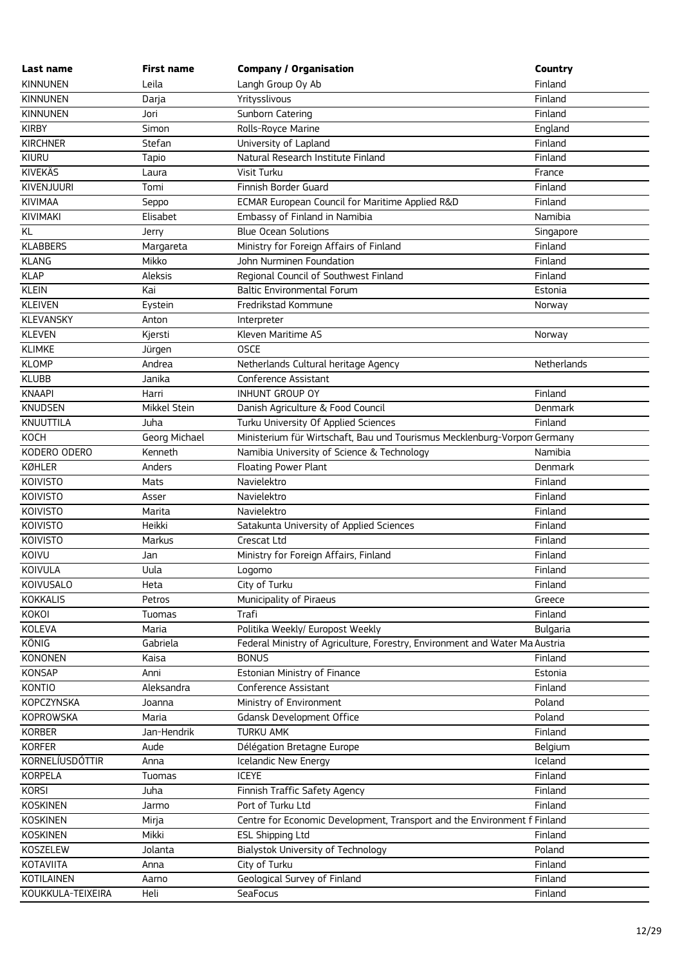| Last name         | <b>First name</b> | <b>Company / Organisation</b>                                               | Country         |
|-------------------|-------------------|-----------------------------------------------------------------------------|-----------------|
| <b>KINNUNEN</b>   | Leila             | Langh Group Oy Ab                                                           | Finland         |
| <b>KINNUNEN</b>   | Darja             | Yritysslivous                                                               | Finland         |
| <b>KINNUNEN</b>   | Jori              | Sunborn Catering                                                            | Finland         |
| <b>KIRBY</b>      | Simon             | Rolls-Royce Marine                                                          | England         |
| <b>KIRCHNER</b>   | Stefan            | University of Lapland                                                       | Finland         |
| KIURU             | Tapio             | Natural Research Institute Finland                                          | Finland         |
| <b>KIVEKÄS</b>    | Laura             | Visit Turku                                                                 | France          |
| KIVENJUURI        | Tomi              | Finnish Border Guard                                                        | Finland         |
| <b>KIVIMAA</b>    | Seppo             | ECMAR European Council for Maritime Applied R&D                             | Finland         |
| KIVIMAKI          | Elisabet          | Embassy of Finland in Namibia                                               | Namibia         |
| KL                | Jerry             | <b>Blue Ocean Solutions</b>                                                 | Singapore       |
| <b>KLABBERS</b>   | Margareta         | Ministry for Foreign Affairs of Finland                                     | Finland         |
| <b>KLANG</b>      | Mikko             | John Nurminen Foundation                                                    | Finland         |
| <b>KLAP</b>       | Aleksis           | Regional Council of Southwest Finland                                       | Finland         |
| <b>KLEIN</b>      | Kai               | <b>Baltic Environmental Forum</b>                                           | Estonia         |
| <b>KLEIVEN</b>    | Eystein           | Fredrikstad Kommune                                                         | Norway          |
| <b>KLEVANSKY</b>  | Anton             | Interpreter                                                                 |                 |
| <b>KLEVEN</b>     | Kjersti           | Kleven Maritime AS                                                          | Norway          |
| <b>KLIMKE</b>     | Jürgen            | <b>OSCE</b>                                                                 |                 |
| <b>KLOMP</b>      | Andrea            | Netherlands Cultural heritage Agency                                        | Netherlands     |
| <b>KLUBB</b>      | Janika            | Conference Assistant                                                        |                 |
| <b>KNAAPI</b>     | Harri             | INHUNT GROUP OY                                                             | Finland         |
| <b>KNUDSEN</b>    | Mikkel Stein      | Danish Agriculture & Food Council                                           | Denmark         |
| KNUUTTILA         | Juha              | Turku University Of Applied Sciences                                        | Finland         |
| KOCH              | Georg Michael     | Ministerium für Wirtschaft, Bau und Tourismus Mecklenburg-Vorpon Germany    |                 |
| KODERO ODERO      | Kenneth           | Namibia University of Science & Technology                                  | Namibia         |
| KØHLER            | Anders            | Floating Power Plant                                                        | Denmark         |
| <b>KOIVISTO</b>   | Mats              | Navielektro                                                                 | Finland         |
| <b>KOIVISTO</b>   | Asser             | Navielektro                                                                 | Finland         |
| <b>KOIVISTO</b>   | Marita            | Navielektro                                                                 | Finland         |
| <b>KOIVISTO</b>   | Heikki            | Satakunta University of Applied Sciences                                    | Finland         |
| <b>KOIVISTO</b>   | Markus            | Crescat Ltd                                                                 | Finland         |
| KOIVU             | Jan               | Ministry for Foreign Affairs, Finland                                       | Finland         |
| KOIVULA           | Uula              | Logomo                                                                      | Finland         |
| KOIVUSALO         | Heta              | City of Turku                                                               | Finland         |
| KOKKALIS          | Petros            | Municipality of Piraeus                                                     | Greece          |
| KOKOI             | Tuomas            | Trafi                                                                       | Finland         |
| <b>KOLEVA</b>     | Maria             | Politika Weekly/ Europost Weekly                                            | <b>Bulgaria</b> |
| KÖNIG             | Gabriela          | Federal Ministry of Agriculture, Forestry, Environment and Water Ma Austria |                 |
| <b>KONONEN</b>    | Kaisa             | <b>BONUS</b>                                                                | Finland         |
| KONSAP            | Anni              | Estonian Ministry of Finance                                                | Estonia         |
| <b>KONTIO</b>     | Aleksandra        | Conference Assistant                                                        | Finland         |
| KOPCZYNSKA        | Joanna            | Ministry of Environment                                                     | Poland          |
| KOPROWSKA         | Maria             | Gdansk Development Office                                                   | Poland          |
| KORBER            | Jan-Hendrik       | <b>TURKU AMK</b>                                                            | Finland         |
| <b>KORFER</b>     | Aude              | Délégation Bretagne Europe                                                  | Belgium         |
| KORNELÍUSDÓTTIR   | Anna              | Icelandic New Energy                                                        | Iceland         |
| KORPELA           | Tuomas            | <b>ICEYE</b>                                                                | Finland         |
| <b>KORSI</b>      | Juha              | Finnish Traffic Safety Agency                                               | Finland         |
| <b>KOSKINEN</b>   | Jarmo             | Port of Turku Ltd                                                           | Finland         |
| <b>KOSKINEN</b>   | Mirja             | Centre for Economic Development, Transport and the Environment f Finland    |                 |
| <b>KOSKINEN</b>   | Mikki             | <b>ESL Shipping Ltd</b>                                                     | Finland         |
| KOSZELEW          | Jolanta           | Bialystok University of Technology                                          | Poland          |
| KOTAVIITA         | Anna              | City of Turku                                                               | Finland         |
| KOTILAINEN        | Aarno             | Geological Survey of Finland                                                | Finland         |
| KOUKKULA-TEIXEIRA | Heli              | SeaFocus                                                                    | Finland         |
|                   |                   |                                                                             |                 |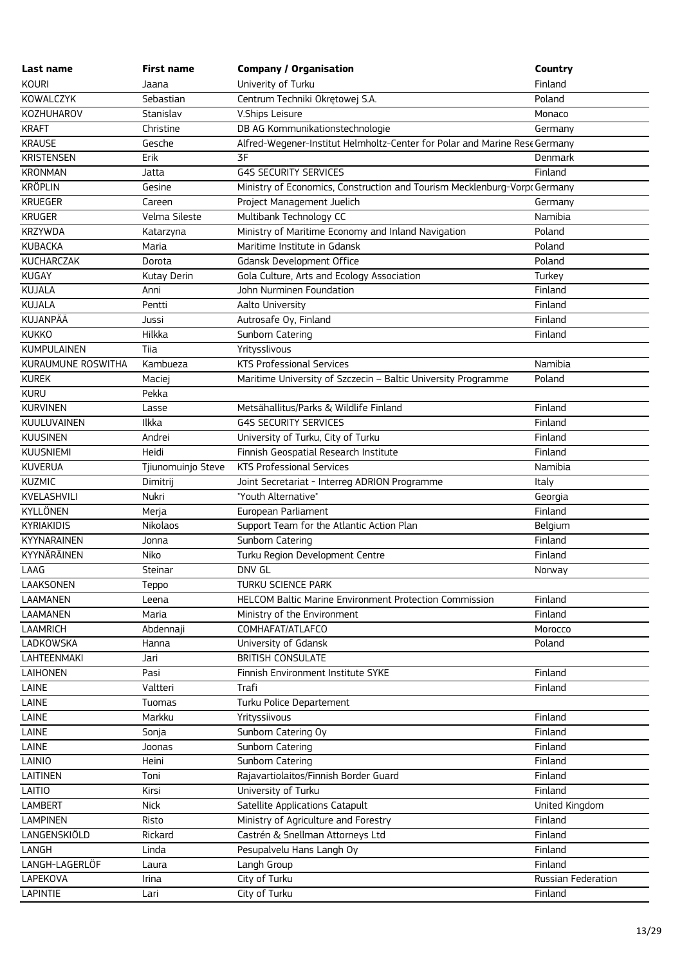| Last name          | <b>First name</b>  | <b>Company / Organisation</b>                                              | Country            |
|--------------------|--------------------|----------------------------------------------------------------------------|--------------------|
| <b>KOURI</b>       | Jaana              | Univerity of Turku                                                         | Finland            |
| KOWALCZYK          | Sebastian          | Centrum Techniki Okrętowej S.A.                                            | Poland             |
| KOZHUHAROV         | Stanislav          | V.Ships Leisure                                                            | Monaco             |
| <b>KRAFT</b>       | Christine          | DB AG Kommunikationstechnologie                                            | Germany            |
| <b>KRAUSE</b>      | Gesche             | Alfred-Wegener-Institut Helmholtz-Center for Polar and Marine Rest Germany |                    |
| <b>KRISTENSEN</b>  | Erik               | 3F                                                                         | Denmark            |
| <b>KRONMAN</b>     | Jatta              | <b>G4S SECURITY SERVICES</b>                                               | Finland            |
| <b>KRÖPLIN</b>     | Gesine             | Ministry of Economics, Construction and Tourism Mecklenburg-Vorpt Germany  |                    |
| <b>KRUEGER</b>     | Careen             | Project Management Juelich                                                 | Germany            |
| <b>KRUGER</b>      | Velma Sileste      | Multibank Technology CC                                                    | Namibia            |
| <b>KRZYWDA</b>     | Katarzyna          | Ministry of Maritime Economy and Inland Navigation                         | Poland             |
| <b>KUBACKA</b>     | Maria              | Maritime Institute in Gdansk                                               | Poland             |
| KUCHARCZAK         | Dorota             | Gdansk Development Office                                                  | Poland             |
| KUGAY              | Kutay Derin        | Gola Culture, Arts and Ecology Association                                 | Turkey             |
| KUJALA             | Anni               | John Nurminen Foundation                                                   | Finland            |
| KUJALA             | Pentti             | Aalto University                                                           | Finland            |
| KUJANPÄÄ           | Jussi              | Autrosafe Oy, Finland                                                      | Finland            |
| <b>KUKKO</b>       | Hilkka             | Sunborn Catering                                                           | Finland            |
| <b>KUMPULAINEN</b> | Tiia               | Yritysslivous                                                              |                    |
| KURAUMUNE ROSWITHA | Kambueza           | <b>KTS Professional Services</b>                                           | Namibia            |
| <b>KUREK</b>       | Maciej             | Maritime University of Szczecin - Baltic University Programme              | Poland             |
| <b>KURU</b>        | Pekka              |                                                                            |                    |
| <b>KURVINEN</b>    | Lasse              | Metsähallitus/Parks & Wildlife Finland                                     | Finland            |
| <b>KUULUVAINEN</b> | Ilkka              | <b>G4S SECURITY SERVICES</b>                                               | Finland            |
| <b>KUUSINEN</b>    | Andrei             | University of Turku, City of Turku                                         | Finland            |
| <b>KUUSNIEMI</b>   | Heidi              | Finnish Geospatial Research Institute                                      | Finland            |
| <b>KUVERUA</b>     | Tjiunomuinjo Steve | <b>KTS Professional Services</b>                                           | Namibia            |
| <b>KUZMIC</b>      | Dimitrij           | Joint Secretariat - Interreg ADRION Programme                              | Italy              |
| KVELASHVILI        | Nukri              | "Youth Alternative"                                                        | Georgia            |
| KYLLÖNEN           | Merja              | European Parliament                                                        | Finland            |
| <b>KYRIAKIDIS</b>  | Nikolaos           | Support Team for the Atlantic Action Plan                                  | Belgium            |
| KYYNARAINEN        | Jonna              | Sunborn Catering                                                           | Finland            |
| KYYNÄRÄINEN        | Niko               | Turku Region Development Centre                                            | Finland            |
| LAAG               | Steinar            | DNV GL                                                                     | Norway             |
| LAAKSONEN          | Teppo              | <b>TURKU SCIENCE PARK</b>                                                  |                    |
| LAAMANEN           | Leena              | <b>HELCOM Baltic Marine Environment Protection Commission</b>              | Finland            |
| LAAMANEN           | Maria              | Ministry of the Environment                                                | Finland            |
| <b>LAAMRICH</b>    | Abdennaji          | COMHAFAT/ATLAFCO                                                           | Morocco            |
| LADKOWSKA          | Hanna              | University of Gdansk                                                       | Poland             |
| LAHTEENMAKI        | Jari               | <b>BRITISH CONSULATE</b>                                                   |                    |
| <b>LAIHONEN</b>    | Pasi               | Finnish Environment Institute SYKE                                         | Finland            |
| LAINE              | Valtteri           | Trafi                                                                      | Finland            |
| LAINE              | Tuomas             | Turku Police Departement                                                   |                    |
| LAINE              | Markku             | Yrityssiivous                                                              | Finland            |
| LAINE              | Sonja              | Sunborn Catering Oy                                                        | Finland            |
| LAINE              | Joonas             | Sunborn Catering                                                           | Finland            |
| LAINIO             | Heini              | Sunborn Catering                                                           | Finland            |
| LAITINEN           | Toni               | Rajavartiolaitos/Finnish Border Guard                                      | Finland            |
| LAITIO             | Kirsi              | University of Turku                                                        | Finland            |
| <b>LAMBERT</b>     | <b>Nick</b>        | Satellite Applications Catapult                                            | United Kingdom     |
| <b>LAMPINEN</b>    | Risto              | Ministry of Agriculture and Forestry                                       | Finland            |
| LANGENSKIÖLD       | Rickard            | Castrén & Snellman Attorneys Ltd                                           | Finland            |
| LANGH              | Linda              | Pesupalvelu Hans Langh Oy                                                  | Finland            |
| LANGH-LAGERLÖF     | Laura              | Langh Group                                                                | Finland            |
| LAPEKOVA           | Irina              | City of Turku                                                              | Russian Federation |
| LAPINTIE           | Lari               | City of Turku                                                              | Finland            |
|                    |                    |                                                                            |                    |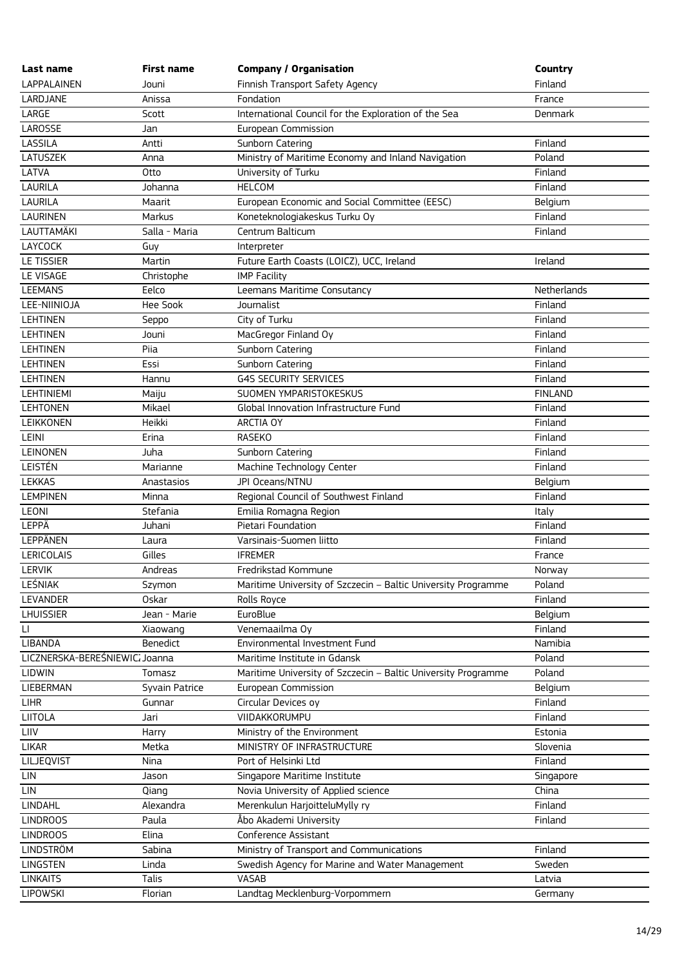| Last name                     | <b>First name</b> | <b>Company / Organisation</b>                                 | Country        |
|-------------------------------|-------------------|---------------------------------------------------------------|----------------|
| LAPPALAINEN                   | Jouni             | Finnish Transport Safety Agency                               | Finland        |
| LARDJANE                      | Anissa            | Fondation                                                     | France         |
| LARGE                         | Scott             | International Council for the Exploration of the Sea          | <b>Denmark</b> |
| LAROSSE                       | Jan               | European Commission                                           |                |
| LASSILA                       | Antti             | Sunborn Catering                                              | Finland        |
| <b>LATUSZEK</b>               | Anna              | Ministry of Maritime Economy and Inland Navigation            | Poland         |
| LATVA                         | Otto              | University of Turku                                           | Finland        |
| <b>LAURILA</b>                | Johanna           | <b>HELCOM</b>                                                 | Finland        |
| LAURILA                       | Maarit            | European Economic and Social Committee (EESC)                 | Belgium        |
| <b>LAURINEN</b>               | Markus            | Koneteknologiakeskus Turku Oy                                 | Finland        |
| LAUTTAMÄKI                    | Salla - Maria     | Centrum Balticum                                              | Finland        |
| LAYCOCK                       | Guy               | Interpreter                                                   |                |
| LE TISSIER                    | Martin            | Future Earth Coasts (LOICZ), UCC, Ireland                     | Ireland        |
| LE VISAGE                     | Christophe        | <b>IMP Facility</b>                                           |                |
| <b>LEEMANS</b>                | Eelco             | Leemans Maritime Consutancy                                   | Netherlands    |
| LEE-NIINIOJA                  | Hee Sook          | Journalist                                                    | Finland        |
| <b>LEHTINEN</b>               | Seppo             | City of Turku                                                 | Finland        |
| <b>LEHTINEN</b>               | Jouni             | MacGregor Finland Oy                                          | Finland        |
| <b>LEHTINEN</b>               | Piia              | Sunborn Catering                                              | Finland        |
| <b>LEHTINEN</b>               | Essi              | Sunborn Catering                                              | Finland        |
| <b>LEHTINEN</b>               | Hannu             | <b>G4S SECURITY SERVICES</b>                                  | Finland        |
| <b>LEHTINIEMI</b>             | Maiju             | SUOMEN YMPARISTOKESKUS                                        | <b>FINLAND</b> |
| <b>LEHTONEN</b>               | Mikael            | Global Innovation Infrastructure Fund                         | Finland        |
| LEIKKONEN                     | Heikki            | ARCTIA OY                                                     | Finland        |
| LEINI                         | Erina             | <b>RASEKO</b>                                                 | Finland        |
| LEINONEN                      | Juha              | Sunborn Catering                                              | Finland        |
| LEISTÉN                       | Marianne          | Machine Technology Center                                     | Finland        |
| <b>LEKKAS</b>                 | Anastasios        | JPI Oceans/NTNU                                               | Belgium        |
| <b>LEMPINEN</b>               | Minna             | Regional Council of Southwest Finland                         | Finland        |
| LEONI                         | Stefania          | Emilia Romagna Region                                         | Italy          |
| LEPPÄ                         | Juhani            | Pietari Foundation                                            | Finland        |
| LEPPÄNEN                      | Laura             | Varsinais-Suomen liitto                                       | Finland        |
| <b>LERICOLAIS</b>             | Gilles            | <b>IFREMER</b>                                                | France         |
| <b>LERVIK</b>                 | Andreas           | Fredrikstad Kommune                                           | Norway         |
| LEŚNIAK                       | Szymon            | Maritime University of Szczecin - Baltic University Programme | Poland         |
| LEVANDER                      | <b>Oskar</b>      | Rolls Royce                                                   | Finland        |
| <b>LHUISSIER</b>              | Jean - Marie      | EuroBlue                                                      | Belgium        |
| $\sqcup$                      | Xiaowang          | Venemaailma Oy                                                | Finland        |
| LIBANDA                       | <b>Benedict</b>   | Environmental Investment Fund                                 | Namibia        |
| LICZNERSKA-BEREŚNIEWIC Joanna |                   | Maritime Institute in Gdansk                                  | Poland         |
| <b>LIDWIN</b>                 | Tomasz            | Maritime University of Szczecin - Baltic University Programme | Poland         |
| LIEBERMAN                     | Syvain Patrice    | European Commission                                           | Belgium        |
| LIHR                          | Gunnar            | Circular Devices oy                                           | Finland        |
| LIITOLA                       | Jari              | VIIDAKKORUMPU                                                 | Finland        |
| LIIV                          | Harry             | Ministry of the Environment                                   | Estonia        |
| <b>LIKAR</b>                  | Metka             | MINISTRY OF INFRASTRUCTURE                                    | Slovenia       |
| LILJEQVIST                    | Nina              | Port of Helsinki Ltd                                          | Finland        |
| LIN                           | Jason             | Singapore Maritime Institute                                  | Singapore      |
| LIN                           | Qiang             | Novia University of Applied science                           | China          |
| LINDAHL                       | Alexandra         | Merenkulun HarjoitteluMylly ry                                | Finland        |
| <b>LINDROOS</b>               | Paula             | Åbo Akademi University                                        | Finland        |
| <b>LINDROOS</b>               | Elina             | Conference Assistant                                          |                |
| LINDSTRÖM                     | Sabina            | Ministry of Transport and Communications                      | Finland        |
| LINGSTEN                      | Linda             | Swedish Agency for Marine and Water Management                | Sweden         |
| <b>LINKAITS</b>               | Talis             | VASAB                                                         | Latvia         |
| LIPOWSKI                      | Florian           | Landtag Mecklenburg-Vorpommern                                | Germany        |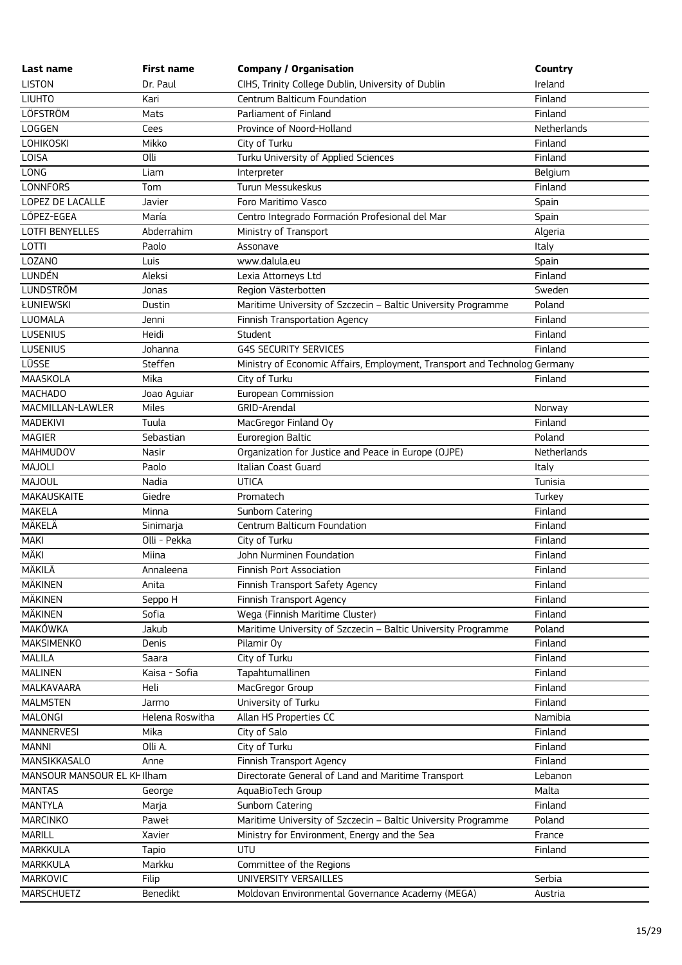| Last name                   | <b>First name</b> | <b>Company / Organisation</b>                                             | Country     |
|-----------------------------|-------------------|---------------------------------------------------------------------------|-------------|
| <b>LISTON</b>               | Dr. Paul          | CIHS, Trinity College Dublin, University of Dublin                        | Ireland     |
| <b>LIUHTO</b>               | Kari              | Centrum Balticum Foundation                                               | Finland     |
| LÖFSTRÖM                    | Mats              | Parliament of Finland                                                     | Finland     |
| LOGGEN                      | Cees              | Province of Noord-Holland                                                 | Netherlands |
| <b>LOHIKOSKI</b>            | Mikko             | City of Turku                                                             | Finland     |
| LOISA                       | Olli              | Turku University of Applied Sciences                                      | Finland     |
| LONG                        | Liam              | Interpreter                                                               | Belgium     |
| <b>LONNFORS</b>             | Tom               | Turun Messukeskus                                                         | Finland     |
| LOPEZ DE LACALLE            | Javier            | Foro Maritimo Vasco                                                       | Spain       |
| LÓPEZ-EGEA                  | María             | Centro Integrado Formación Profesional del Mar                            | Spain       |
| <b>LOTFI BENYELLES</b>      | Abderrahim        | Ministry of Transport                                                     | Algeria     |
| LOTTI                       | Paolo             | Assonave                                                                  | Italy       |
| LOZANO                      | Luis              | www.dalula.eu                                                             | Spain       |
| LUNDÉN                      | Aleksi            | Lexia Attorneys Ltd                                                       | Finland     |
| <b>LUNDSTRÖM</b>            | Jonas             | Region Västerbotten                                                       | Sweden      |
| ŁUNIEWSKI                   | Dustin            | Maritime University of Szczecin - Baltic University Programme             | Poland      |
| LUOMALA                     | Jenni             | Finnish Transportation Agency                                             | Finland     |
| <b>LUSENIUS</b>             | Heidi             | Student                                                                   | Finland     |
| LUSENIUS                    | Johanna           | <b>G4S SECURITY SERVICES</b>                                              | Finland     |
| LÜSSE                       | Steffen           | Ministry of Economic Affairs, Employment, Transport and Technolog Germany |             |
| MAASKOLA                    | Mika              | City of Turku                                                             | Finland     |
| <b>MACHADO</b>              | Joao Aguiar       | European Commission                                                       |             |
| MACMILLAN-LAWLER            | Miles             | GRID-Arendal                                                              | Norway      |
| MADEKIVI                    | Tuula             | MacGregor Finland Oy                                                      | Finland     |
| <b>MAGIER</b>               | Sebastian         | Euroregion Baltic                                                         | Poland      |
| <b>MAHMUDOV</b>             | Nasir             | Organization for Justice and Peace in Europe (OJPE)                       | Netherlands |
| <b>MAJOLI</b>               | Paolo             | Italian Coast Guard                                                       | Italy       |
| MAJOUL                      | Nadia             | <b>UTICA</b>                                                              | Tunisia     |
| MAKAUSKAITE                 | Giedre            | Promatech                                                                 | Turkey      |
| <b>MAKELA</b>               | Minna             | Sunborn Catering                                                          | Finland     |
| MÄKELÄ                      | Sinimarja         | Centrum Balticum Foundation                                               | Finland     |
| <b>MAKI</b>                 | Olli - Pekka      | City of Turku                                                             | Finland     |
| MÄKI                        | Miina             | John Nurminen Foundation                                                  | Finland     |
| MÄKILÄ                      | Annaleena         | Finnish Port Association                                                  | Finland     |
| MÄKINEN                     | Anita             | Finnish Transport Safety Agency                                           | Finland     |
| MÄKINEN                     | Seppo H           | Finnish Transport Agency                                                  | Finland     |
| <b>MÄKINEN</b>              | Sofia             | Wega (Finnish Maritime Cluster)                                           | Finland     |
| MAKÓWKA                     | Jakub             | Maritime University of Szczecin - Baltic University Programme             | Poland      |
| <b>MAKSIMENKO</b>           | Denis             | Pilamir Oy                                                                | Finland     |
| <b>MALILA</b>               | Saara             | City of Turku                                                             | Finland     |
| <b>MALINEN</b>              | Kaisa - Sofia     | Tapahtumallinen                                                           | Finland     |
| MALKAVAARA                  | Heli              | MacGregor Group                                                           | Finland     |
| <b>MALMSTEN</b>             | Jarmo             |                                                                           | Finland     |
| MALONGI                     | Helena Roswitha   | University of Turku                                                       |             |
|                             |                   | Allan HS Properties CC                                                    | Namibia     |
| <b>MANNERVESI</b>           | Mika              | City of Salo                                                              | Finland     |
| <b>MANNI</b>                | Olli A.           | City of Turku                                                             | Finland     |
| MANSIKKASALO                | Anne              | Finnish Transport Agency                                                  | Finland     |
| MANSOUR MANSOUR EL KI Ilham |                   | Directorate General of Land and Maritime Transport                        | Lebanon     |
| <b>MANTAS</b>               | George            | AquaBioTech Group                                                         | Malta       |
| <b>MANTYLA</b>              | Marja             | Sunborn Catering                                                          | Finland     |
| <b>MARCINKO</b>             | Paweł             | Maritime University of Szczecin - Baltic University Programme             | Poland      |
| <b>MARILL</b>               | Xavier            | Ministry for Environment, Energy and the Sea                              | France      |
| MARKKULA                    | Tapio             | <b>UTU</b>                                                                | Finland     |
| MARKKULA                    | Markku            | Committee of the Regions                                                  |             |
| MARKOVIC                    | Filip             | UNIVERSITY VERSAILLES                                                     | Serbia      |
| MARSCHUETZ                  | Benedikt          | Moldovan Environmental Governance Academy (MEGA)                          | Austria     |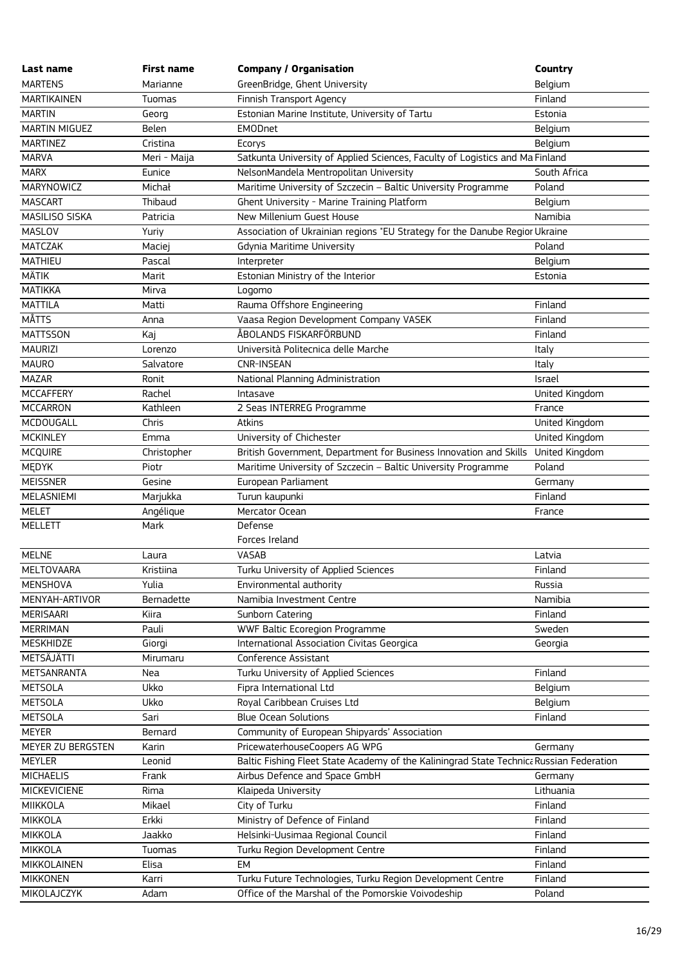| Last name            | <b>First name</b> | <b>Company / Organisation</b>                                                           | Country        |
|----------------------|-------------------|-----------------------------------------------------------------------------------------|----------------|
| <b>MARTENS</b>       | Marianne          | GreenBridge, Ghent University                                                           | Belgium        |
| <b>MARTIKAINEN</b>   | Tuomas            | Finnish Transport Agency                                                                | Finland        |
| <b>MARTIN</b>        | Georg             | Estonian Marine Institute, University of Tartu                                          | Estonia        |
| <b>MARTIN MIGUEZ</b> | <b>Belen</b>      | <b>EMODnet</b>                                                                          | Belgium        |
| <b>MARTINEZ</b>      | Cristina          | Ecorys                                                                                  | Belgium        |
| <b>MARVA</b>         | Meri - Maija      | Satkunta University of Applied Sciences, Faculty of Logistics and Ma Finland            |                |
| <b>MARX</b>          | Eunice            | NelsonMandela Mentropolitan University                                                  | South Africa   |
| MARYNOWICZ           | Michał            | Maritime University of Szczecin - Baltic University Programme                           | Poland         |
| <b>MASCART</b>       | Thibaud           | Ghent University - Marine Training Platform                                             | Belgium        |
| MASILISO SISKA       | Patricia          | New Millenium Guest House                                                               | Namibia        |
| MASLOV               | Yuriy             | Association of Ukrainian regions "EU Strategy for the Danube Regior Ukraine             |                |
| MATCZAK              | Maciej            | Gdynia Maritime University                                                              | Poland         |
| <b>MATHIEU</b>       | Pascal            | Interpreter                                                                             | Belgium        |
| <b>MÄTIK</b>         | Marit             | Estonian Ministry of the Interior                                                       | Estonia        |
| <b>MATIKKA</b>       | Mirva             | Logomo                                                                                  |                |
| <b>MATTILA</b>       | Matti             | Rauma Offshore Engineering                                                              | Finland        |
| MÅTTS                | Anna              | Vaasa Region Development Company VASEK                                                  | Finland        |
| <b>MATTSSON</b>      | Kaj               | ÅBOLANDS FISKARFÖRBUND                                                                  | Finland        |
| <b>MAURIZI</b>       | Lorenzo           | Università Politecnica delle Marche                                                     | Italy          |
| <b>MAURO</b>         | Salvatore         | <b>CNR-INSEAN</b>                                                                       | Italy          |
| <b>MAZAR</b>         | Ronit             | National Planning Administration                                                        | Israel         |
| <b>MCCAFFERY</b>     | Rachel            | Intasave                                                                                | United Kingdom |
| <b>MCCARRON</b>      | Kathleen          | 2 Seas INTERREG Programme                                                               | France         |
| MCDOUGALL            | Chris             | Atkins                                                                                  | United Kingdom |
| <b>MCKINLEY</b>      | Emma              | University of Chichester                                                                | United Kingdom |
| <b>MCQUIRE</b>       | Christopher       | British Government, Department for Business Innovation and Skills United Kingdom        |                |
| <b>MEDYK</b>         | Piotr             | Maritime University of Szczecin - Baltic University Programme                           | Poland         |
| <b>MEISSNER</b>      | Gesine            | European Parliament                                                                     | Germany        |
| MELASNIEMI           | Marjukka          | Turun kaupunki                                                                          | Finland        |
| <b>MELET</b>         | Angélique         | Mercator Ocean                                                                          | France         |
| <b>MELLETT</b>       | Mark              | Defense                                                                                 |                |
|                      |                   | Forces Ireland                                                                          |                |
| <b>MELNE</b>         | Laura             | VASAB                                                                                   | Latvia         |
| <b>MELTOVAARA</b>    | Kristiina         | Turku University of Applied Sciences                                                    | Finland        |
| MENSHOVA             | Yulia             | Environmental authority                                                                 | Russia         |
| MENYAH-ARTIVOR       | <b>Bernadette</b> | Namibia Investment Centre                                                               | Namibia        |
| <b>MERISAARI</b>     | Kiira             | Sunborn Catering                                                                        | Finland        |
| <b>MERRIMAN</b>      | Pauli             | WWF Baltic Ecoregion Programme                                                          | Sweden         |
| <b>MESKHIDZE</b>     | Giorgi            | International Association Civitas Georgica                                              | Georgia        |
| METSÄJÄTTI           | Mirumaru          | Conference Assistant                                                                    |                |
| METSANRANTA          | Nea               | Turku University of Applied Sciences                                                    | Finland        |
| <b>METSOLA</b>       | Ukko              | Fipra International Ltd                                                                 | Belgium        |
| <b>METSOLA</b>       | Ukko              | Royal Caribbean Cruises Ltd                                                             | Belgium        |
| <b>METSOLA</b>       | Sari              | <b>Blue Ocean Solutions</b>                                                             | Finland        |
| <b>MEYER</b>         | Bernard           | Community of European Shipyards' Association                                            |                |
| MEYER ZU BERGSTEN    | Karin             | PricewaterhouseCoopers AG WPG                                                           | Germany        |
| <b>MEYLER</b>        | Leonid            | Baltic Fishing Fleet State Academy of the Kaliningrad State Technica Russian Federation |                |
| <b>MICHAELIS</b>     | Frank             | Airbus Defence and Space GmbH                                                           | Germany        |
| <b>MICKEVICIENE</b>  | Rima              | Klaipeda University                                                                     | Lithuania      |
| MIIKKOLA             | Mikael            | City of Turku                                                                           | Finland        |
| MIKKOLA              | Erkki             | Ministry of Defence of Finland                                                          | Finland        |
| MIKKOLA              | Jaakko            | Helsinki-Uusimaa Regional Council                                                       | Finland        |
| MIKKOLA              | Tuomas            | Turku Region Development Centre                                                         | Finland        |
| MIKKOLAINEN          | Elisa             | <b>EM</b>                                                                               | Finland        |
| <b>MIKKONEN</b>      | Karri             | Turku Future Technologies, Turku Region Development Centre                              | Finland        |
| MIKOLAJCZYK          | Adam              | Office of the Marshal of the Pomorskie Voivodeship                                      | Poland         |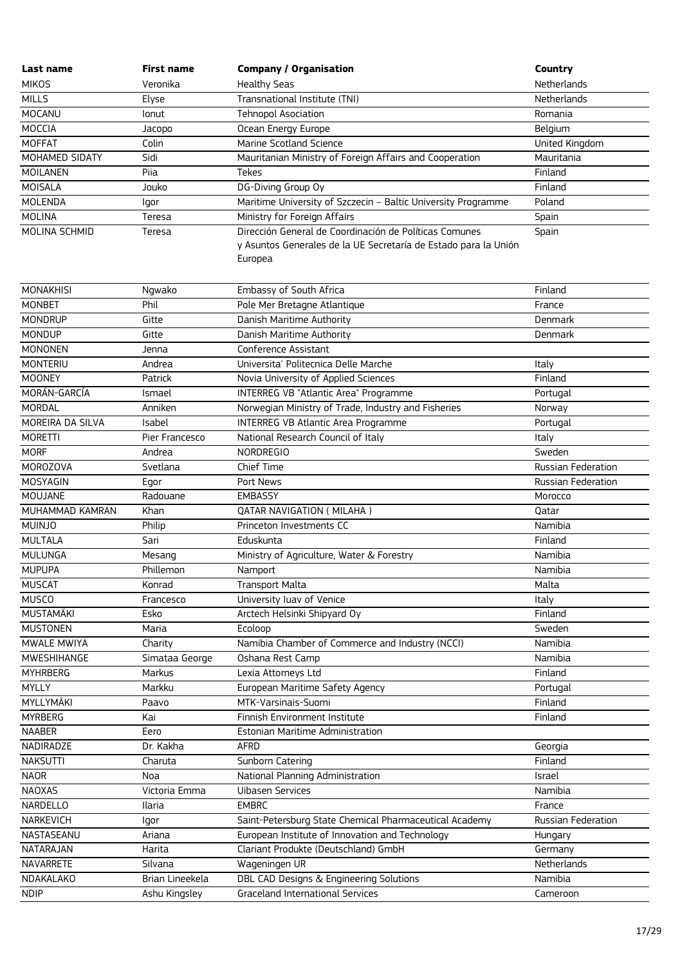| Last name              | <b>First name</b> | <b>Company / Organisation</b>                                              | Country                      |
|------------------------|-------------------|----------------------------------------------------------------------------|------------------------------|
| <b>MIKOS</b>           | Veronika          | <b>Healthy Seas</b>                                                        | Netherlands                  |
| <b>MILLS</b>           | Elyse             | Transnational Institute (TNI)                                              | Netherlands                  |
| MOCANU                 | lonut             | <b>Tehnopol Asociation</b>                                                 | Romania                      |
| MOCCIA                 | Jacopo            | Ocean Energy Europe                                                        | Belgium                      |
| <b>MOFFAT</b>          | Colin             | Marine Scotland Science                                                    | United Kingdom               |
| MOHAMED SIDATY         | Sidi              | Mauritanian Ministry of Foreign Affairs and Cooperation                    | Mauritania                   |
| <b>MOILANEN</b>        | Piia              | Tekes                                                                      | Finland                      |
| MOISALA                | Jouko             | DG-Diving Group Oy                                                         | Finland                      |
| <b>MOLENDA</b>         | Igor              | Maritime University of Szczecin - Baltic University Programme              | Poland                       |
| <b>MOLINA</b>          | Teresa            | Ministry for Foreign Affairs                                               | Spain                        |
| MOLINA SCHMID          | Teresa            | Dirección General de Coordinación de Políticas Comunes                     | Spain                        |
|                        |                   | y Asuntos Generales de la UE Secretaría de Estado para la Unión<br>Europea |                              |
| <b>MONAKHISI</b>       | Ngwako            | Embassy of South Africa                                                    | Finland                      |
| <b>MONBET</b>          | Phil              | Pole Mer Bretagne Atlantique                                               | France                       |
| <b>MONDRUP</b>         | Gitte             | Danish Maritime Authority                                                  | Denmark                      |
| <b>MONDUP</b>          | Gitte             | Danish Maritime Authority                                                  | Denmark                      |
| <b>MONONEN</b>         | Jenna             | Conference Assistant                                                       |                              |
| <b>MONTERIU</b>        | Andrea            | Universita' Politecnica Delle Marche                                       | Italy                        |
| <b>MOONEY</b>          | Patrick           | Novia University of Applied Sciences                                       | Finland                      |
| MORÁN-GARCÍA           | Ismael            | INTERREG VB "Atlantic Area" Programme                                      | Portugal                     |
| MORDAL                 | Anniken           | Norwegian Ministry of Trade, Industry and Fisheries                        | Norway                       |
| MOREIRA DA SILVA       | Isabel            | <b>INTERREG VB Atlantic Area Programme</b>                                 | Portugal                     |
| <b>MORETTI</b>         | Pier Francesco    | National Research Council of Italy                                         | Italy                        |
| <b>MORF</b>            | Andrea            | <b>NORDREGIO</b>                                                           | Sweden                       |
| MOROZOVA               | Svetlana          | Chief Time                                                                 | Russian Federation           |
| MOSYAGIN               | Egor              | Port News                                                                  | Russian Federation           |
| MOUJANE                | Radouane          | <b>EMBASSY</b>                                                             | Morocco                      |
| MUHAMMAD KAMRAN        | Khan              | <b>QATAR NAVIGATION ( MILAHA )</b>                                         | Qatar                        |
| <b>MUINJO</b>          | Philip            | Princeton Investments CC                                                   | Namibia                      |
| <b>MULTALA</b>         | Sari              | Eduskunta                                                                  | Finland                      |
| <b>MULUNGA</b>         | Mesang            | Ministry of Agriculture, Water & Forestry                                  | Namibia                      |
| <b>MUPUPA</b>          | Phillemon         | Namport                                                                    | Namibia                      |
| <b>MUSCAT</b>          | Konrad            | <b>Transport Malta</b>                                                     | Malta                        |
| <b>MUSCO</b>           | Francesco         | University luav of Venice                                                  | Italy                        |
| <b>MUSTAMÄKI</b>       | Esko              | Arctech Helsinki Shipyard Oy                                               | Finland                      |
| <b>MUSTONEN</b>        | Maria             | Ecoloop                                                                    | Sweden                       |
| MWALE MWIYA            | Charity           | Namibia Chamber of Commerce and Industry (NCCI)                            | Namibia                      |
| MWESHIHANGE            | Simataa George    | Oshana Rest Camp                                                           | Namibia                      |
| <b>MYHRBERG</b>        | Markus            | Lexia Attorneys Ltd                                                        | Finland                      |
| <b>MYLLY</b>           | Markku            | European Maritime Safety Agency                                            | Portugal                     |
| MYLLYMÄKI              | Paavo             | MTK-Varsinais-Suomi                                                        | Finland                      |
| <b>MYRBERG</b>         | Kai               | Finnish Environment Institute                                              | Finland                      |
| <b>NAABER</b>          | Eero              | Estonian Maritime Administration                                           |                              |
| NADIRADZE              | Dr. Kakha         | <b>AFRD</b>                                                                | Georgia                      |
| <b>NAKSUTTI</b>        | Charuta           | Sunborn Catering                                                           | Finland                      |
| <b>NAOR</b>            | Noa               | National Planning Administration                                           | Israel                       |
| <b>NAOXAS</b>          | Victoria Emma     | <b>Uibasen Services</b>                                                    | Namibia                      |
|                        |                   |                                                                            |                              |
| NARDELLO<br>NARKEVICH  | Ilaria            | <b>EMBRC</b><br>Saint-Petersburg State Chemical Pharmaceutical Academy     | France<br>Russian Federation |
|                        | lgor              |                                                                            |                              |
| NASTASEANU             | Ariana            | European Institute of Innovation and Technology                            | Hungary                      |
| NATARAJAN              | Harita            | Clariant Produkte (Deutschland) GmbH                                       | Germany                      |
| NAVARRETE<br>NDAKALAKO | Silvana           | Wageningen UR                                                              | Netherlands                  |
|                        | Brian Lineekela   | DBL CAD Designs & Engineering Solutions                                    | Namibia                      |
| <b>NDIP</b>            | Ashu Kingsley     | <b>Graceland International Services</b>                                    | Cameroon                     |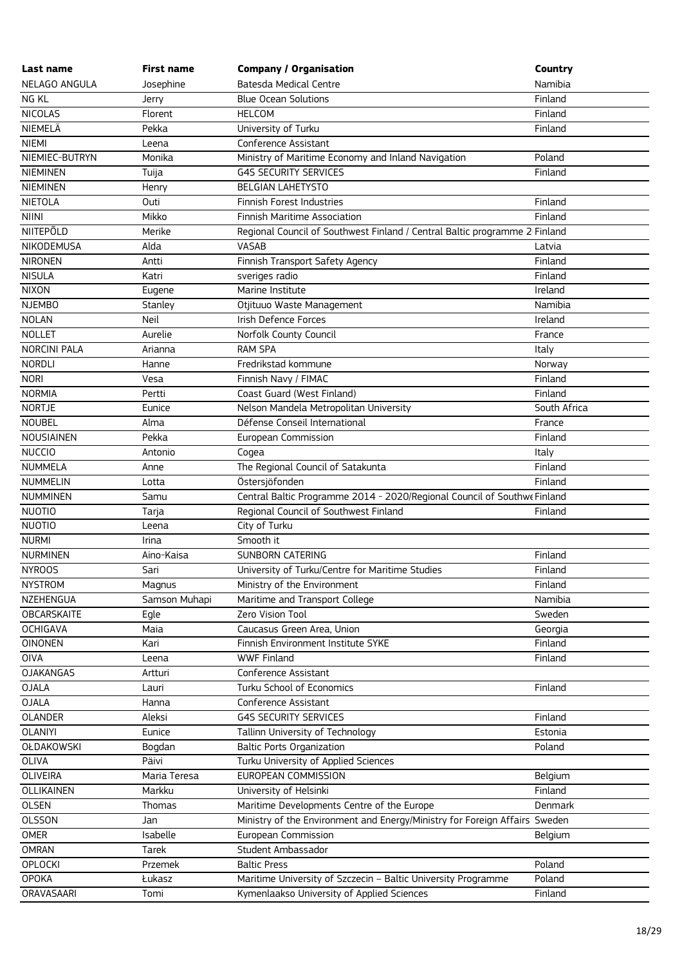| Last name           | <b>First name</b> | <b>Company / Organisation</b>                                              | Country      |
|---------------------|-------------------|----------------------------------------------------------------------------|--------------|
| NELAGO ANGULA       | Josephine         | <b>Batesda Medical Centre</b>                                              | Namibia      |
| NG KL               | Jerry             | <b>Blue Ocean Solutions</b>                                                | Finland      |
| <b>NICOLAS</b>      | Florent           | <b>HELCOM</b>                                                              | Finland      |
| NIEMELÄ             | Pekka             | University of Turku                                                        | Finland      |
| <b>NIEMI</b>        | Leena             | Conference Assistant                                                       |              |
| NIEMIEC-BUTRYN      | Monika            | Ministry of Maritime Economy and Inland Navigation                         | Poland       |
| <b>NIEMINEN</b>     | Tuija             | <b>G4S SECURITY SERVICES</b>                                               | Finland      |
| <b>NIEMINEN</b>     | Henry             | <b>BELGIAN LAHETYSTO</b>                                                   |              |
| <b>NIETOLA</b>      | Outi              | Finnish Forest Industries                                                  | Finland      |
| <b>NIINI</b>        | Mikko             | Finnish Maritime Association                                               | Finland      |
| <b>NIITEPÕLD</b>    | Merike            | Regional Council of Southwest Finland / Central Baltic programme 2 Finland |              |
| NIKODEMUSA          | Alda              | VASAB                                                                      | Latvia       |
| <b>NIRONEN</b>      | Antti             | Finnish Transport Safety Agency                                            | Finland      |
| <b>NISULA</b>       | Katri             | sveriges radio                                                             | Finland      |
| <b>NIXON</b>        | Eugene            | Marine Institute                                                           | Ireland      |
| <b>NJEMBO</b>       | Stanley           | Otjituuo Waste Management                                                  | Namibia      |
| <b>NOLAN</b>        | Neil              | Irish Defence Forces                                                       | Ireland      |
| <b>NOLLET</b>       | Aurelie           | Norfolk County Council                                                     | France       |
| <b>NORCINI PALA</b> | Arianna           | <b>RAM SPA</b>                                                             | Italy        |
| <b>NORDLI</b>       | Hanne             | Fredrikstad kommune                                                        | Norway       |
| <b>NORI</b>         | Vesa              | Finnish Navy / FIMAC                                                       | Finland      |
| <b>NORMIA</b>       | Pertti            | Coast Guard (West Finland)                                                 | Finland      |
| <b>NORTJE</b>       | Eunice            | Nelson Mandela Metropolitan University                                     | South Africa |
| <b>NOUBEL</b>       | Alma              | Défense Conseil International                                              | France       |
| NOUSIAINEN          | Pekka             | European Commission                                                        | Finland      |
| <b>NUCCIO</b>       | Antonio           | Cogea                                                                      | Italy        |
| <b>NUMMELA</b>      | Anne              | The Regional Council of Satakunta                                          | Finland      |
| <b>NUMMELIN</b>     | Lotta             | Östersjöfonden                                                             | Finland      |
| <b>NUMMINEN</b>     | Samu              | Central Baltic Programme 2014 - 2020/Regional Council of Southwe Finland   |              |
| <b>NUOTIO</b>       | Tarja             | Regional Council of Southwest Finland                                      | Finland      |
| <b>NUOTIO</b>       | Leena             | City of Turku                                                              |              |
| <b>NURMI</b>        | Irina             | Smooth it                                                                  |              |
| <b>NURMINEN</b>     | Aino-Kaisa        | <b>SUNBORN CATERING</b>                                                    | Finland      |
| <b>NYROOS</b>       | Sari              | University of Turku/Centre for Maritime Studies                            | Finland      |
| <b>NYSTROM</b>      | Magnus            | Ministry of the Environment                                                | Finland      |
| NZEHENGUA           | Samson Muhapi     | Maritime and Transport College                                             | Namibia      |
| <b>OBCARSKAITE</b>  | Egle              | Zero Vision Tool                                                           | Sweden       |
| <b>OCHIGAVA</b>     | Maia              | Caucasus Green Area, Union                                                 | Georgia      |
| <b>OINONEN</b>      | Kari              | Finnish Environment Institute SYKE                                         | Finland      |
| OIVA                | Leena             | <b>WWF Finland</b>                                                         | Finland      |
| <b>OJAKANGAS</b>    | Artturi           | Conference Assistant                                                       |              |
| <b>OJALA</b>        | Lauri             | Turku School of Economics                                                  | Finland      |
| <b>OJALA</b>        | Hanna             | Conference Assistant                                                       |              |
| <b>OLANDER</b>      | Aleksi            | <b>G4S SECURITY SERVICES</b>                                               | Finland      |
| <b>OLANIYI</b>      | Eunice            | Tallinn University of Technology                                           | Estonia      |
| <b>OŁDAKOWSKI</b>   | Bogdan            | <b>Baltic Ports Organization</b>                                           | Poland       |
| <b>OLIVA</b>        | Päivi             | Turku University of Applied Sciences                                       |              |
| <b>OLIVEIRA</b>     | Maria Teresa      | EUROPEAN COMMISSION                                                        | Belgium      |
| <b>OLLIKAINEN</b>   | Markku            | University of Helsinki                                                     | Finland      |
| <b>OLSEN</b>        | Thomas            | Maritime Developments Centre of the Europe                                 | Denmark      |
| <b>OLSSON</b>       | Jan               | Ministry of the Environment and Energy/Ministry for Foreign Affairs Sweden |              |
| <b>OMER</b>         | Isabelle          | European Commission                                                        | Belgium      |
| <b>OMRAN</b>        | <b>Tarek</b>      | Student Ambassador                                                         |              |
| <b>OPLOCKI</b>      | Przemek           | <b>Baltic Press</b>                                                        | Poland       |
| <b>OPOKA</b>        | Łukasz            | Maritime University of Szczecin - Baltic University Programme              | Poland       |
| <b>ORAVASAARI</b>   | Tomi              | Kymenlaakso University of Applied Sciences                                 | Finland      |
|                     |                   |                                                                            |              |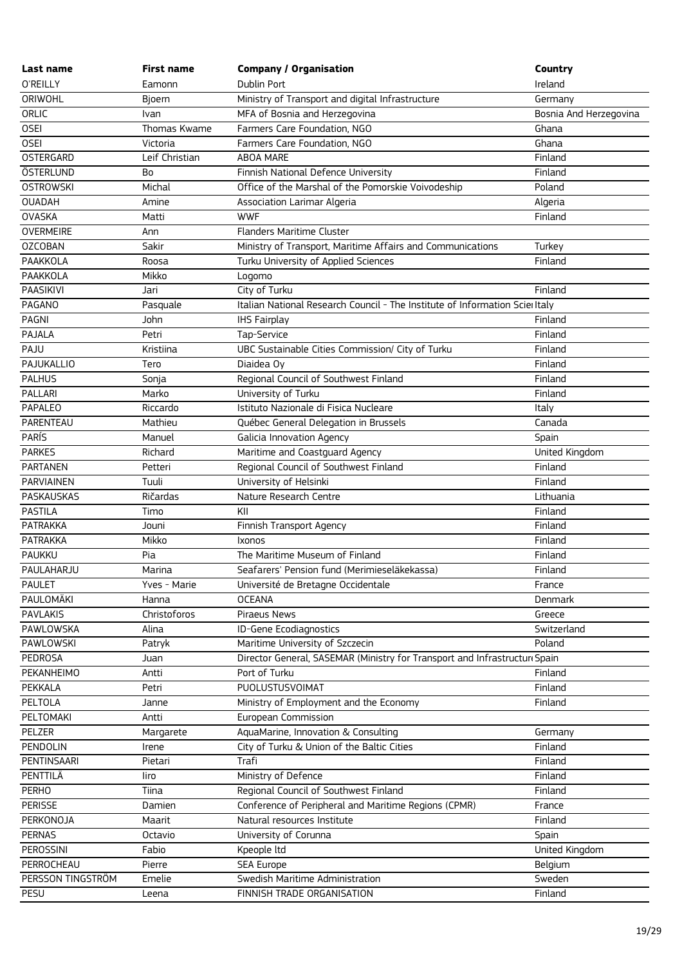| Last name         | <b>First name</b> | <b>Company / Organisation</b>                                                | <b>Country</b>         |
|-------------------|-------------------|------------------------------------------------------------------------------|------------------------|
| O'REILLY          | Eamonn            | Dublin Port                                                                  | Ireland                |
| ORIWOHL           | Bjoern            | Ministry of Transport and digital Infrastructure                             | Germany                |
| ORLIC             | Ivan              | MFA of Bosnia and Herzegovina                                                | Bosnia And Herzegovina |
| <b>OSEI</b>       | Thomas Kwame      | Farmers Care Foundation, NGO                                                 | Ghana                  |
| <b>OSEI</b>       | Victoria          | Farmers Care Foundation, NGO                                                 | Ghana                  |
| <b>OSTERGARD</b>  | Leif Christian    | ABOA MARE                                                                    | Finland                |
| ÖSTERLUND         | Bo                | Finnish National Defence University                                          | Finland                |
| <b>OSTROWSKI</b>  | Michal            | Office of the Marshal of the Pomorskie Voivodeship                           | Poland                 |
| <b>OUADAH</b>     | Amine             | Association Larimar Algeria                                                  | Algeria                |
| <b>OVASKA</b>     | Matti             | <b>WWF</b>                                                                   | Finland                |
| <b>OVERMEIRE</b>  | Ann               | Flanders Maritime Cluster                                                    |                        |
| <b>OZCOBAN</b>    | Sakir             | Ministry of Transport, Maritime Affairs and Communications                   | Turkey                 |
| PAAKKOLA          | Roosa             | Turku University of Applied Sciences                                         | Finland                |
| PAAKKOLA          | Mikko             | Logomo                                                                       |                        |
| PAASIKIVI         | Jari              | City of Turku                                                                | Finland                |
| PAGANO            | Pasquale          | Italian National Research Council - The Institute of Information Scier Italy |                        |
| PAGNI             | John              | <b>IHS Fairplay</b>                                                          | Finland                |
| PAJALA            | Petri             | Tap-Service                                                                  | Finland                |
| PAJU              | Kristiina         | UBC Sustainable Cities Commission/ City of Turku                             | Finland                |
| PAJUKALLIO        | Tero              | Diaidea Oy                                                                   | Finland                |
| <b>PALHUS</b>     | Sonja             | Regional Council of Southwest Finland                                        | Finland                |
| PALLARI           | Marko             | University of Turku                                                          | Finland                |
| PAPALEO           | Riccardo          | Istituto Nazionale di Fisica Nucleare                                        | Italy                  |
| PARENTEAU         | Mathieu           | Québec General Delegation in Brussels                                        | Canada                 |
| <b>PARÍS</b>      | Manuel            | Galicia Innovation Agency                                                    | Spain                  |
| <b>PARKES</b>     | Richard           | Maritime and Coastguard Agency                                               | United Kingdom         |
| <b>PARTANEN</b>   | Petteri           | Regional Council of Southwest Finland                                        | Finland                |
| PARVIAINEN        | Tuuli             | University of Helsinki                                                       | Finland                |
| PASKAUSKAS        | Ričardas          | Nature Research Centre                                                       | Lithuania              |
| <b>PASTILA</b>    | Timo              | KII                                                                          | Finland                |
| <b>PATRAKKA</b>   | Jouni             | Finnish Transport Agency                                                     | Finland                |
| <b>PATRAKKA</b>   | Mikko             | Ixonos                                                                       | Finland                |
| <b>PAUKKU</b>     | Pia               | The Maritime Museum of Finland                                               | Finland                |
| PAULAHARJU        | Marina            | Seafarers' Pension fund (Merimieseläkekassa)                                 | Finland                |
| <b>PAULET</b>     | Yves - Marie      | Université de Bretagne Occidentale                                           | France                 |
| PAULOMÄKI         | Hanna             | <b>OCEANA</b>                                                                | Denmark                |
| <b>PAVLAKIS</b>   | Christoforos      | Piraeus News                                                                 | Greece                 |
| PAWLOWSKA         | Alina             | ID-Gene Ecodiagnostics                                                       | Switzerland            |
| PAWLOWSKI         | Patryk            | Maritime University of Szczecin                                              | Poland                 |
| PEDROSA           | Juan              | Director General, SASEMAR (Ministry for Transport and Infrastructuri Spain   |                        |
| PEKANHEIMO        | Antti             | Port of Turku                                                                | Finland                |
| PEKKALA           | Petri             | PUOLUSTUSVOIMAT                                                              | Finland                |
| PELTOLA           | Janne             | Ministry of Employment and the Economy                                       | Finland                |
| PELTOMAKI         | Antti             | European Commission                                                          |                        |
| PELZER            | Margarete         | AquaMarine, Innovation & Consulting                                          | Germany                |
| PENDOLIN          | Irene             | City of Turku & Union of the Baltic Cities                                   | Finland                |
| PENTINSAARI       | Pietari           | Trafi                                                                        | Finland                |
| PENTTILÄ          | liro              | Ministry of Defence                                                          | Finland                |
| <b>PERHO</b>      | Tiina             | Regional Council of Southwest Finland                                        | Finland                |
| <b>PERISSE</b>    | Damien            | Conference of Peripheral and Maritime Regions (CPMR)                         | France                 |
| PERKONOJA         | Maarit            | Natural resources Institute                                                  | Finland                |
| <b>PERNAS</b>     | Octavio           | University of Corunna                                                        | Spain                  |
| PEROSSINI         | Fabio             | Kpeople ltd                                                                  | United Kingdom         |
| PERROCHEAU        | Pierre            | <b>SEA Europe</b>                                                            | Belgium                |
| PERSSON TINGSTRÖM | Emelie            | Swedish Maritime Administration                                              | Sweden                 |
| PESU              | Leena             | FINNISH TRADE ORGANISATION                                                   | Finland                |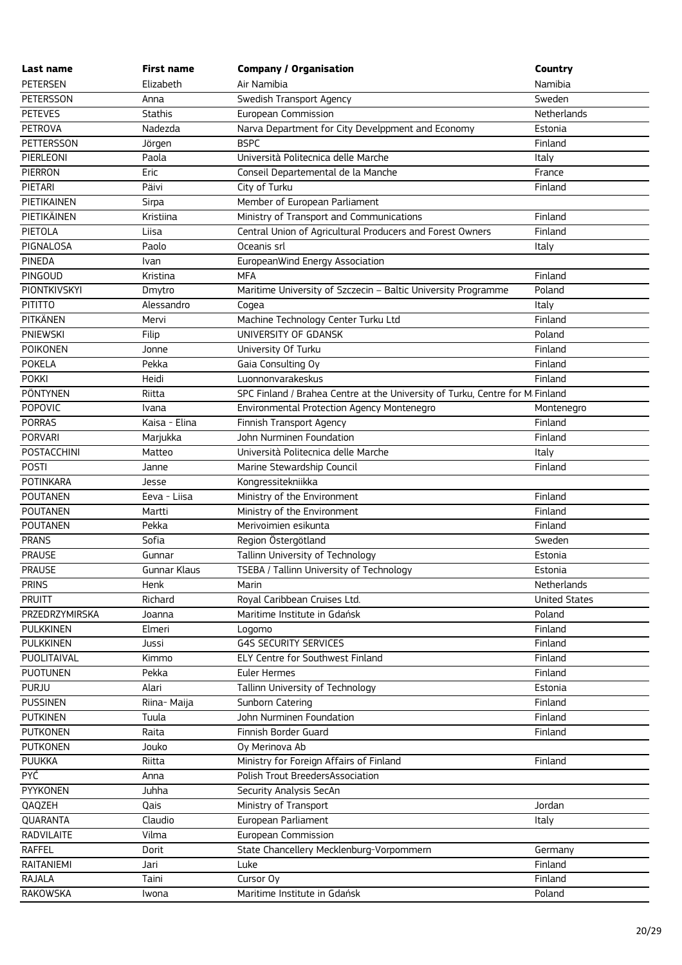| Last name        | <b>First name</b> | <b>Company / Organisation</b>                                                | Country              |
|------------------|-------------------|------------------------------------------------------------------------------|----------------------|
| <b>PETERSEN</b>  | Elizabeth         | Air Namibia                                                                  | Namibia              |
| PETERSSON        | Anna              | Swedish Transport Agency                                                     | Sweden               |
| <b>PETEVES</b>   | <b>Stathis</b>    | European Commission                                                          | Netherlands          |
| PETROVA          | Nadezda           | Narva Department for City Develppment and Economy                            | Estonia              |
| PETTERSSON       | Jörgen            | <b>BSPC</b>                                                                  | Finland              |
| PIERLEONI        | Paola             | Università Politecnica delle Marche                                          | Italy                |
| <b>PIERRON</b>   | Eric              | Conseil Departemental de la Manche                                           | France               |
| PIETARI          | Päivi             | City of Turku                                                                | Finland              |
| PIETIKAINEN      | Sirpa             | Member of European Parliament                                                |                      |
| PIETIKÄINEN      | Kristiina         | Ministry of Transport and Communications                                     | Finland              |
| PIETOLA          | Liisa             | Central Union of Agricultural Producers and Forest Owners                    | Finland              |
| PIGNALOSA        | Paolo             | Oceanis srl                                                                  | Italy                |
| PINEDA           | <b>Ivan</b>       | EuropeanWind Energy Association                                              |                      |
| PINGOUD          | Kristina          | <b>MFA</b>                                                                   | Finland              |
| PIONTKIVSKYI     | Dmytro            | Maritime University of Szczecin - Baltic University Programme                | Poland               |
| <b>PITITTO</b>   | Alessandro        | Cogea                                                                        | Italy                |
| <b>PITKÄNEN</b>  | Mervi             | Machine Technology Center Turku Ltd                                          | Finland              |
| <b>PNIEWSKI</b>  | Filip             | UNIVERSITY OF GDANSK                                                         | Poland               |
| <b>POIKONEN</b>  | Jonne             | University Of Turku                                                          | Finland              |
| <b>POKELA</b>    | Pekka             | Gaia Consulting Oy                                                           | Finland              |
| <b>POKKI</b>     | Heidi             | Luonnonvarakeskus                                                            | Finland              |
| PÖNTYNEN         | Riitta            | SPC Finland / Brahea Centre at the University of Turku, Centre for M Finland |                      |
| POPOVIC          | Ivana             | Environmental Protection Agency Montenegro                                   | Montenegro           |
| <b>PORRAS</b>    | Kaisa - Elina     | Finnish Transport Agency                                                     | Finland              |
| <b>PORVARI</b>   | Marjukka          | John Nurminen Foundation                                                     | Finland              |
| POSTACCHINI      | Matteo            | Università Politecnica delle Marche                                          | Italy                |
| <b>POSTI</b>     | Janne             | Marine Stewardship Council                                                   | Finland              |
| POTINKARA        | Jesse             | Kongressitekniikka                                                           |                      |
| <b>POUTANEN</b>  | Eeva - Liisa      | Ministry of the Environment                                                  | Finland              |
| <b>POUTANEN</b>  | Martti            | Ministry of the Environment                                                  | Finland              |
| <b>POUTANEN</b>  | Pekka             | Merivoimien esikunta                                                         | Finland              |
| <b>PRANS</b>     | Sofia             | Region Östergötland                                                          | Sweden               |
| <b>PRAUSE</b>    | Gunnar            | Tallinn University of Technology                                             | Estonia              |
| <b>PRAUSE</b>    | Gunnar Klaus      | TSEBA / Tallinn University of Technology                                     | Estonia              |
| <b>PRINS</b>     | Henk              | Marin                                                                        | Netherlands          |
| <b>PRUITT</b>    | Richard           | Royal Caribbean Cruises Ltd.                                                 | <b>United States</b> |
| PRZEDRZYMIRSKA   | Joanna            | Maritime Institute in Gdańsk                                                 | Poland               |
| <b>PULKKINEN</b> | Elmeri            | Logomo                                                                       | Finland              |
| <b>PULKKINEN</b> | Jussi             | <b>G4S SECURITY SERVICES</b>                                                 | Finland              |
| PUOLITAIVAL      | Kimmo             | ELY Centre for Southwest Finland                                             | Finland              |
| <b>PUOTUNEN</b>  | Pekka             | Euler Hermes                                                                 | Finland              |
| <b>PURJU</b>     | Alari             | Tallinn University of Technology                                             | Estonia              |
| <b>PUSSINEN</b>  | Riina- Maija      | Sunborn Catering                                                             | Finland              |
| <b>PUTKINEN</b>  | Tuula             | John Nurminen Foundation                                                     | Finland              |
| <b>PUTKONEN</b>  | Raita             | Finnish Border Guard                                                         | Finland              |
| <b>PUTKONEN</b>  | Jouko             | Oy Merinova Ab                                                               |                      |
| <b>PUUKKA</b>    | Riitta            | Ministry for Foreign Affairs of Finland                                      | Finland              |
| <b>PYĆ</b>       | Anna              | Polish Trout BreedersAssociation                                             |                      |
| PYYKONEN         | Juhha             | Security Analysis SecAn                                                      |                      |
| QAQZEH           | Qais              | Ministry of Transport                                                        | Jordan               |
| QUARANTA         | Claudio           | European Parliament                                                          | Italy                |
| RADVILAITE       | Vilma             | European Commission                                                          |                      |
| <b>RAFFEL</b>    | Dorit             | State Chancellery Mecklenburg-Vorpommern                                     | Germany              |
| RAITANIEMI       | Jari              | Luke                                                                         | Finland              |
| <b>RAJALA</b>    | Taini             | Cursor Oy                                                                    | Finland              |
| RAKOWSKA         | Iwona             | Maritime Institute in Gdańsk                                                 | Poland               |
|                  |                   |                                                                              |                      |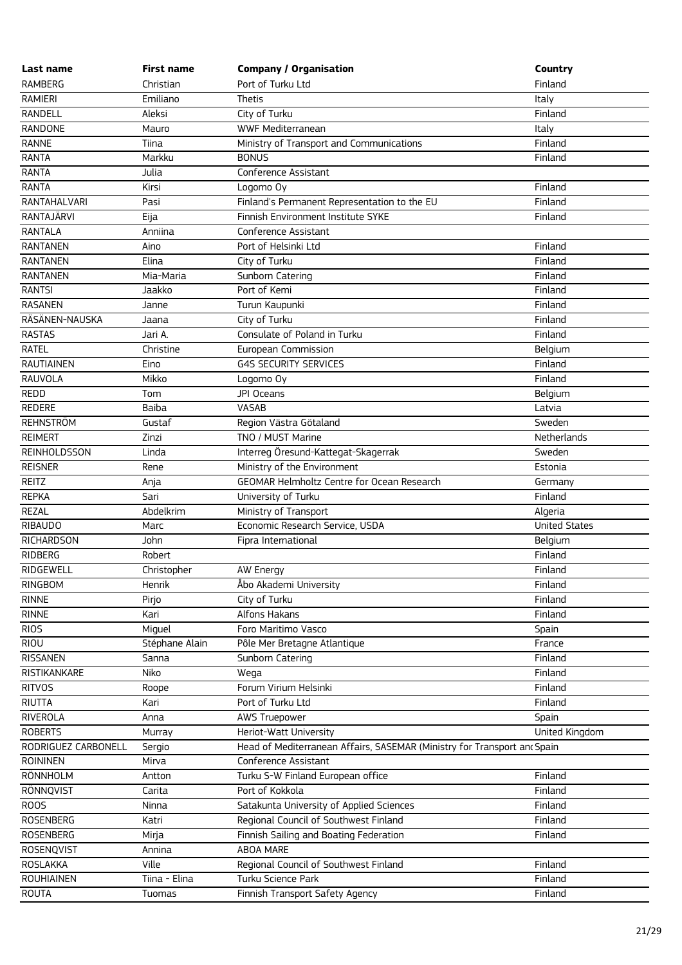| Last name                       | <b>First name</b> | <b>Company / Organisation</b>                                            | Country              |
|---------------------------------|-------------------|--------------------------------------------------------------------------|----------------------|
| <b>RAMBERG</b>                  | Christian         | Port of Turku Ltd                                                        | Finland              |
| <b>RAMIERI</b>                  | Emiliano          | Thetis                                                                   | Italy                |
| RANDELL                         | Aleksi            | City of Turku                                                            | Finland              |
| RANDONE                         | Mauro             | WWF Mediterranean                                                        | Italy                |
| <b>RANNE</b>                    | Tiina             | Ministry of Transport and Communications                                 | Finland              |
| <b>RANTA</b>                    | Markku            | <b>BONUS</b>                                                             | Finland              |
| <b>RANTA</b>                    | Julia             | Conference Assistant                                                     |                      |
| <b>RANTA</b>                    | Kirsi             | Logomo Oy                                                                | Finland              |
| RANTAHALVARI                    | Pasi              | Finland's Permanent Representation to the EU                             | Finland              |
| RANTAJÄRVI                      | Eija              | Finnish Environment Institute SYKE                                       | Finland              |
| <b>RANTALA</b>                  | Anniina           | Conference Assistant                                                     |                      |
| <b>RANTANEN</b>                 | Aino              | Port of Helsinki Ltd                                                     | Finland              |
| <b>RANTANEN</b>                 | Elina             | City of Turku                                                            | Finland              |
| <b>RANTANEN</b>                 | Mia-Maria         | Sunborn Catering                                                         | Finland              |
| <b>RANTSI</b>                   | Jaakko            | Port of Kemi                                                             | Finland              |
| <b>RASANEN</b>                  | Janne             | Turun Kaupunki                                                           | Finland              |
| RÄSÄNEN-NAUSKA                  | Jaana             | City of Turku                                                            | Finland              |
| <b>RASTAS</b>                   | Jari A.           | Consulate of Poland in Turku                                             | Finland              |
| <b>RATEL</b>                    | Christine         | European Commission                                                      | Belgium              |
| <b>RAUTIAINEN</b>               | Eino              | <b>G4S SECURITY SERVICES</b>                                             | Finland              |
| RAUVOLA                         | Mikko             | Logomo Oy                                                                | Finland              |
| REDD                            | Tom               | JPI Oceans                                                               | Belgium              |
| <b>REDERE</b>                   | Baiba             | VASAB                                                                    | Latvia               |
| <b>REHNSTRÖM</b>                | Gustaf            | Region Västra Götaland                                                   | Sweden               |
| <b>REIMERT</b>                  | Zinzi             | TNO / MUST Marine                                                        | Netherlands          |
| <b>REINHOLDSSON</b>             | Linda             | Interreg Öresund-Kattegat-Skagerrak                                      | Sweden               |
| <b>REISNER</b>                  | Rene              | Ministry of the Environment                                              | Estonia              |
| REITZ                           | Anja              | GEOMAR Helmholtz Centre for Ocean Research                               | Germany              |
| <b>REPKA</b>                    | Sari              | University of Turku                                                      | Finland              |
| <b>REZAL</b>                    | Abdelkrim         | Ministry of Transport                                                    | Algeria              |
| <b>RIBAUDO</b>                  | Marc              | Economic Research Service, USDA                                          | <b>United States</b> |
| RICHARDSON                      | John              | Fipra International                                                      | Belgium              |
| RIDBERG                         | Robert            |                                                                          | Finland              |
| RIDGEWELL                       | Christopher       | AW Energy                                                                | Finland              |
| RINGBOM                         | Henrik            | Åbo Akademi University                                                   | Finland              |
| <b>RINNE</b>                    | Pirjo             | City of Turku                                                            | Finland              |
| <b>RINNE</b>                    | Kari              | Alfons Hakans                                                            | Finland              |
| <b>RIOS</b>                     | Miguel            | Foro Maritimo Vasco                                                      | Spain                |
| RIOU                            | Stéphane Alain    | Pôle Mer Bretagne Atlantique                                             | France               |
| <b>RISSANEN</b><br>RISTIKANKARE | Sanna<br>Niko     | Sunborn Catering<br>Wega                                                 | Finland<br>Finland   |
| <b>RITVOS</b>                   | Roope             | Forum Virium Helsinki                                                    | Finland              |
| <b>RIUTTA</b>                   | Kari              | Port of Turku Ltd                                                        | Finland              |
| <b>RIVEROLA</b>                 | Anna              | AWS Truepower                                                            | Spain                |
| <b>ROBERTS</b>                  | Murray            | Heriot-Watt University                                                   | United Kingdom       |
| RODRIGUEZ CARBONELL             | Sergio            | Head of Mediterranean Affairs, SASEMAR (Ministry for Transport and Spain |                      |
| <b>ROININEN</b>                 | Mirva             | Conference Assistant                                                     |                      |
| RÖNNHOLM                        | Antton            | Turku S-W Finland European office                                        | Finland              |
| RÖNNQVIST                       | Carita            | Port of Kokkola                                                          | Finland              |
| <b>ROOS</b>                     | Ninna             | Satakunta University of Applied Sciences                                 | Finland              |
| <b>ROSENBERG</b>                | Katri             | Regional Council of Southwest Finland                                    | Finland              |
| ROSENBERG                       | Mirja             | Finnish Sailing and Boating Federation                                   | Finland              |
| ROSENQVIST                      | Annina            | ABOA MARE                                                                |                      |
| <b>ROSLAKKA</b>                 | Ville             | Regional Council of Southwest Finland                                    | Finland              |
| <b>ROUHIAINEN</b>               | Tiina - Elina     | Turku Science Park                                                       | Finland              |
| <b>ROUTA</b>                    | Tuomas            | Finnish Transport Safety Agency                                          | Finland              |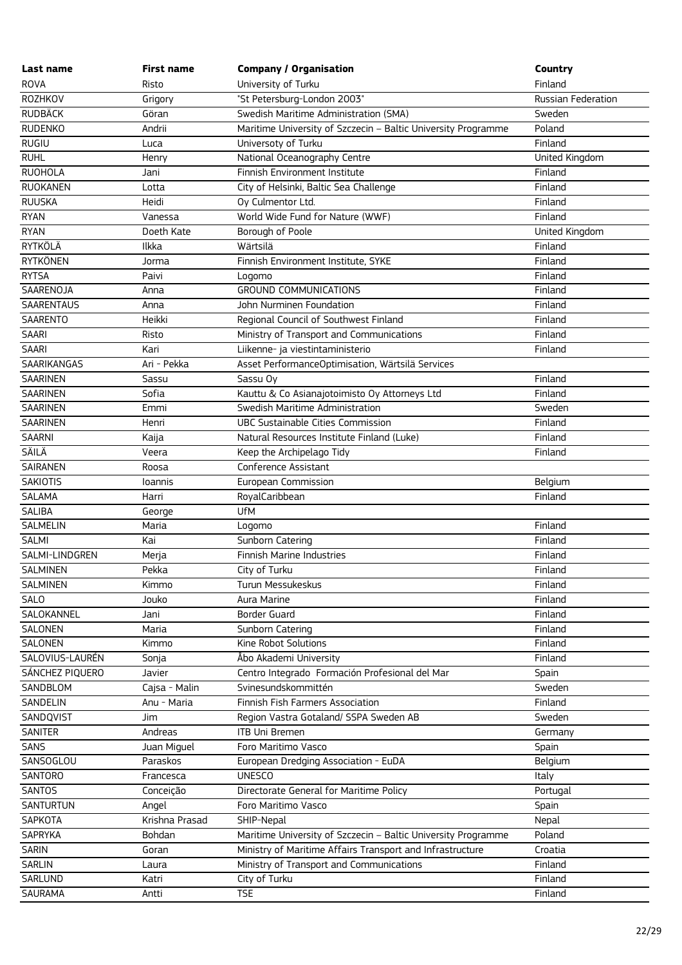| Last name         | <b>First name</b> | <b>Company / Organisation</b>                                 | Country                   |
|-------------------|-------------------|---------------------------------------------------------------|---------------------------|
| <b>ROVA</b>       | Risto             | University of Turku                                           | Finland                   |
| ROZHKOV           | Grigory           | "St Petersburg-London 2003"                                   | <b>Russian Federation</b> |
| <b>RUDBÄCK</b>    | Göran             | Swedish Maritime Administration (SMA)                         | Sweden                    |
| <b>RUDENKO</b>    | Andrii            | Maritime University of Szczecin - Baltic University Programme | Poland                    |
| RUGIU             | Luca              | Universoty of Turku                                           | Finland                   |
| <b>RUHL</b>       | Henry             | National Oceanography Centre                                  | United Kingdom            |
| <b>RUOHOLA</b>    | Jani              | Finnish Environment Institute                                 | Finland                   |
| <b>RUOKANEN</b>   | Lotta             | City of Helsinki, Baltic Sea Challenge                        | Finland                   |
| <b>RUUSKA</b>     | Heidi             | Oy Culmentor Ltd.                                             | Finland                   |
| <b>RYAN</b>       | Vanessa           | World Wide Fund for Nature (WWF)                              | Finland                   |
| <b>RYAN</b>       | Doeth Kate        | Borough of Poole                                              | United Kingdom            |
| RYTKÖLÄ           | Ilkka             | Wärtsilä                                                      | Finland                   |
| <b>RYTKÖNEN</b>   | Jorma             | Finnish Environment Institute, SYKE                           | Finland                   |
| <b>RYTSA</b>      | Paivi             | Logomo                                                        | Finland                   |
| SAARENOJA         | Anna              | <b>GROUND COMMUNICATIONS</b>                                  | Finland                   |
| <b>SAARENTAUS</b> | Anna              | John Nurminen Foundation                                      | Finland                   |
| SAARENTO          | Heikki            | Regional Council of Southwest Finland                         | Finland                   |
| SAARI             | Risto             | Ministry of Transport and Communications                      | Finland                   |
| <b>SAARI</b>      | Kari              | Liikenne- ja viestintaministerio                              | Finland                   |
| SAARIKANGAS       | Ari - Pekka       | Asset PerformanceOptimisation, Wärtsilä Services              |                           |
| SAARINEN          | Sassu             | Sassu Oy                                                      | Finland                   |
| <b>SAARINEN</b>   | Sofia             | Kauttu & Co Asianajotoimisto Oy Attorneys Ltd                 | Finland                   |
| SAARINEN          | Emmi              | Swedish Maritime Administration                               | Sweden                    |
| <b>SAARINEN</b>   | Henri             | <b>UBC Sustainable Cities Commission</b>                      | Finland                   |
| <b>SAARNI</b>     | Kaija             | Natural Resources Institute Finland (Luke)                    | Finland                   |
| SÄILÄ             | Veera             | Keep the Archipelago Tidy                                     | Finland                   |
| SAIRANEN          | Roosa             | Conference Assistant                                          |                           |
| SAKIOTIS          | Ioannis           | European Commission                                           | Belgium                   |
| SALAMA            | Harri             | RoyalCaribbean                                                | Finland                   |
| SALIBA            | George            | <b>UfM</b>                                                    |                           |
| <b>SALMELIN</b>   | Maria             | Logomo                                                        | Finland                   |
| <b>SALMI</b>      | Kai               | Sunborn Catering                                              | Finland                   |
| SALMI-LINDGREN    | Merja             | Finnish Marine Industries                                     | Finland                   |
| <b>SALMINEN</b>   | Pekka             | City of Turku                                                 | Finland                   |
| SALMINEN          | Kimmo             | Turun Messukeskus                                             | Finland                   |
| SALO              | Jouko             | Aura Marine                                                   | Finland                   |
| SALOKANNEL        | Jani              | <b>Border Guard</b>                                           | Finland                   |
| SALONEN           | Maria             | Sunborn Catering                                              | Finland                   |
| SALONEN           | Kimmo             | Kine Robot Solutions                                          | Finland                   |
| SALOVIUS-LAURÉN   | Sonja             | Åbo Akademi University                                        | Finland                   |
| SÁNCHEZ PIQUERO   | Javier            | Centro Integrado Formación Profesional del Mar                | Spain                     |
| SANDBLOM          | Cajsa - Malin     | Svinesundskommittén                                           | Sweden                    |
| SANDELIN          | Anu - Maria       | Finnish Fish Farmers Association                              | Finland                   |
| SANDQVIST         | Jim               | Region Vastra Gotaland/ SSPA Sweden AB                        | Sweden                    |
| SANITER           | Andreas           | <b>ITB Uni Bremen</b>                                         | Germany                   |
| SANS              | Juan Miguel       | Foro Maritimo Vasco                                           | Spain                     |
| SANSOGLOU         | Paraskos          | European Dredging Association - EuDA                          | Belgium                   |
| SANTORO           | Francesca         | <b>UNESCO</b>                                                 | Italy                     |
| SANTOS            | Conceição         | Directorate General for Maritime Policy                       | Portugal                  |
| <b>SANTURTUN</b>  | Angel             | Foro Maritimo Vasco                                           | Spain                     |
| SAPKOTA           | Krishna Prasad    | SHIP-Nepal                                                    | Nepal                     |
| SAPRYKA           | Bohdan            | Maritime University of Szczecin - Baltic University Programme | Poland                    |
| SARIN             | Goran             | Ministry of Maritime Affairs Transport and Infrastructure     | Croatia                   |
| <b>SARLIN</b>     | Laura             | Ministry of Transport and Communications                      | Finland                   |
| SARLUND           | Katri             | City of Turku                                                 | Finland                   |
| <b>SAURAMA</b>    | Antti             | <b>TSE</b>                                                    | Finland                   |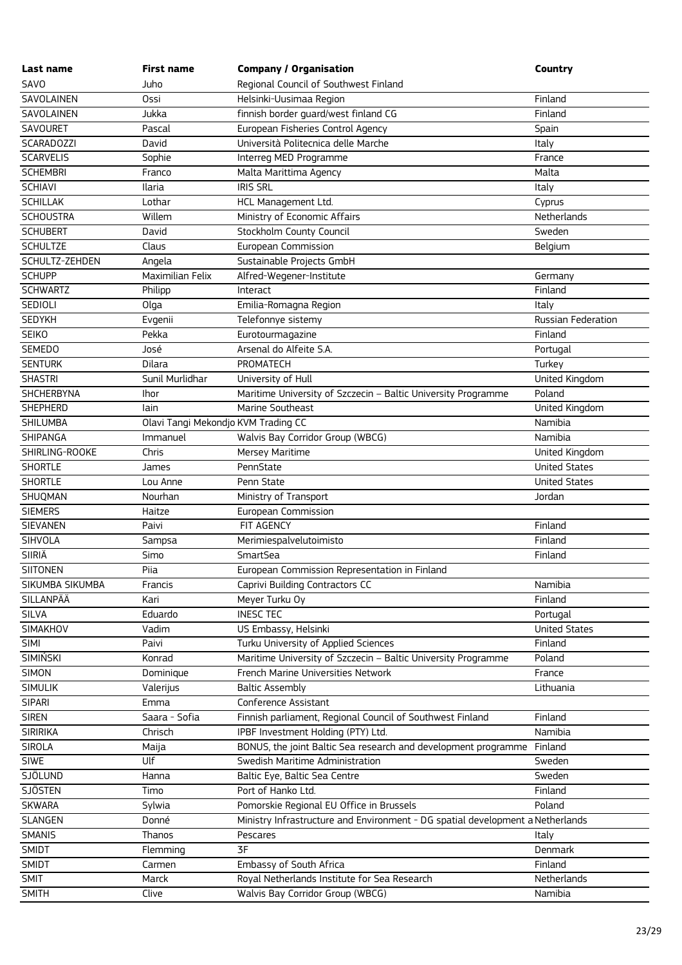| Last name         | First name       | <b>Company / Organisation</b>                                                  | <b>Country</b>       |
|-------------------|------------------|--------------------------------------------------------------------------------|----------------------|
| SAVO              | Juho             | Regional Council of Southwest Finland                                          |                      |
| SAVOLAINEN        | Ossi             | Helsinki-Uusimaa Region                                                        | Finland              |
| SAVOLAINEN        | Jukka            | finnish border guard/west finland CG                                           | Finland              |
| SAVOURET          | Pascal           | European Fisheries Control Agency                                              | Spain                |
| <b>SCARADOZZI</b> | David            | Università Politecnica delle Marche                                            | Italy                |
| <b>SCARVELIS</b>  | Sophie           | Interreg MED Programme                                                         | France               |
| <b>SCHEMBRI</b>   | Franco           | Malta Marittima Agency                                                         | Malta                |
| <b>SCHIAVI</b>    | Ilaria           | <b>IRIS SRL</b>                                                                | Italy                |
| <b>SCHILLAK</b>   | Lothar           | HCL Management Ltd.                                                            | Cyprus               |
| <b>SCHOUSTRA</b>  | Willem           | Ministry of Economic Affairs                                                   | Netherlands          |
| <b>SCHUBERT</b>   | David            | Stockholm County Council                                                       | Sweden               |
| <b>SCHULTZE</b>   | Claus            | European Commission                                                            | Belgium              |
| SCHULTZ-ZEHDEN    | Angela           | Sustainable Projects GmbH                                                      |                      |
| <b>SCHUPP</b>     | Maximilian Felix | Alfred-Wegener-Institute                                                       | Germany              |
| <b>SCHWARTZ</b>   | Philipp          | Interact                                                                       | Finland              |
| SEDIOLI           | Olga             | Emilia-Romagna Region                                                          | Italy                |
| <b>SEDYKH</b>     | Evgenii          | Telefonnye sistemy                                                             | Russian Federation   |
| <b>SEIKO</b>      | Pekka            | Eurotourmagazine                                                               | Finland              |
| <b>SEMEDO</b>     | José             | Arsenal do Alfeite S.A.                                                        | Portugal             |
| <b>SENTURK</b>    | Dilara           | PROMATECH                                                                      | Turkey               |
| <b>SHASTRI</b>    | Sunil Murlidhar  | University of Hull                                                             | United Kingdom       |
| SHCHERBYNA        | Ihor             | Maritime University of Szczecin - Baltic University Programme                  | Poland               |
| <b>SHEPHERD</b>   | lain             | Marine Southeast                                                               | United Kingdom       |
| <b>SHILUMBA</b>   |                  | Olavi Tangi Mekondjo KVM Trading CC                                            | Namibia              |
| SHIPANGA          | Immanuel         | Walvis Bay Corridor Group (WBCG)                                               | Namibia              |
| SHIRLING-ROOKE    | Chris            | Mersey Maritime                                                                | United Kingdom       |
| <b>SHORTLE</b>    | James            | PennState                                                                      | <b>United States</b> |
| <b>SHORTLE</b>    | Lou Anne         | Penn State                                                                     | <b>United States</b> |
| SHUQMAN           | Nourhan          | Ministry of Transport                                                          | Jordan               |
| <b>SIEMERS</b>    | Haitze           | European Commission                                                            |                      |
| <b>SIEVANEN</b>   | Paivi            | FIT AGENCY                                                                     | Finland              |
| SIHVOLA           | Sampsa           | Merimiespalvelutoimisto                                                        | Finland              |
| <b>SIIRIÄ</b>     | Simo             | SmartSea                                                                       | Finland              |
| <b>SIITONEN</b>   | Piia             | European Commission Representation in Finland                                  |                      |
| SIKUMBA SIKUMBA   | Francis          | Caprivi Building Contractors CC                                                | Namibia              |
| SILLANPÄÄ         | Kari             | Meyer Turku Oy                                                                 | Finland              |
| <b>SILVA</b>      | Eduardo          | <b>INESC TEC</b>                                                               | Portugal             |
| SIMAKHOV          | Vadim            | US Embassy, Helsinki                                                           | <b>United States</b> |
| SIMI              | Paivi            | Turku University of Applied Sciences                                           | Finland              |
| <b>SIMIŃSKI</b>   | Konrad           | Maritime University of Szczecin - Baltic University Programme                  | Poland               |
| SIMON             | Dominique        | French Marine Universities Network                                             | France               |
| <b>SIMULIK</b>    | Valerijus        | <b>Baltic Assembly</b>                                                         | Lithuania            |
| <b>SIPARI</b>     | Emma             | Conference Assistant                                                           |                      |
| <b>SIREN</b>      | Saara - Sofia    | Finnish parliament, Regional Council of Southwest Finland                      | Finland              |
| <b>SIRIRIKA</b>   | Chrisch          | IPBF Investment Holding (PTY) Ltd.                                             | Namibia              |
| <b>SIROLA</b>     | Maija            | BONUS, the joint Baltic Sea research and development programme                 | Finland              |
| <b>SIWE</b>       | Ulf              | Swedish Maritime Administration                                                | Sweden               |
| SJÖLUND           | Hanna            | Baltic Eye, Baltic Sea Centre                                                  | Sweden               |
| <b>SJÖSTEN</b>    | Timo             | Port of Hanko Ltd.                                                             | Finland              |
| <b>SKWARA</b>     | Sylwia           | Pomorskie Regional EU Office in Brussels                                       | Poland               |
| SLANGEN           | Donné            | Ministry Infrastructure and Environment - DG spatial development a Netherlands |                      |
| <b>SMANIS</b>     | Thanos           | Pescares                                                                       | Italy                |
| <b>SMIDT</b>      | Flemming         | 3F                                                                             | Denmark              |
| SMIDT             | Carmen           | Embassy of South Africa                                                        | Finland              |
| <b>SMIT</b>       | Marck            | Royal Netherlands Institute for Sea Research                                   | Netherlands          |
| <b>SMITH</b>      | Clive            | Walvis Bay Corridor Group (WBCG)                                               | Namibia              |
|                   |                  |                                                                                |                      |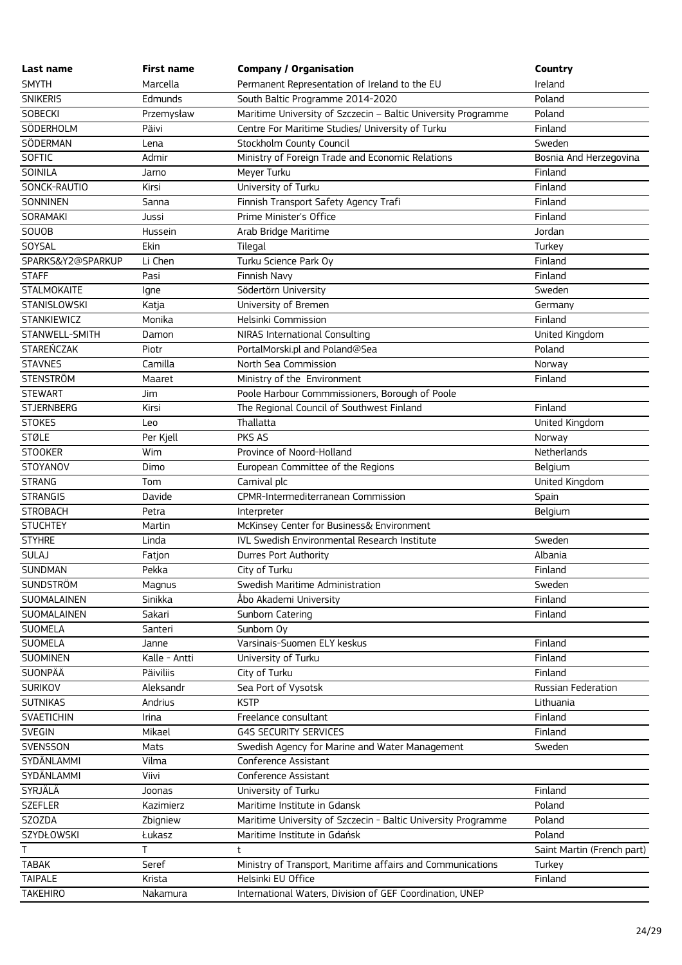| Last name                         | <b>First name</b>      | <b>Company / Organisation</b>                                 | Country                    |
|-----------------------------------|------------------------|---------------------------------------------------------------|----------------------------|
| <b>SMYTH</b>                      | Marcella               | Permanent Representation of Ireland to the EU                 | Ireland                    |
| <b>SNIKERIS</b>                   | Edmunds                | South Baltic Programme 2014-2020                              | Poland                     |
| SOBECKI                           | Przemysław             | Maritime University of Szczecin - Baltic University Programme | Poland                     |
| SÖDERHOLM                         | Päivi                  | Centre For Maritime Studies/ University of Turku              | Finland                    |
| SÖDERMAN                          | Lena                   | Stockholm County Council                                      | Sweden                     |
| SOFTIC                            | Admir                  | Ministry of Foreign Trade and Economic Relations              | Bosnia And Herzegovina     |
| SOINILA                           | Jarno                  | Meyer Turku                                                   | Finland                    |
| SONCK-RAUTIO                      | Kirsi                  | University of Turku                                           | Finland                    |
| SONNINEN                          | Sanna                  | Finnish Transport Safety Agency Trafi                         | Finland                    |
| SORAMAKI                          | Jussi                  | Prime Minister's Office                                       | Finland                    |
| SOUOB                             | Hussein                | Arab Bridge Maritime                                          | Jordan                     |
| SOYSAL                            | Ekin                   | Tilegal                                                       | Turkey                     |
| SPARKS&Y2@SPARKUP                 | Li Chen                | Turku Science Park Oy                                         | Finland                    |
| <b>STAFF</b>                      | Pasi                   | Finnish Navy                                                  | Finland                    |
| <b>STALMOKAITE</b>                | Igne                   | Södertörn University                                          | Sweden                     |
| STANISLOWSKI                      | Katja                  | University of Bremen                                          | Germany                    |
| <b>STANKIEWICZ</b>                | Monika                 | Helsinki Commission                                           | Finland                    |
| STANWELL-SMITH                    | Damon                  | NIRAS International Consulting                                | United Kingdom             |
| <b>STAREŃCZAK</b>                 | Piotr                  | PortalMorski.pl and Poland@Sea                                | Poland                     |
| <b>STAVNES</b>                    | Camilla                | North Sea Commission                                          | Norway                     |
| <b>STENSTRÖM</b>                  | Maaret                 | Ministry of the Environment                                   | Finland                    |
| <b>STEWART</b>                    | Jim                    | Poole Harbour Commmissioners, Borough of Poole                |                            |
| <b>STJERNBERG</b>                 | Kirsi                  | The Regional Council of Southwest Finland                     | Finland                    |
| <b>STOKES</b>                     | Leo                    | Thallatta                                                     | United Kingdom             |
| <b>STØLE</b>                      | Per Kjell              | PKS AS                                                        | Norway                     |
| <b>STOOKER</b>                    | Wim                    | Province of Noord-Holland                                     | Netherlands                |
| STOYANOV                          | Dimo                   | European Committee of the Regions                             | Belgium                    |
| <b>STRANG</b>                     | Tom                    | Carnival plc                                                  | United Kingdom             |
| <b>STRANGIS</b>                   | Davide                 | CPMR-Intermediterranean Commission                            | Spain                      |
| <b>STROBACH</b>                   | Petra                  | Interpreter                                                   | Belgium                    |
| <b>STUCHTEY</b>                   | Martin                 | McKinsey Center for Business& Environment                     |                            |
| <b>STYHRE</b>                     | Linda                  | IVL Swedish Environmental Research Institute                  | Sweden                     |
| <b>SULAJ</b>                      | Fatjon                 | Durres Port Authority                                         | Albania                    |
| SUNDMAN                           | Pekka                  | City of Turku                                                 | Finland                    |
| SUNDSTRÖM                         | Magnus                 | Swedish Maritime Administration                               | Sweden                     |
| SUOMALAINEN                       | Sinikka                | Åbo Akademi University                                        | Finland                    |
| SUOMALAINEN                       | Sakari                 | Sunborn Catering                                              | Finland                    |
| <b>SUOMELA</b>                    | Santeri                | Sunborn Oy                                                    |                            |
| <b>SUOMELA</b><br><b>SUOMINEN</b> | Janne<br>Kalle - Antti | Varsinais-Suomen ELY keskus<br>University of Turku            | Finland<br>Finland         |
| SUONPÄÄ                           | Päiviliis              | City of Turku                                                 | Finland                    |
| <b>SURIKOV</b>                    | Aleksandr              | Sea Port of Vysotsk                                           | Russian Federation         |
| <b>SUTNIKAS</b>                   | Andrius                | <b>KSTP</b>                                                   | Lithuania                  |
| SVAETICHIN                        | Irina                  | Freelance consultant                                          | Finland                    |
| <b>SVEGIN</b>                     | Mikael                 | <b>G4S SECURITY SERVICES</b>                                  | Finland                    |
| SVENSSON                          | Mats                   | Swedish Agency for Marine and Water Management                | Sweden                     |
| SYDÄNLAMMI                        | Vilma                  | Conference Assistant                                          |                            |
| SYDÄNLAMMI                        | Viivi                  | Conference Assistant                                          |                            |
| SYRJÄLÄ                           | Joonas                 | University of Turku                                           | Finland                    |
| <b>SZEFLER</b>                    | Kazimierz              | Maritime Institute in Gdansk                                  | Poland                     |
| SZOZDA                            | Zbigniew               | Maritime University of Szczecin - Baltic University Programme | Poland                     |
| <b>SZYDŁOWSKI</b>                 | Łukasz                 | Maritime Institute in Gdańsk                                  | Poland                     |
| T                                 | T                      | t                                                             | Saint Martin (French part) |
| <b>TABAK</b>                      | Seref                  | Ministry of Transport, Maritime affairs and Communications    | Turkey                     |
| <b>TAIPALE</b>                    | Krista                 | Helsinki EU Office                                            | Finland                    |
| <b>TAKEHIRO</b>                   | Nakamura               | International Waters, Division of GEF Coordination, UNEP      |                            |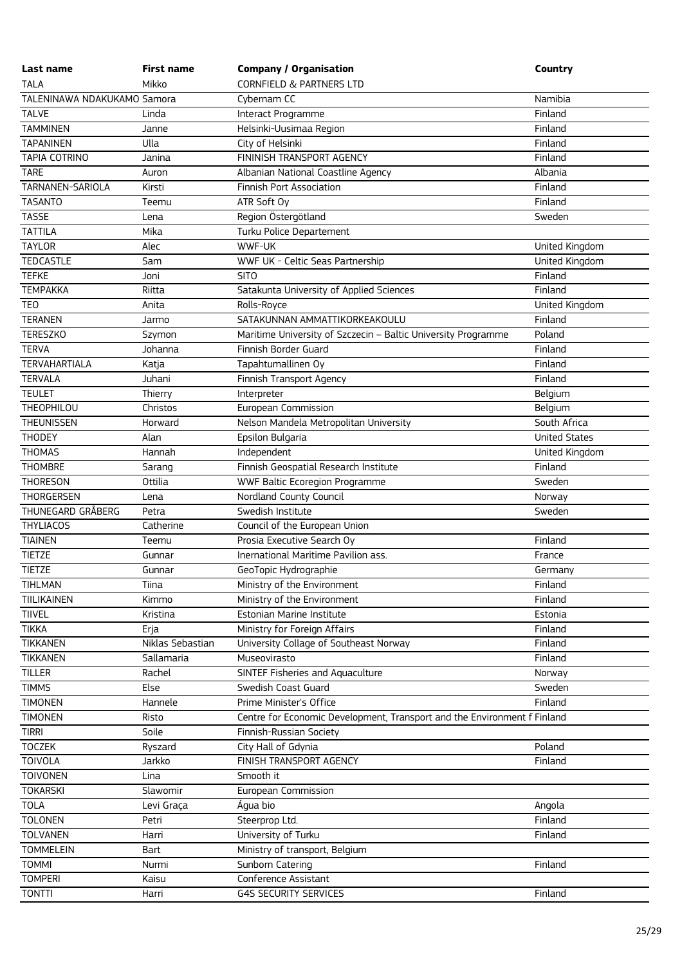| Last name                   | <b>First name</b> | <b>Company / Organisation</b>                                            | Country              |
|-----------------------------|-------------------|--------------------------------------------------------------------------|----------------------|
| <b>TALA</b>                 | Mikko             | <b>CORNFIELD &amp; PARTNERS LTD</b>                                      |                      |
| TALENINAWA NDAKUKAMO Samora |                   | Cybernam CC                                                              | Namibia              |
| <b>TALVE</b>                | Linda             | Interact Programme                                                       | Finland              |
| <b>TAMMINEN</b>             | Janne             | Helsinki-Uusimaa Region                                                  | Finland              |
| <b>TAPANINEN</b>            | Ulla              | City of Helsinki                                                         | Finland              |
| <b>TAPIA COTRINO</b>        | Janina            | FININISH TRANSPORT AGENCY                                                | Finland              |
| <b>TARE</b>                 | Auron             | Albanian National Coastline Agency                                       | Albania              |
| TARNANEN-SARIOLA            | Kirsti            | <b>Finnish Port Association</b>                                          | Finland              |
| <b>TASANTO</b>              | Teemu             | ATR Soft Oy                                                              | Finland              |
| <b>TASSE</b>                | Lena              | Region Östergötland                                                      | Sweden               |
| <b>TATTILA</b>              | Mika              | Turku Police Departement                                                 |                      |
| <b>TAYLOR</b>               | Alec              | WWF-UK                                                                   | United Kingdom       |
| <b>TEDCASTLE</b>            | Sam               | WWF UK - Celtic Seas Partnership                                         | United Kingdom       |
| <b>TEFKE</b>                | Joni              | <b>SITO</b>                                                              | Finland              |
| <b>TEMPAKKA</b>             | Riitta            | Satakunta University of Applied Sciences                                 | Finland              |
| <b>TEO</b>                  | Anita             | Rolls-Royce                                                              | United Kingdom       |
| <b>TERANEN</b>              | Jarmo             | SATAKUNNAN AMMATTIKORKEAKOULU                                            | Finland              |
| <b>TERESZKO</b>             | Szymon            | Maritime University of Szczecin - Baltic University Programme            | Poland               |
| <b>TERVA</b>                | Johanna           | Finnish Border Guard                                                     | Finland              |
| <b>TERVAHARTIALA</b>        | Katja             | Tapahtumallinen Oy                                                       | Finland              |
| <b>TERVALA</b>              | Juhani            | Finnish Transport Agency                                                 | Finland              |
| <b>TEULET</b>               | Thierry           | Interpreter                                                              | Belgium              |
| THEOPHILOU                  | Christos          | European Commission                                                      | Belgium              |
| <b>THEUNISSEN</b>           | Horward           | Nelson Mandela Metropolitan University                                   | South Africa         |
| <b>THODEY</b>               | Alan              | Epsilon Bulgaria                                                         | <b>United States</b> |
| <b>THOMAS</b>               | Hannah            | Independent                                                              | United Kingdom       |
| <b>THOMBRE</b>              | Sarang            | Finnish Geospatial Research Institute                                    | Finland              |
| <b>THORESON</b>             | Ottilia           | WWF Baltic Ecoregion Programme                                           | Sweden               |
| <b>THORGERSEN</b>           | Lena              | Nordland County Council                                                  | Norway               |
| THUNEGARD GRÅBERG           | Petra             | Swedish Institute                                                        | Sweden               |
| <b>THYLIACOS</b>            | Catherine         | Council of the European Union                                            |                      |
| <b>TIAINEN</b>              | Teemu             | Prosia Executive Search Oy                                               | Finland              |
| <b>TIETZE</b>               | Gunnar            | Inernational Maritime Pavilion ass.                                      | France               |
| <b>TIETZE</b>               | Gunnar            | GeoTopic Hydrographie                                                    | Germany              |
| TIHLMAN                     | Tiina             | Ministry of the Environment                                              | Finland              |
| TIILIKAINEN                 | Kimmo             | Ministry of the Environment                                              | Finland              |
| <b>TIIVEL</b>               | Kristina          | Estonian Marine Institute                                                | Estonia              |
| <b>TIKKA</b>                | Erja              | Ministry for Foreign Affairs                                             | Finland              |
| <b>TIKKANEN</b>             | Niklas Sebastian  | University Collage of Southeast Norway                                   | Finland              |
| <b>TIKKANEN</b>             | Sallamaria        | Museovirasto                                                             | Finland              |
| <b>TILLER</b>               | Rachel            | <b>SINTEF Fisheries and Aquaculture</b>                                  | Norway               |
| <b>TIMMS</b>                | Else              | Swedish Coast Guard                                                      | Sweden               |
| <b>TIMONEN</b>              | Hannele           | Prime Minister's Office                                                  | Finland              |
| <b>TIMONEN</b>              | Risto             | Centre for Economic Development, Transport and the Environment f Finland |                      |
| <b>TIRRI</b>                | Soile             | Finnish-Russian Society                                                  |                      |
| <b>TOCZEK</b>               | Ryszard           | City Hall of Gdynia                                                      | Poland               |
| <b>TOIVOLA</b>              | Jarkko            | FINISH TRANSPORT AGENCY                                                  | Finland              |
| <b>TOIVONEN</b>             | Lina              | Smooth it                                                                |                      |
| <b>TOKARSKI</b>             | Slawomir          | European Commission                                                      |                      |
| <b>TOLA</b>                 | Levi Graça        | Água bio                                                                 | Angola               |
| <b>TOLONEN</b>              | Petri             | Steerprop Ltd.                                                           | Finland              |
| <b>TOLVANEN</b>             | Harri             | University of Turku                                                      | Finland              |
| <b>TOMMELEIN</b>            | <b>Bart</b>       | Ministry of transport, Belgium                                           |                      |
| <b>TOMMI</b>                | Nurmi             | Sunborn Catering                                                         | Finland              |
| <b>TOMPERI</b>              | Kaisu             | Conference Assistant                                                     |                      |
| <b>TONTTI</b>               | Harri             | <b>G4S SECURITY SERVICES</b>                                             | Finland              |
|                             |                   |                                                                          |                      |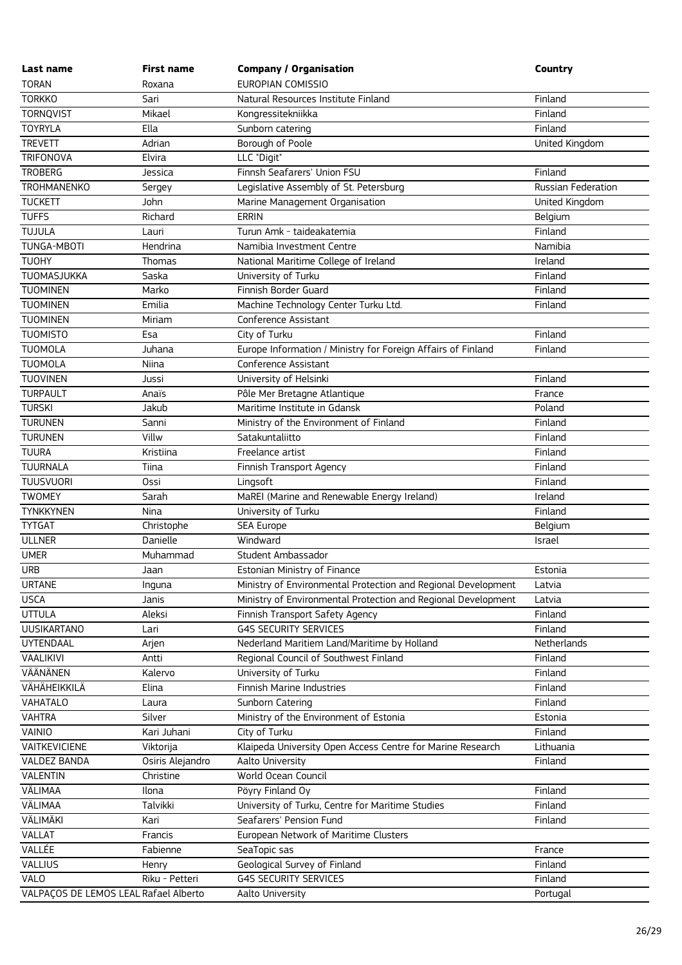| Last name                             | <b>First name</b> | <b>Company / Organisation</b>                                 | Country            |
|---------------------------------------|-------------------|---------------------------------------------------------------|--------------------|
| <b>TORAN</b>                          | Roxana            | EUROPIAN COMISSIO                                             |                    |
| <b>TORKKO</b>                         | Sari              | Natural Resources Institute Finland                           | Finland            |
| <b>TORNQVIST</b>                      | Mikael            | Kongressitekniikka                                            | Finland            |
| <b>TOYRYLA</b>                        | Ella              | Sunborn catering                                              | Finland            |
| <b>TREVETT</b>                        | Adrian            | Borough of Poole                                              | United Kingdom     |
| <b>TRIFONOVA</b>                      | Elvira            | LLC "Digit"                                                   |                    |
| <b>TROBERG</b>                        | Jessica           | Finnsh Seafarers' Union FSU                                   | Finland            |
| <b>TROHMANENKO</b>                    | Sergey            | Legislative Assembly of St. Petersburg                        | Russian Federation |
| <b>TUCKETT</b>                        | John              | Marine Management Organisation                                | United Kingdom     |
| <b>TUFFS</b>                          | Richard           | <b>ERRIN</b>                                                  | Belgium            |
| TUJULA                                | Lauri             | Turun Amk - taideakatemia                                     | Finland            |
| <b>TUNGA-MBOTI</b>                    | Hendrina          | Namibia Investment Centre                                     | Namibia            |
| <b>TUOHY</b>                          | Thomas            | National Maritime College of Ireland                          | Ireland            |
| TUOMASJUKKA                           | Saska             | University of Turku                                           | Finland            |
| <b>TUOMINEN</b>                       | Marko             | Finnish Border Guard                                          | Finland            |
| <b>TUOMINEN</b>                       | Emilia            | Machine Technology Center Turku Ltd.                          | Finland            |
| <b>TUOMINEN</b>                       | Miriam            | Conference Assistant                                          |                    |
| <b>TUOMISTO</b>                       | Esa               | City of Turku                                                 | Finland            |
| <b>TUOMOLA</b>                        | Juhana            | Europe Information / Ministry for Foreign Affairs of Finland  | Finland            |
| <b>TUOMOLA</b>                        | Niina             | Conference Assistant                                          |                    |
| <b>TUOVINEN</b>                       | Jussi             | University of Helsinki                                        | Finland            |
| <b>TURPAULT</b>                       | Anaïs             | Pôle Mer Bretagne Atlantique                                  | France             |
| <b>TURSKI</b>                         | Jakub             | Maritime Institute in Gdansk                                  | Poland             |
| <b>TURUNEN</b>                        | Sanni             | Ministry of the Environment of Finland                        | Finland            |
| <b>TURUNEN</b>                        | Villw             | Satakuntaliitto                                               | Finland            |
| <b>TUURA</b>                          | Kristiina         | Freelance artist                                              | Finland            |
| <b>TUURNALA</b>                       | Tiina             | Finnish Transport Agency                                      | Finland            |
| <b>TUUSVUORI</b>                      | Ossi              | Lingsoft                                                      | Finland            |
| <b>TWOMEY</b>                         | Sarah             | MaREI (Marine and Renewable Energy Ireland)                   | Ireland            |
| <b>TYNKKYNEN</b>                      | Nina              | University of Turku                                           | Finland            |
| <b>TYTGAT</b>                         | Christophe        | <b>SEA Europe</b>                                             | Belgium            |
| <b>ULLNER</b>                         | Danielle          | Windward                                                      | Israel             |
| <b>UMER</b>                           | Muhammad          | Student Ambassador                                            |                    |
| <b>URB</b>                            | Jaan              | Estonian Ministry of Finance                                  | Estonia            |
| <b>URTANE</b>                         | Inguna            | Ministry of Environmental Protection and Regional Development | Latvia             |
| <b>USCA</b>                           | Janis             | Ministry of Environmental Protection and Regional Development | Latvia             |
| <b>UTTULA</b>                         | Aleksi            | Finnish Transport Safety Agency                               | Finland            |
| <b>UUSIKARTANO</b>                    | Lari              | <b>G4S SECURITY SERVICES</b>                                  | Finland            |
| <b>UYTENDAAL</b>                      | Arjen             | Nederland Maritiem Land/Maritime by Holland                   | <b>Netherlands</b> |
| VAALIKIVI                             | Antti             | Regional Council of Southwest Finland                         | Finland            |
| VÄÄNÄNEN                              | Kalervo           | University of Turku                                           | Finland            |
| VÄHÄHEIKKILÄ                          | Elina             | Finnish Marine Industries                                     | Finland            |
| VAHATALO                              | Laura             | Sunborn Catering                                              | Finland            |
| <b>VAHTRA</b>                         | Silver            | Ministry of the Environment of Estonia                        | Estonia            |
| VAINIO                                | Kari Juhani       | City of Turku                                                 | Finland            |
| VAITKEVICIENE                         | Viktorija         | Klaipeda University Open Access Centre for Marine Research    | Lithuania          |
| <b>VALDEZ BANDA</b>                   | Osiris Alejandro  | Aalto University                                              | Finland            |
| VALENTIN                              | Christine         | World Ocean Council                                           |                    |
| VÄLIMAA                               | Ilona             | Pöyry Finland Oy                                              | Finland            |
| VÄLIMAA                               | Talvikki          | University of Turku, Centre for Maritime Studies              | Finland            |
| VÄLIMÄKI                              | Kari              | Seafarers' Pension Fund                                       | Finland            |
| VALLAT                                | <b>Francis</b>    | European Network of Maritime Clusters                         |                    |
| VALLÉE                                | Fabienne          | SeaTopic sas                                                  | France             |
| <b>VALLIUS</b>                        | Henry             | Geological Survey of Finland                                  | Finland            |
| VALO                                  | Riku - Petteri    | <b>G4S SECURITY SERVICES</b>                                  | Finland            |
| VALPAÇOS DE LEMOS LEAL Rafael Alberto |                   | Aalto University                                              | Portugal           |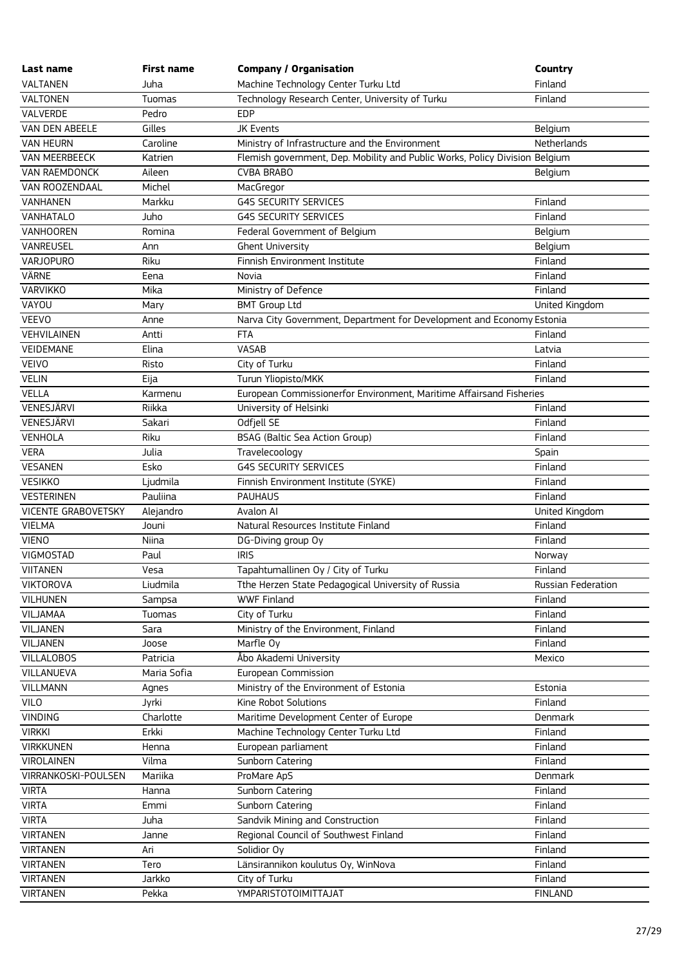| Last name                  | <b>First name</b> | <b>Company / Organisation</b>                                               | Country            |
|----------------------------|-------------------|-----------------------------------------------------------------------------|--------------------|
| VALTANEN                   | Juha              | Machine Technology Center Turku Ltd                                         | Finland            |
| <b>VALTONEN</b>            | Tuomas            | Technology Research Center, University of Turku                             | Finland            |
| VALVERDE                   | Pedro             | <b>EDP</b>                                                                  |                    |
| VAN DEN ABEELE             | Gilles            | <b>JK Events</b>                                                            | Belgium            |
| <b>VAN HEURN</b>           | Caroline          | Ministry of Infrastructure and the Environment                              | Netherlands        |
| VAN MEERBEECK              | Katrien           | Flemish government, Dep. Mobility and Public Works, Policy Division Belgium |                    |
| VAN RAEMDONCK              | Aileen            | <b>CVBA BRABO</b>                                                           | Belgium            |
| VAN ROOZENDAAL             | Michel            | MacGregor                                                                   |                    |
| VANHANEN                   | Markku            | <b>G4S SECURITY SERVICES</b>                                                | Finland            |
| VANHATALO                  | Juho              | <b>G4S SECURITY SERVICES</b>                                                | Finland            |
| <b>VANHOOREN</b>           | Romina            | Federal Government of Belgium                                               | Belgium            |
| VANREUSEL                  | Ann               | <b>Ghent University</b>                                                     | Belgium            |
| VARJOPURO                  | Riku              | Finnish Environment Institute                                               | Finland            |
| VÄRNE                      | Eena              | Novia                                                                       | Finland            |
| <b>VARVIKKO</b>            | Mika              | Ministry of Defence                                                         | Finland            |
| VAYOU                      | Mary              | <b>BMT Group Ltd</b>                                                        | United Kingdom     |
| VEEVO                      | Anne              | Narva City Government, Department for Development and Economy Estonia       |                    |
| VEHVILAINEN                | Antti             | <b>FTA</b>                                                                  | Finland            |
| VEIDEMANE                  | Elina             | VASAB                                                                       | Latvia             |
| <b>VEIVO</b>               | Risto             | City of Turku                                                               | Finland            |
| <b>VELIN</b>               | Eija              | Turun Yliopisto/MKK                                                         | Finland            |
| <b>VELLA</b>               | Karmenu           | European Commissionerfor Environment, Maritime Affairsand Fisheries         |                    |
| VENESJÄRVI                 | Riikka            | University of Helsinki                                                      | Finland            |
| VENESJÄRVI                 | Sakari            | Odfjell SE                                                                  | Finland            |
| VENHOLA                    | Riku              | BSAG (Baltic Sea Action Group)                                              | Finland            |
| <b>VERA</b>                | Julia             | Travelecoology                                                              | Spain              |
| <b>VESANEN</b>             | Esko              | <b>G4S SECURITY SERVICES</b>                                                | Finland            |
| <b>VESIKKO</b>             | Ljudmila          | Finnish Environment Institute (SYKE)                                        | Finland            |
| <b>VESTERINEN</b>          | Pauliina          | <b>PAUHAUS</b>                                                              | Finland            |
| <b>VICENTE GRABOVETSKY</b> | Alejandro         | Avalon AI                                                                   | United Kingdom     |
| <b>VIELMA</b>              | Jouni             | Natural Resources Institute Finland                                         | Finland            |
| <b>VIENO</b>               | Niina             | DG-Diving group Oy                                                          | Finland            |
| VIGMOSTAD                  | Paul              | <b>IRIS</b>                                                                 | Norway             |
| <b>VIITANEN</b>            | Vesa              | Tapahtumallinen Oy / City of Turku                                          | Finland            |
| <b>VIKTOROVA</b>           | Liudmila          | Tthe Herzen State Pedagogical University of Russia                          | Russian Federation |
| <b>VILHUNEN</b>            | Sampsa            | <b>WWF Finland</b>                                                          | Finland            |
| VILJAMAA                   | Tuomas            | City of Turku                                                               | Finland            |
| VILJANEN                   | Sara              | Ministry of the Environment, Finland                                        | Finland            |
| VILJANEN                   | Joose             | Marfle Oy                                                                   | Finland            |
| <b>VILLALOBOS</b>          | Patricia          | Åbo Akademi University                                                      | Mexico             |
| VILLANUEVA                 | Maria Sofia       | European Commission                                                         |                    |
| <b>VILLMANN</b>            | Agnes             | Ministry of the Environment of Estonia                                      | Estonia            |
| <b>VILO</b>                | Jyrki             | Kine Robot Solutions                                                        | Finland            |
| <b>VINDING</b>             | Charlotte         | Maritime Development Center of Europe                                       | Denmark            |
| <b>VIRKKI</b>              | Erkki             | Machine Technology Center Turku Ltd                                         | Finland            |
| <b>VIRKKUNEN</b>           | Henna             | European parliament                                                         | Finland            |
| <b>VIROLAINEN</b>          | Vilma             | Sunborn Catering                                                            | Finland            |
| VIRRANKOSKI-POULSEN        | Mariika           | ProMare ApS                                                                 | Denmark            |
| <b>VIRTA</b>               | Hanna             | Sunborn Catering                                                            | Finland            |
| <b>VIRTA</b>               | Emmi              | Sunborn Catering                                                            | Finland            |
| <b>VIRTA</b>               | Juha              | Sandvik Mining and Construction                                             | Finland            |
| <b>VIRTANEN</b>            | Janne             | Regional Council of Southwest Finland                                       | Finland            |
| <b>VIRTANEN</b>            | Ari               | Solidior Oy                                                                 | Finland            |
| <b>VIRTANEN</b>            | Tero              | Länsirannikon koulutus Oy, WinNova                                          | Finland            |
| <b>VIRTANEN</b>            | Jarkko            | City of Turku                                                               | Finland            |
| <b>VIRTANEN</b>            | Pekka             | YMPARISTOTOIMITTAJAT                                                        | <b>FINLAND</b>     |
|                            |                   |                                                                             |                    |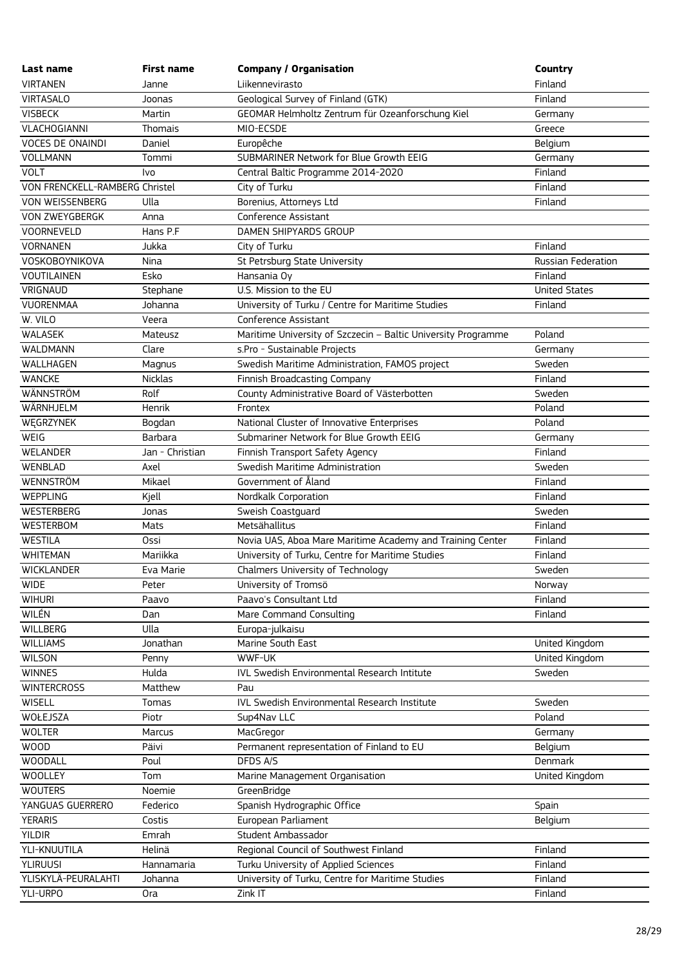| Last name                      | <b>First name</b> | <b>Company / Organisation</b>                                 | Country              |
|--------------------------------|-------------------|---------------------------------------------------------------|----------------------|
| <b>VIRTANEN</b>                | Janne             | Liikennevirasto                                               | Finland              |
| <b>VIRTASALO</b>               | Joonas            | Geological Survey of Finland (GTK)                            | Finland              |
| <b>VISBECK</b>                 | Martin            | GEOMAR Helmholtz Zentrum für Ozeanforschung Kiel              | Germany              |
| VLACHOGIANNI                   | Thomais           | MIO-ECSDE                                                     | Greece               |
| <b>VOCES DE ONAINDI</b>        | Daniel            | Europêche                                                     | Belgium              |
| <b>VOLLMANN</b>                | Tommi             | SUBMARINER Network for Blue Growth EEIG                       | Germany              |
| <b>VOLT</b>                    | Ivo               | Central Baltic Programme 2014-2020                            | Finland              |
| VON FRENCKELL-RAMBERG Christel |                   | City of Turku                                                 | Finland              |
| VON WEISSENBERG                | Ulla              | Borenius, Attorneys Ltd                                       | Finland              |
| VON ZWEYGBERGK                 | Anna              | Conference Assistant                                          |                      |
| <b>VOORNEVELD</b>              | Hans P.F.         | DAMEN SHIPYARDS GROUP                                         |                      |
| <b>VORNANEN</b>                | Jukka             | City of Turku                                                 | Finland              |
| VOSKOBOYNIKOVA                 | Nina              | St Petrsburg State University                                 | Russian Federation   |
| <b>VOUTILAINEN</b>             | Esko              | Hansania Oy                                                   | Finland              |
| VRIGNAUD                       | Stephane          | U.S. Mission to the EU                                        | <b>United States</b> |
| VUORENMAA                      | Johanna           | University of Turku / Centre for Maritime Studies             | Finland              |
| W. VILO                        | Veera             | Conference Assistant                                          |                      |
| <b>WALASEK</b>                 | Mateusz           | Maritime University of Szczecin - Baltic University Programme | Poland               |
| <b>WALDMANN</b>                | Clare             | s.Pro - Sustainable Projects                                  | Germany              |
| WALLHAGEN                      | Magnus            | Swedish Maritime Administration, FAMOS project                | Sweden               |
| <b>WANCKE</b>                  | <b>Nicklas</b>    | Finnish Broadcasting Company                                  | Finland              |
| WÄNNSTRÖM                      | Rolf              | County Administrative Board of Västerbotten                   | Sweden               |
| WÄRNHJELM                      | Henrik            | Frontex                                                       | Poland               |
| WĘGRZYNEK                      | Bogdan            | National Cluster of Innovative Enterprises                    | Poland               |
| WEIG                           | <b>Barbara</b>    | Submariner Network for Blue Growth EEIG                       | Germany              |
| <b>WELANDER</b>                | Jan - Christian   | Finnish Transport Safety Agency                               | Finland              |
| WENBLAD                        | Axel              | Swedish Maritime Administration                               | Sweden               |
| <b>WENNSTRÖM</b>               | Mikael            | Government of Åland                                           | Finland              |
| WEPPLING                       | Kjell             | Nordkalk Corporation                                          | Finland              |
| <b>WESTERBERG</b>              | Jonas             | Sweish Coastguard                                             | Sweden               |
| <b>WESTERBOM</b>               | Mats              | Metsähallitus                                                 | Finland              |
| <b>WESTILA</b>                 | Ossi              | Novia UAS, Aboa Mare Maritime Academy and Training Center     | Finland              |
| <b>WHITEMAN</b>                | Mariikka          | University of Turku, Centre for Maritime Studies              | Finland              |
| <b>WICKLANDER</b>              | Eva Marie         | Chalmers University of Technology                             | Sweden               |
| <b>WIDE</b>                    | Peter             | University of Tromsö                                          | Norway               |
| <b>WIHURI</b>                  | Paavo             | Paavo's Consultant Ltd                                        | Finland              |
| WILÉN                          | Dan               | Mare Command Consulting                                       | Finland              |
| WILLBERG                       | Ulla              | Europa-julkaisu                                               |                      |
| <b>WILLIAMS</b>                | Jonathan          | Marine South East                                             | United Kingdom       |
| <b>WILSON</b>                  | Penny             | WWF-UK                                                        | United Kingdom       |
| <b>WINNES</b>                  | Hulda             | IVL Swedish Environmental Research Intitute                   | Sweden               |
| <b>WINTERCROSS</b>             | Matthew           | Pau                                                           |                      |
| <b>WISELL</b>                  | Tomas             | <b>IVL Swedish Environmental Research Institute</b>           | Sweden               |
| WOŁEJSZA                       | Piotr             | Sup4Nav LLC                                                   | Poland               |
| <b>WOLTER</b>                  | Marcus            | MacGregor                                                     | Germany              |
| WOOD                           | Päivi             | Permanent representation of Finland to EU                     | Belgium              |
| <b>WOODALL</b>                 | Poul              | DFDS A/S                                                      | Denmark              |
| <b>WOOLLEY</b>                 | Tom               | Marine Management Organisation                                | United Kingdom       |
| <b>WOUTERS</b>                 | Noemie            | GreenBridge                                                   |                      |
| YANGUAS GUERRERO               | Federico          | Spanish Hydrographic Office                                   | Spain                |
| <b>YERARIS</b>                 | Costis            | European Parliament                                           | Belgium              |
| <b>YILDIR</b>                  | Emrah             | Student Ambassador                                            |                      |
| YLI-KNUUTILA                   | Helinä            | Regional Council of Southwest Finland                         | Finland              |
| <b>YLIRUUSI</b>                | Hannamaria        | Turku University of Applied Sciences                          | Finland              |
| YLISKYLÄ-PEURALAHTI            | Johanna           | University of Turku, Centre for Maritime Studies              | Finland              |
| YLI-URPO                       | 0ra               | Zink IT                                                       | Finland              |
|                                |                   |                                                               |                      |